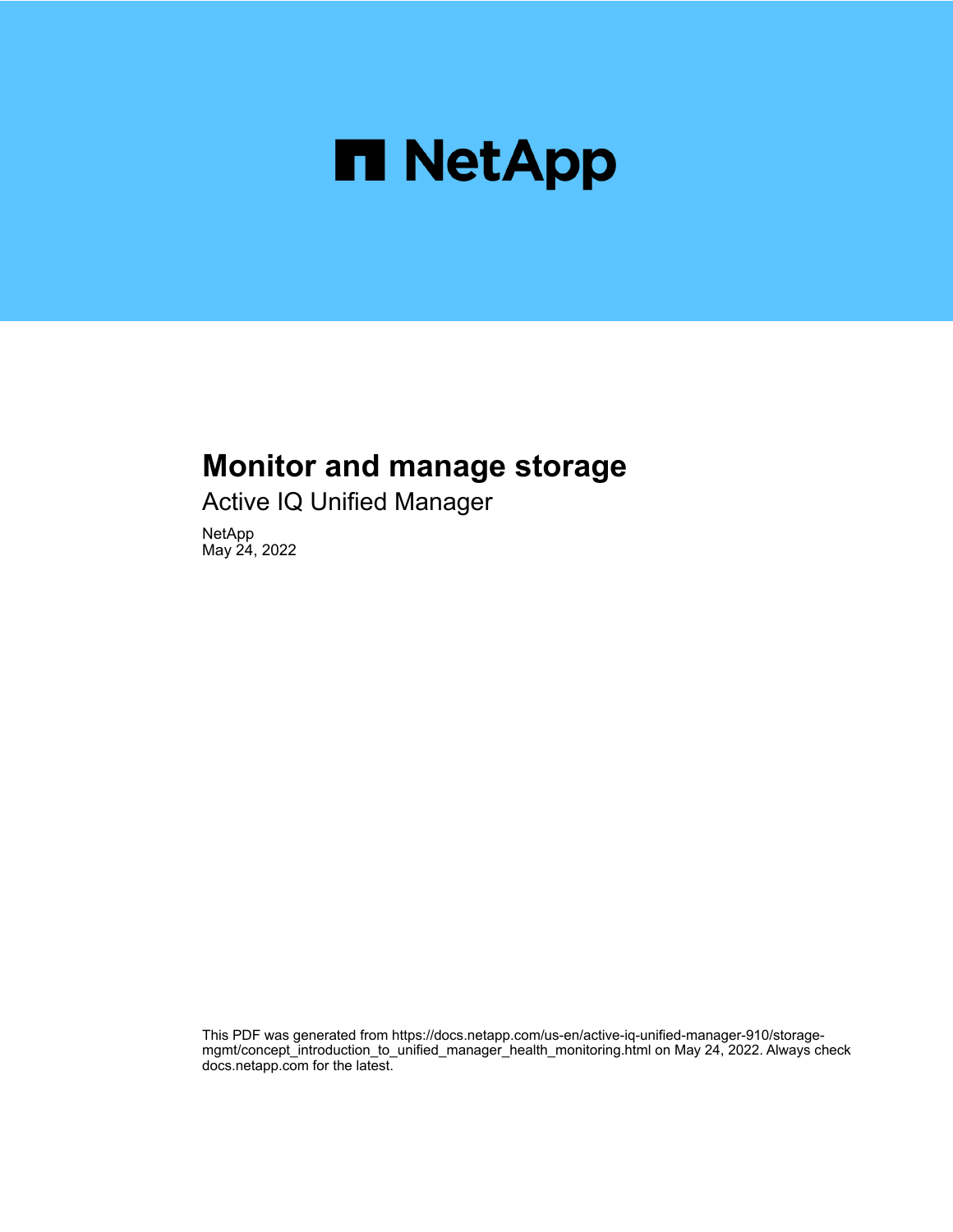

# **Monitor and manage storage**

Active IQ Unified Manager

NetApp May 24, 2022

This PDF was generated from https://docs.netapp.com/us-en/active-iq-unified-manager-910/storagemgmt/concept\_introduction\_to\_unified\_manager\_health\_monitoring.html on May 24, 2022. Always check docs.netapp.com for the latest.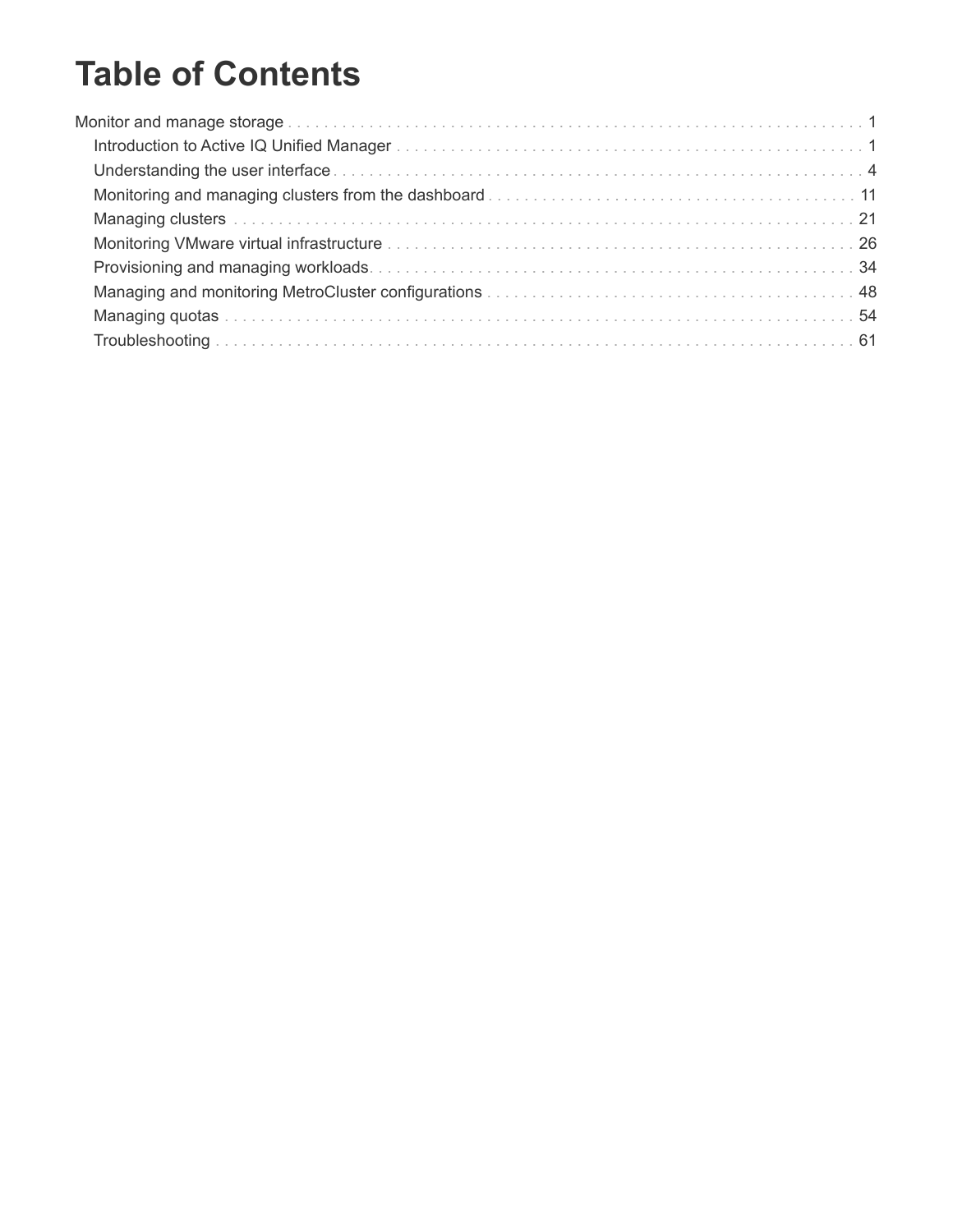# **Table of Contents**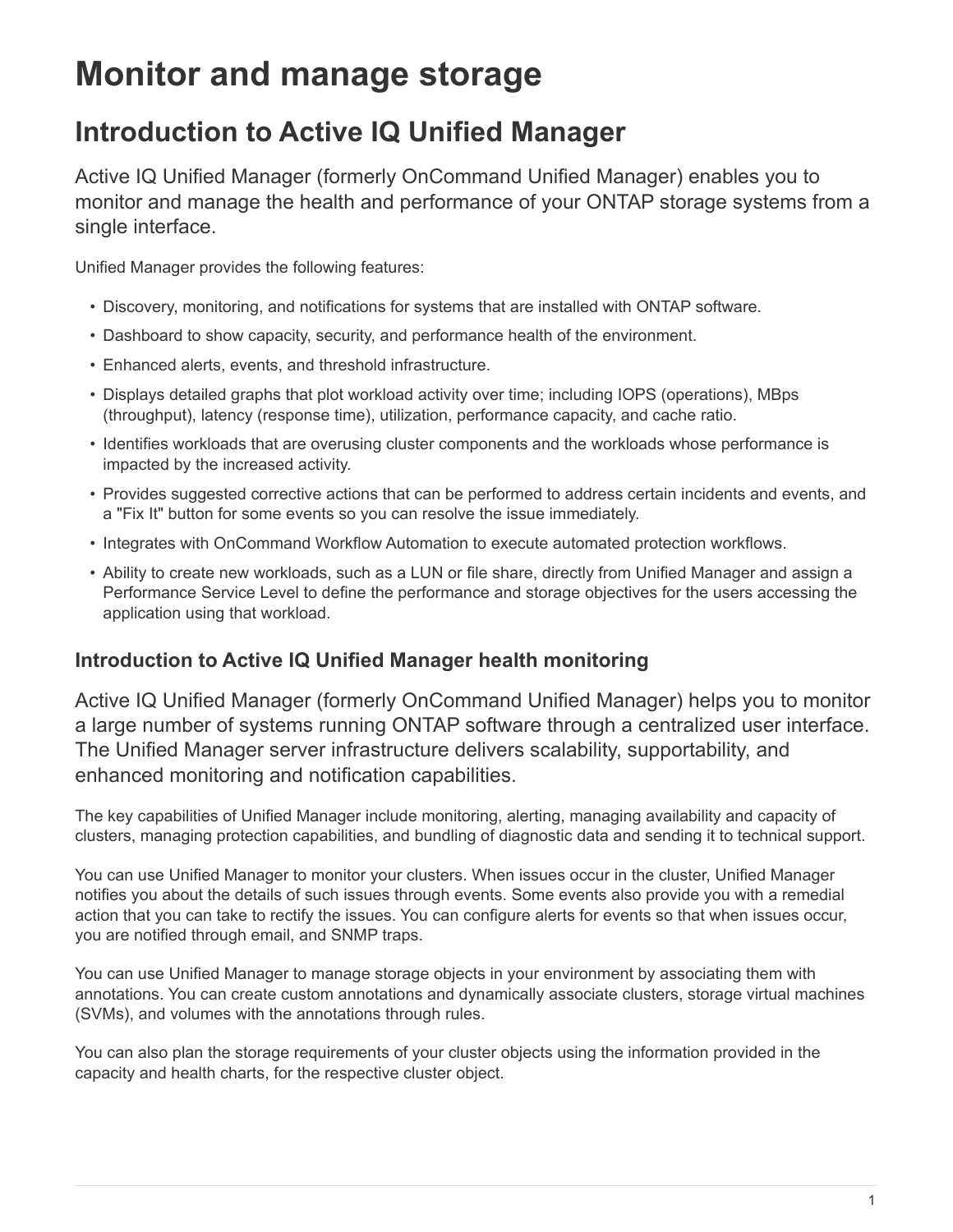# <span id="page-2-0"></span>**Monitor and manage storage**

# <span id="page-2-1"></span>**Introduction to Active IQ Unified Manager**

Active IQ Unified Manager (formerly OnCommand Unified Manager) enables you to monitor and manage the health and performance of your ONTAP storage systems from a single interface.

Unified Manager provides the following features:

- Discovery, monitoring, and notifications for systems that are installed with ONTAP software.
- Dashboard to show capacity, security, and performance health of the environment.
- Enhanced alerts, events, and threshold infrastructure.
- Displays detailed graphs that plot workload activity over time; including IOPS (operations), MBps (throughput), latency (response time), utilization, performance capacity, and cache ratio.
- Identifies workloads that are overusing cluster components and the workloads whose performance is impacted by the increased activity.
- Provides suggested corrective actions that can be performed to address certain incidents and events, and a "Fix It" button for some events so you can resolve the issue immediately.
- Integrates with OnCommand Workflow Automation to execute automated protection workflows.
- Ability to create new workloads, such as a LUN or file share, directly from Unified Manager and assign a Performance Service Level to define the performance and storage objectives for the users accessing the application using that workload.

# **Introduction to Active IQ Unified Manager health monitoring**

Active IQ Unified Manager (formerly OnCommand Unified Manager) helps you to monitor a large number of systems running ONTAP software through a centralized user interface. The Unified Manager server infrastructure delivers scalability, supportability, and enhanced monitoring and notification capabilities.

The key capabilities of Unified Manager include monitoring, alerting, managing availability and capacity of clusters, managing protection capabilities, and bundling of diagnostic data and sending it to technical support.

You can use Unified Manager to monitor your clusters. When issues occur in the cluster, Unified Manager notifies you about the details of such issues through events. Some events also provide you with a remedial action that you can take to rectify the issues. You can configure alerts for events so that when issues occur, you are notified through email, and SNMP traps.

You can use Unified Manager to manage storage objects in your environment by associating them with annotations. You can create custom annotations and dynamically associate clusters, storage virtual machines (SVMs), and volumes with the annotations through rules.

You can also plan the storage requirements of your cluster objects using the information provided in the capacity and health charts, for the respective cluster object.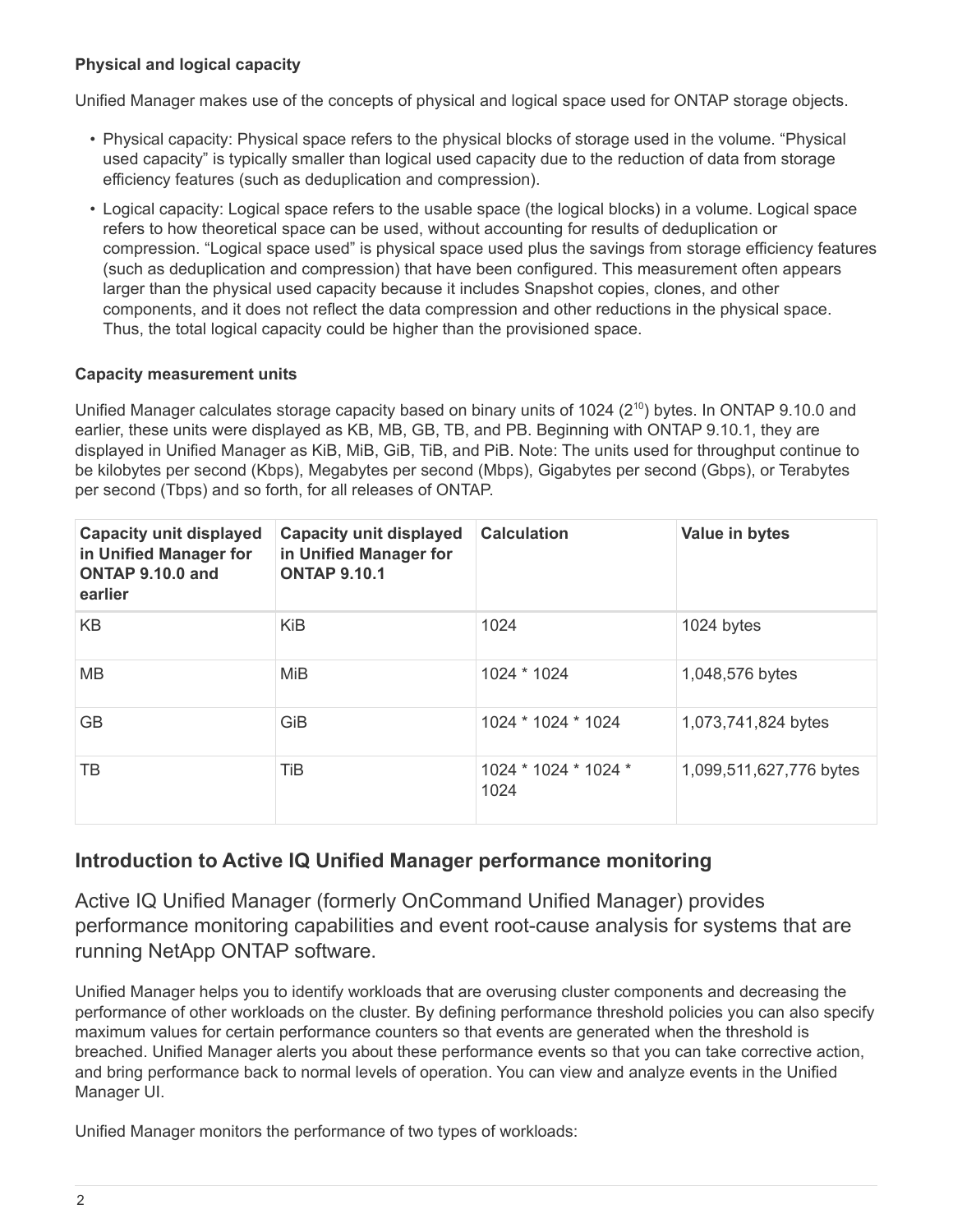# **Physical and logical capacity**

Unified Manager makes use of the concepts of physical and logical space used for ONTAP storage objects.

- Physical capacity: Physical space refers to the physical blocks of storage used in the volume. "Physical used capacity" is typically smaller than logical used capacity due to the reduction of data from storage efficiency features (such as deduplication and compression).
- Logical capacity: Logical space refers to the usable space (the logical blocks) in a volume. Logical space refers to how theoretical space can be used, without accounting for results of deduplication or compression. "Logical space used" is physical space used plus the savings from storage efficiency features (such as deduplication and compression) that have been configured. This measurement often appears larger than the physical used capacity because it includes Snapshot copies, clones, and other components, and it does not reflect the data compression and other reductions in the physical space. Thus, the total logical capacity could be higher than the provisioned space.

## **Capacity measurement units**

Unified Manager calculates storage capacity based on binary units of 1024 (2<sup>10</sup>) bytes. In ONTAP 9.10.0 and earlier, these units were displayed as KB, MB, GB, TB, and PB. Beginning with ONTAP 9.10.1, they are displayed in Unified Manager as KiB, MiB, GiB, TiB, and PiB. Note: The units used for throughput continue to be kilobytes per second (Kbps), Megabytes per second (Mbps), Gigabytes per second (Gbps), or Terabytes per second (Tbps) and so forth, for all releases of ONTAP.

| <b>Capacity unit displayed</b><br>in Unified Manager for<br>ONTAP 9.10.0 and<br>earlier | <b>Capacity unit displayed</b><br>in Unified Manager for<br><b>ONTAP 9.10.1</b> | <b>Calculation</b>           | Value in bytes          |
|-----------------------------------------------------------------------------------------|---------------------------------------------------------------------------------|------------------------------|-------------------------|
| K <sub>B</sub>                                                                          | <b>KiB</b>                                                                      | 1024                         | 1024 bytes              |
| <b>MB</b>                                                                               | MiB                                                                             | 1024 * 1024                  | 1,048,576 bytes         |
| <b>GB</b>                                                                               | GiB                                                                             | 1024 * 1024 * 1024           | 1,073,741,824 bytes     |
| ТB                                                                                      | TiB                                                                             | 1024 * 1024 * 1024 *<br>1024 | 1,099,511,627,776 bytes |

# **Introduction to Active IQ Unified Manager performance monitoring**

Active IQ Unified Manager (formerly OnCommand Unified Manager) provides performance monitoring capabilities and event root-cause analysis for systems that are running NetApp ONTAP software.

Unified Manager helps you to identify workloads that are overusing cluster components and decreasing the performance of other workloads on the cluster. By defining performance threshold policies you can also specify maximum values for certain performance counters so that events are generated when the threshold is breached. Unified Manager alerts you about these performance events so that you can take corrective action, and bring performance back to normal levels of operation. You can view and analyze events in the Unified Manager UI.

Unified Manager monitors the performance of two types of workloads: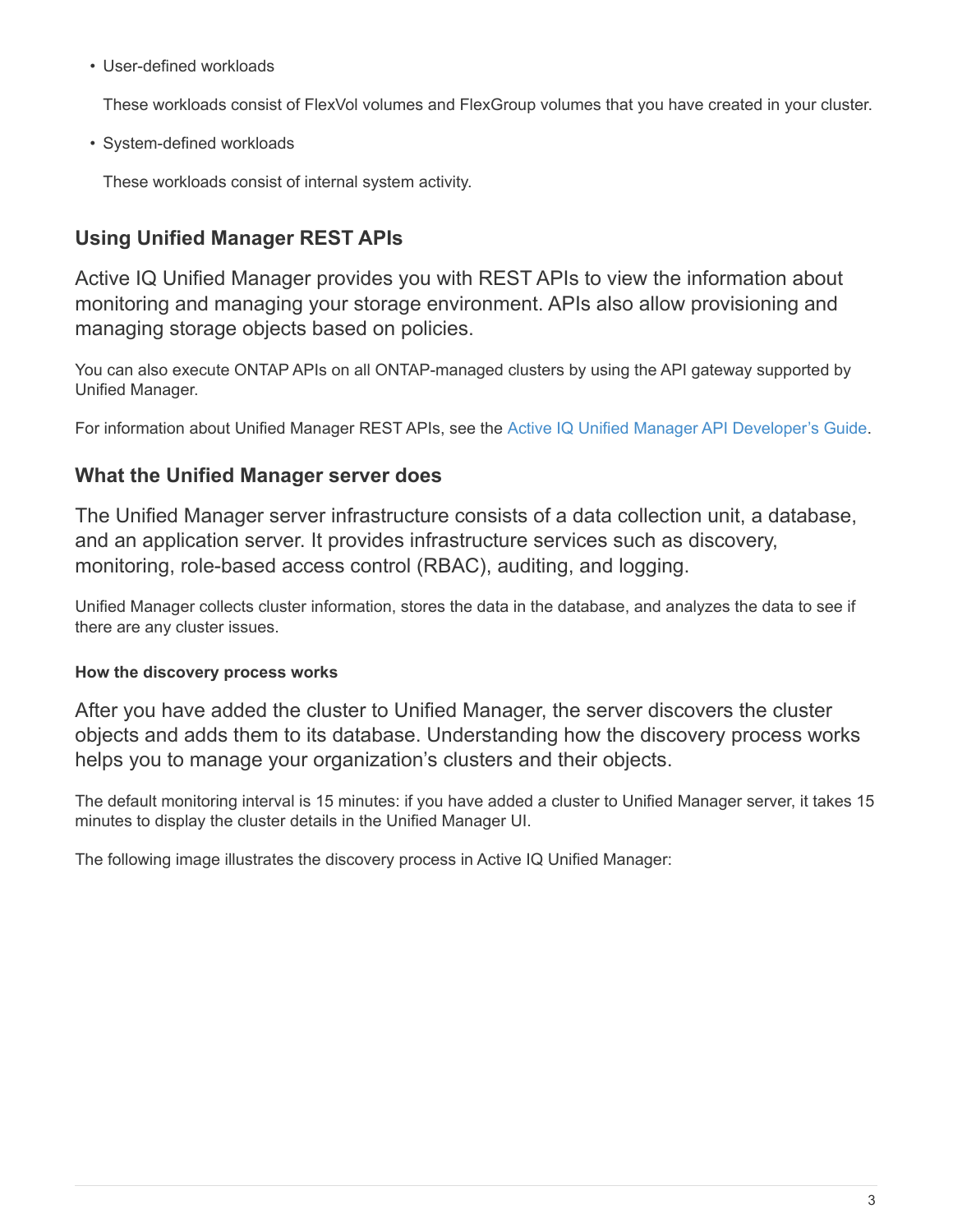• User-defined workloads

These workloads consist of FlexVol volumes and FlexGroup volumes that you have created in your cluster.

• System-defined workloads

These workloads consist of internal system activity.

# **Using Unified Manager REST APIs**

Active IQ Unified Manager provides you with REST APIs to view the information about monitoring and managing your storage environment. APIs also allow provisioning and managing storage objects based on policies.

You can also execute ONTAP APIs on all ONTAP-managed clusters by using the API gateway supported by Unified Manager.

For information about Unified Manager REST APIs, see the [Active IQ Unified Manager API Developer's Guide](https://docs.netapp.com/us-en/active-iq-unified-manager-910/api-automation/concept_get_started_with_um_apis.html).

# **What the Unified Manager server does**

The Unified Manager server infrastructure consists of a data collection unit, a database, and an application server. It provides infrastructure services such as discovery, monitoring, role-based access control (RBAC), auditing, and logging.

Unified Manager collects cluster information, stores the data in the database, and analyzes the data to see if there are any cluster issues.

# **How the discovery process works**

After you have added the cluster to Unified Manager, the server discovers the cluster objects and adds them to its database. Understanding how the discovery process works helps you to manage your organization's clusters and their objects.

The default monitoring interval is 15 minutes: if you have added a cluster to Unified Manager server, it takes 15 minutes to display the cluster details in the Unified Manager UI.

The following image illustrates the discovery process in Active IQ Unified Manager: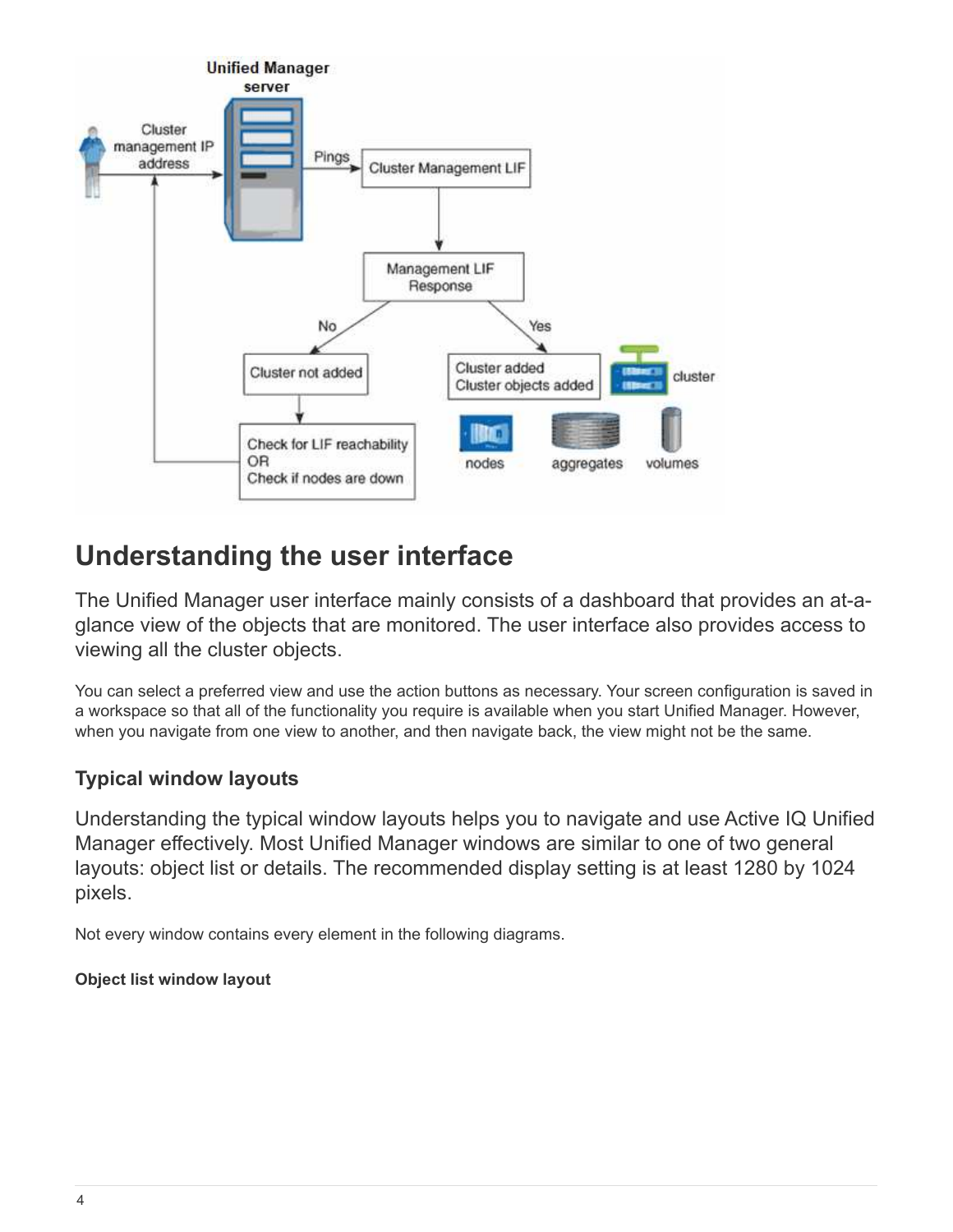

# <span id="page-5-0"></span>**Understanding the user interface**

The Unified Manager user interface mainly consists of a dashboard that provides an at-aglance view of the objects that are monitored. The user interface also provides access to viewing all the cluster objects.

You can select a preferred view and use the action buttons as necessary. Your screen configuration is saved in a workspace so that all of the functionality you require is available when you start Unified Manager. However, when you navigate from one view to another, and then navigate back, the view might not be the same.

# **Typical window layouts**

Understanding the typical window layouts helps you to navigate and use Active IQ Unified Manager effectively. Most Unified Manager windows are similar to one of two general layouts: object list or details. The recommended display setting is at least 1280 by 1024 pixels.

Not every window contains every element in the following diagrams.

# **Object list window layout**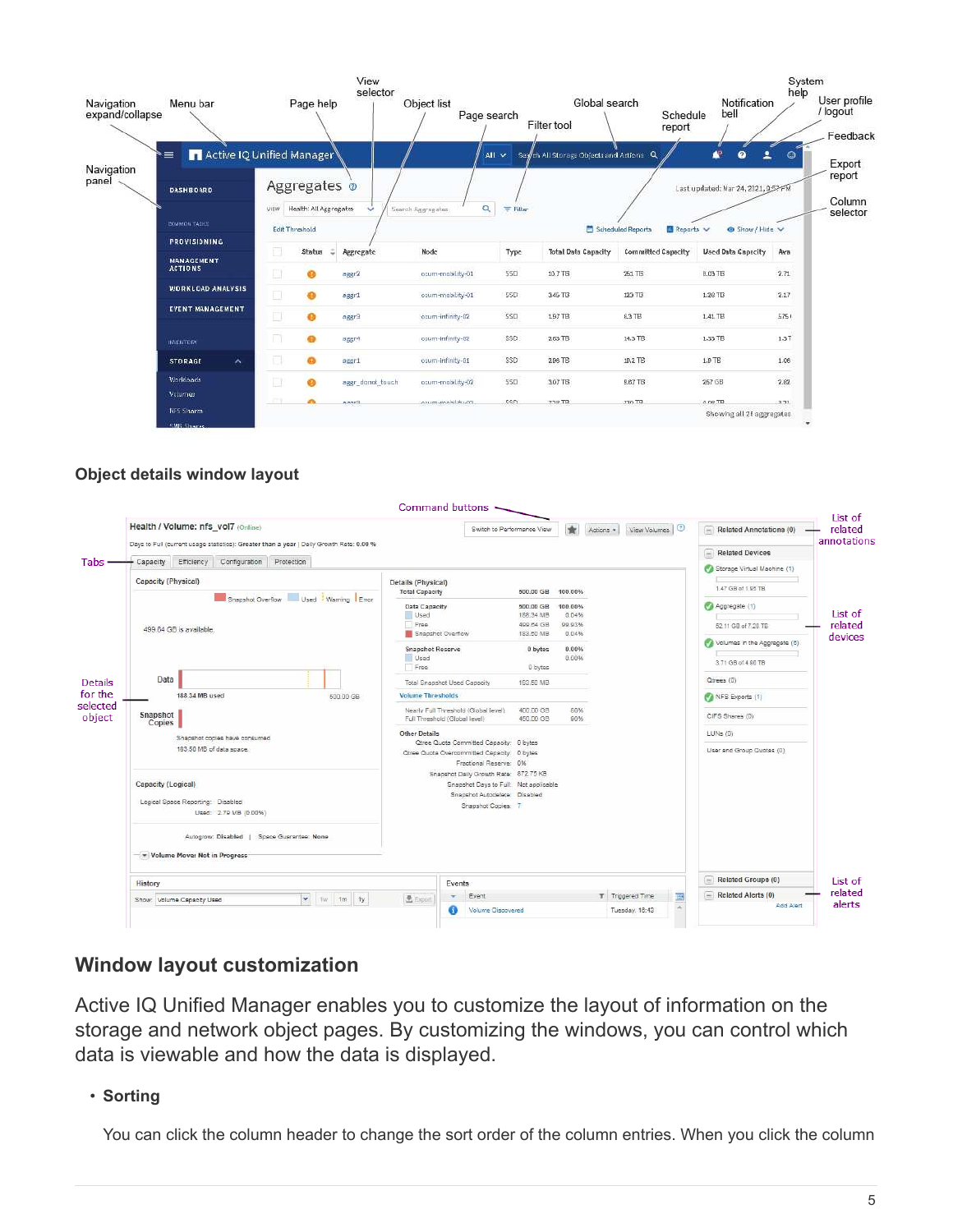|                               |                                     |        |                                          | View<br>selector |                            |          |                                          |                                           |                                    | System<br>help                       |
|-------------------------------|-------------------------------------|--------|------------------------------------------|------------------|----------------------------|----------|------------------------------------------|-------------------------------------------|------------------------------------|--------------------------------------|
| Navigation<br>expand/collapse | Menu bar                            |        | Page help                                |                  | Object list<br>Page search |          | Global search<br>Filter tool             | Schedule<br>report                        | Notification<br>bell               | User profile<br>/ logout<br>Feedback |
| Navigation                    | Active IQ Unified Manager<br>∖≡     |        |                                          |                  |                            | All v    | Search All Storage Objects and Actions Q |                                           | æ<br>2<br>$\bullet$                | $\circ$<br>Export<br>report          |
| panel                         | <b>DASHBOARD</b>                    |        | Aggregates o                             |                  |                            |          |                                          |                                           | Last updated: Mar 24, 2021, 053 FM |                                      |
|                               | <b>COMMON TASKS</b>                 | VIEW   | Health: All Aggregates<br>Edit Threshold | ŵ                | Q<br>Search Aggregates     | 三 Filter |                                          | Scheduled Reports<br><b>Ill Reports</b> V | @ Show/Hide V                      | Column<br>selector                   |
|                               | <b>PROVISIONING</b>                 |        |                                          |                  |                            |          |                                          |                                           |                                    |                                      |
|                               | <b>MANAGEMENT</b><br><b>ACTIONS</b> | Ø.     | Status                                   | Aggregate        | Node                       | Турс     | <b>Total Date Capacity</b>               | Committed Capacity                        | <b>Used Data Capacity</b>          | Ava                                  |
|                               |                                     | 國      | ഒ                                        | aggr2            | ocum-mobility-01           | 550      | 10.7 TB                                  | 261 TB                                    | 8.03 TB                            | 2.71                                 |
|                               | <b>WORKLOAD ANALYSIS</b>            | $\Box$ |                                          | aggr1            | ocum-mobility-01           | 550      | $3.46$ TB                                | 123 TB                                    | 1.20 TB                            | 2.17                                 |
|                               | EVENT MANAGEMENT                    | E      |                                          | Engen            | ocum-infinity-02           | SSO      | 1.97 TB                                  | 83TB                                      | 1.41 TB                            | 5751                                 |
|                               | <b>INVENTORS</b>                    | n      |                                          | aggr4            | ocum-infinity-02           | SSD.     | $2.63$ TB                                | 14.3 TB                                   | 1.33 TB                            | $1.3$ T                              |
|                               | $\lambda$<br><b>STORAGE</b>         | a      |                                          | aggr1            | ocum-infinity-01           | SSD      | 2.96 TB                                  | 18.2 TB                                   | $1.9$ TE                           | 1.06                                 |
|                               | Worldoads                           | B      | a.                                       | aggr_donot_touch | ocum-mobility-02           | 550      | 3.07 TB                                  | <b>5.67 TB</b>                            | 257 GB                             | 2.82                                 |
|                               | Valurings                           |        |                                          | <b>ENAMA</b>     | contains about the care.   | con      | $7.19$ TR                                | <b>THE OFF</b>                            | 0.09 TD                            | 2.73                                 |
|                               | <b>NES Shares</b>                   |        |                                          |                  |                            |          |                                          |                                           | Showing all 26 aggregates          |                                      |

# **Object details window layout**

|                                                                                  |                                                                                                        | Command buttons                                                                                                  |                                                                                                                                       |                        |                      |                                    |                           |                                             | List of           |
|----------------------------------------------------------------------------------|--------------------------------------------------------------------------------------------------------|------------------------------------------------------------------------------------------------------------------|---------------------------------------------------------------------------------------------------------------------------------------|------------------------|----------------------|------------------------------------|---------------------------|---------------------------------------------|-------------------|
|                                                                                  | Health / Volume: nfs vol7 (Online)                                                                     |                                                                                                                  | Switch to Performance View                                                                                                            |                        | $\star$<br>Actions . | View Volumes   0                   |                           | $\boxed{-}$ Related Annotations (0)         | related           |
|                                                                                  | Days to Full (current usage statistics): Greater than a year   Daily Growth Rate: 0.00 %<br>Protection |                                                                                                                  |                                                                                                                                       |                        |                      |                                    |                           | $\equiv$ Related Devices                    | annotations       |
| Tabs -                                                                           | Efficiency Configuration<br>Capacity                                                                   |                                                                                                                  |                                                                                                                                       |                        |                      |                                    |                           | Storage Virtual Machine (1)                 |                   |
|                                                                                  | Capacity (Physical)                                                                                    | Details (Physical)<br><b>Total Capacity</b>                                                                      |                                                                                                                                       | 500.00 GB<br>100,00%   |                      |                                    |                           | 1.47 GB of 1.95 TB                          |                   |
|                                                                                  | Snapshot Overflow Used Warning Error                                                                   | Data Capacity                                                                                                    |                                                                                                                                       | 500.00 GB              | 100.00%              |                                    |                           | Aggregate (1)                               | List of           |
|                                                                                  | 499.64 GB is available.                                                                                | Used<br>Free                                                                                                     |                                                                                                                                       | 188.34 MB<br>499.64 GB | 0.04%<br>99.93%      |                                    |                           | 52.11 GB of 7.28 TB                         | related           |
|                                                                                  |                                                                                                        | Snapshot Overflow<br><b>Snapshot Reserve</b>                                                                     |                                                                                                                                       | 183.50 MB<br>0 bytes   | 0.04%<br>0.00%       |                                    |                           | Volumes in the Aggregate (6)                | devices           |
|                                                                                  |                                                                                                        | Used<br>Free                                                                                                     |                                                                                                                                       | 0 bytes                | 0.00%                |                                    |                           | 3.71 GB of 4.90 TB                          |                   |
| <b>Details</b>                                                                   | Data                                                                                                   |                                                                                                                  | <b>Total Snapshot Used Capacity</b>                                                                                                   | 183.50 MB              |                      |                                    |                           | Qtrees (0)                                  |                   |
| for the                                                                          | 188,34 MB used<br>500.00 GB                                                                            | <b>Volume Thresholds</b>                                                                                         |                                                                                                                                       |                        |                      |                                    |                           | NFS Exports (1)                             |                   |
| selected<br>object                                                               | Snapshot<br><b>Copies</b>                                                                              | Full Threshold (Global level)                                                                                    | Nearly Full Threshold (Global level)                                                                                                  | 400.00 GB<br>450.00 GB | 80%<br>90%           |                                    |                           | CIFS Shares (0)                             |                   |
|                                                                                  | Snapshot copies have consumed                                                                          | <b>Other Details</b>                                                                                             |                                                                                                                                       |                        |                      |                                    |                           | $LUNs$ (0)                                  |                   |
|                                                                                  | 183.50 MB of data space.                                                                               | Otree Quots Committed Capacity: 0 bytes<br>Ofree Quota Overcommitted Capacity: 0 bytes<br>Fractional Reserve: 0% |                                                                                                                                       |                        |                      |                                    | User and Group Quotas (0) |                                             |                   |
| Capacity (Logical)<br>Logical Space Reporting: Disabled<br>Used: 2.79 MB (0.00%) |                                                                                                        |                                                                                                                  | Snapshot Daily Growth Rate: 872.75 KB<br>Snapshot Days to Full: Not applicable<br>Snapshot Autodelete: Disabled<br>Snapshot Copies: 7 |                        |                      |                                    |                           |                                             |                   |
|                                                                                  | Autogrow: Disabled   Space Guarantee: None<br>Volume Move: Not in Progress                             |                                                                                                                  |                                                                                                                                       |                        |                      |                                    |                           |                                             |                   |
|                                                                                  | History                                                                                                |                                                                                                                  | Events                                                                                                                                |                        |                      |                                    |                           | $\boxed{-}$ Related Groups (0)              | List of           |
|                                                                                  | $\checkmark$<br>Tw 1m ty<br>Show: Volume Capacity Used                                                 | 是 Export                                                                                                         | Event<br>$\sim$<br>Volume Discovered<br>69                                                                                            |                        |                      | T Triggered Time<br>Tuesday, 16:43 | 匪<br>à                    | $\boxed{=}$ Related Alerts (0)<br>Add Alert | related<br>alerts |

# **Window layout customization**

Active IQ Unified Manager enables you to customize the layout of information on the storage and network object pages. By customizing the windows, you can control which data is viewable and how the data is displayed.

• **Sorting**

You can click the column header to change the sort order of the column entries. When you click the column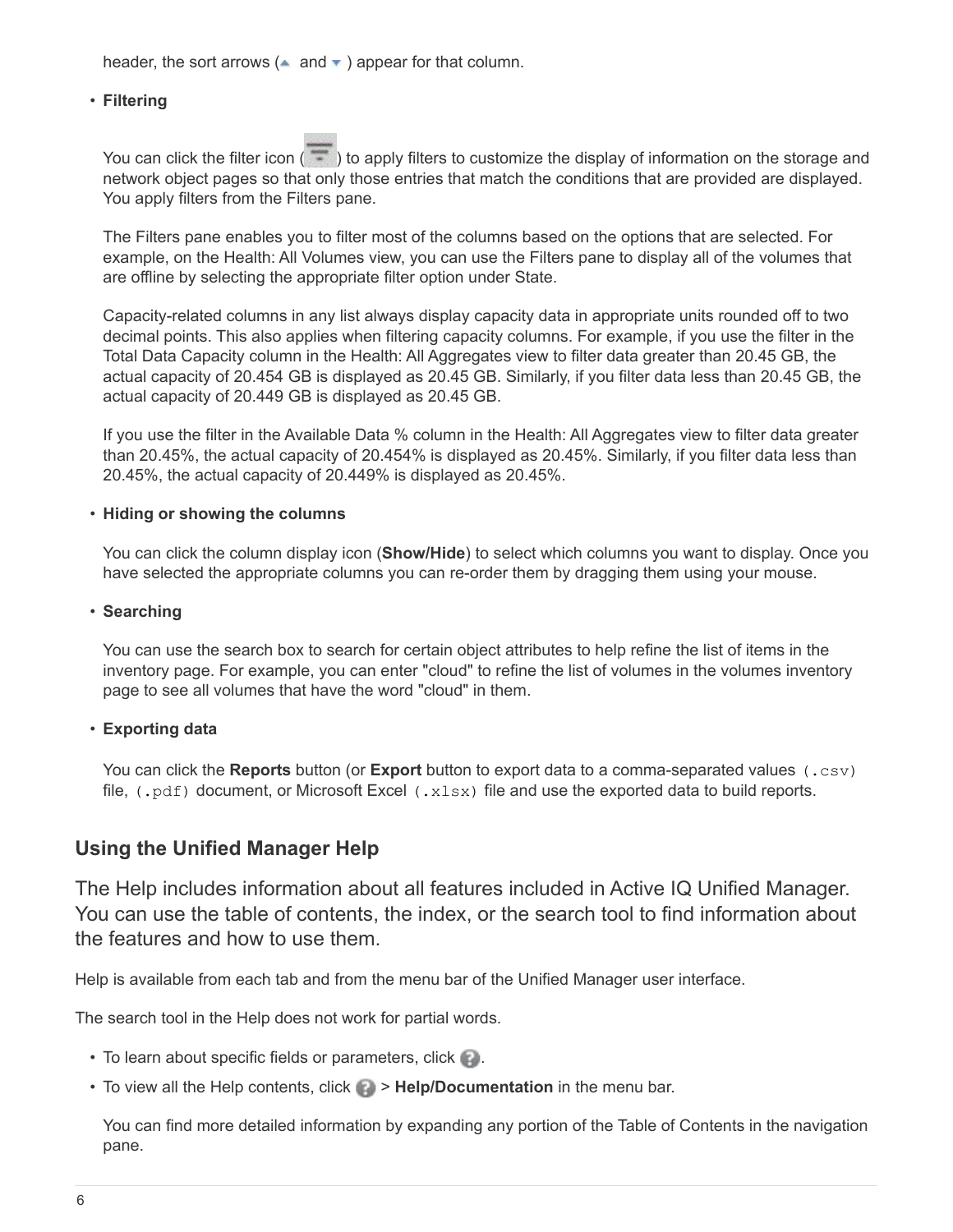header, the sort arrows ( $\triangle$  and  $\blacktriangledown$ ) appear for that column.

#### • **Filtering**

You can click the filter icon ( $\rightarrow$ ) to apply filters to customize the display of information on the storage and network object pages so that only those entries that match the conditions that are provided are displayed. You apply filters from the Filters pane.

The Filters pane enables you to filter most of the columns based on the options that are selected. For example, on the Health: All Volumes view, you can use the Filters pane to display all of the volumes that are offline by selecting the appropriate filter option under State.

Capacity-related columns in any list always display capacity data in appropriate units rounded off to two decimal points. This also applies when filtering capacity columns. For example, if you use the filter in the Total Data Capacity column in the Health: All Aggregates view to filter data greater than 20.45 GB, the actual capacity of 20.454 GB is displayed as 20.45 GB. Similarly, if you filter data less than 20.45 GB, the actual capacity of 20.449 GB is displayed as 20.45 GB.

If you use the filter in the Available Data % column in the Health: All Aggregates view to filter data greater than 20.45%, the actual capacity of 20.454% is displayed as 20.45%. Similarly, if you filter data less than 20.45%, the actual capacity of 20.449% is displayed as 20.45%.

#### • **Hiding or showing the columns**

You can click the column display icon (**Show/Hide**) to select which columns you want to display. Once you have selected the appropriate columns you can re-order them by dragging them using your mouse.

#### • **Searching**

You can use the search box to search for certain object attributes to help refine the list of items in the inventory page. For example, you can enter "cloud" to refine the list of volumes in the volumes inventory page to see all volumes that have the word "cloud" in them.

#### • **Exporting data**

You can click the **Reports** button (or **Export** button to export data to a comma-separated values (.csv) file,  $(.\text{pdf})$  document, or Microsoft Excel  $(.x \text{lsx})$  file and use the exported data to build reports.

## **Using the Unified Manager Help**

The Help includes information about all features included in Active IQ Unified Manager. You can use the table of contents, the index, or the search tool to find information about the features and how to use them.

Help is available from each tab and from the menu bar of the Unified Manager user interface.

The search tool in the Help does not work for partial words.

- To learn about specific fields or parameters, click  $\blacksquare$ .
- To view all the Help contents, click  $\bullet$  > Help/Documentation in the menu bar.

You can find more detailed information by expanding any portion of the Table of Contents in the navigation pane.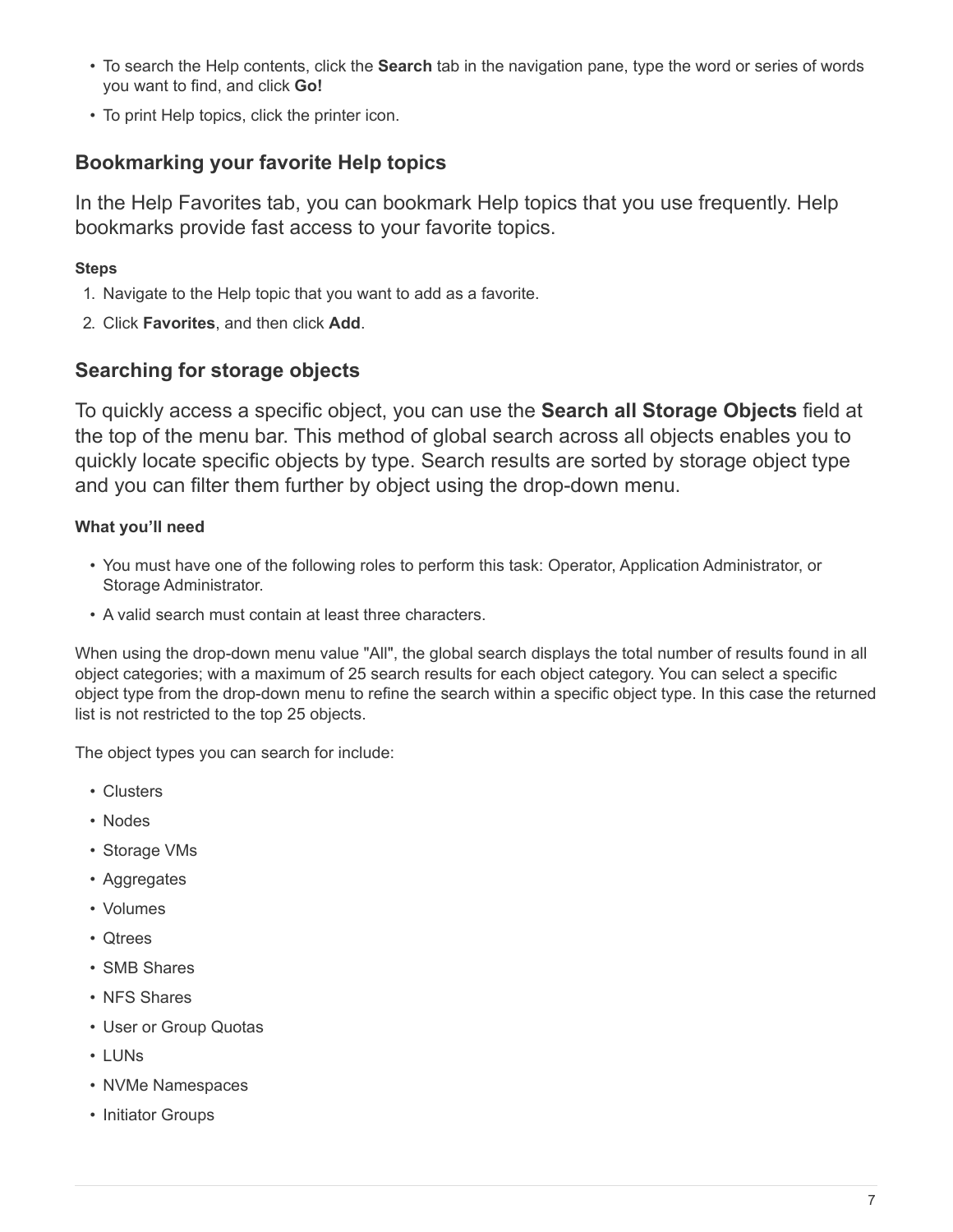- To search the Help contents, click the **Search** tab in the navigation pane, type the word or series of words you want to find, and click **Go!**
- To print Help topics, click the printer icon.

# **Bookmarking your favorite Help topics**

In the Help Favorites tab, you can bookmark Help topics that you use frequently. Help bookmarks provide fast access to your favorite topics.

# **Steps**

- 1. Navigate to the Help topic that you want to add as a favorite.
- 2. Click **Favorites**, and then click **Add**.

# **Searching for storage objects**

To quickly access a specific object, you can use the **Search all Storage Objects** field at the top of the menu bar. This method of global search across all objects enables you to quickly locate specific objects by type. Search results are sorted by storage object type and you can filter them further by object using the drop-down menu.

# **What you'll need**

- You must have one of the following roles to perform this task: Operator, Application Administrator, or Storage Administrator.
- A valid search must contain at least three characters.

When using the drop-down menu value "All", the global search displays the total number of results found in all object categories; with a maximum of 25 search results for each object category. You can select a specific object type from the drop-down menu to refine the search within a specific object type. In this case the returned list is not restricted to the top 25 objects.

The object types you can search for include:

- Clusters
- Nodes
- Storage VMs
- Aggregates
- Volumes
- Qtrees
- SMB Shares
- NFS Shares
- User or Group Quotas
- LUNs
- NVMe Namespaces
- Initiator Groups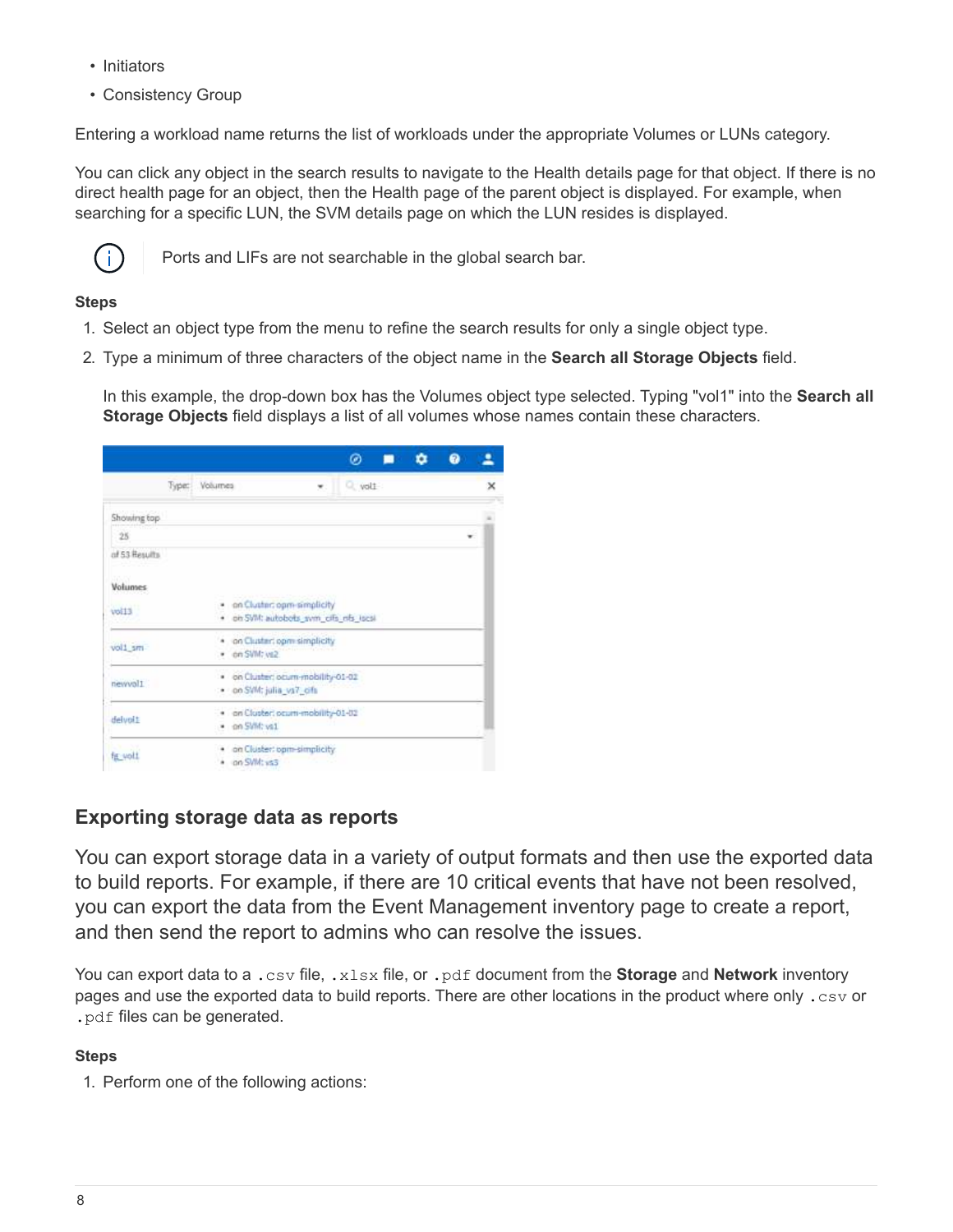- Initiators
- Consistency Group

Entering a workload name returns the list of workloads under the appropriate Volumes or LUNs category.

You can click any object in the search results to navigate to the Health details page for that object. If there is no direct health page for an object, then the Health page of the parent object is displayed. For example, when searching for a specific LUN, the SVM details page on which the LUN resides is displayed.



Ports and LIFs are not searchable in the global search bar.

## **Steps**

- 1. Select an object type from the menu to refine the search results for only a single object type.
- 2. Type a minimum of three characters of the object name in the **Search all Storage Objects** field.

In this example, the drop-down box has the Volumes object type selected. Typing "vol1" into the **Search all Storage Objects** field displays a list of all volumes whose names contain these characters.

|               |               |                          |                                                                      | ◎      |  |   |   |
|---------------|---------------|--------------------------|----------------------------------------------------------------------|--------|--|---|---|
|               | Type: Volumes |                          | w.                                                                   | Q volt |  |   | × |
| Showing top   |               |                          |                                                                      |        |  |   |   |
| 25            |               |                          |                                                                      |        |  | ٠ |   |
| of 53 Results |               |                          |                                                                      |        |  |   |   |
| Volumes       |               |                          |                                                                      |        |  |   |   |
| Libro         |               | ۰.                       | on Cluster: opm-simplicity<br>· on SWI: autobots sym cits rifs iscsi |        |  |   |   |
| vol1 sm       |               | · on SWI: vs2            | · on Cluster: opm simplicity                                         |        |  |   |   |
| newvol1       |               | · on SWI: julia_vs7_cifs | . on Cluster: ocum-mobility-01-02                                    |        |  |   |   |
| delvoit       |               | · on SWIt vs1            | · on Cluster: pcum-mobility-01-02                                    |        |  |   |   |
| fig woll      |               | on SWI: ys3              | on Cluster: opm-simplicity                                           |        |  |   |   |

# **Exporting storage data as reports**

You can export storage data in a variety of output formats and then use the exported data to build reports. For example, if there are 10 critical events that have not been resolved, you can export the data from the Event Management inventory page to create a report, and then send the report to admins who can resolve the issues.

You can export data to a .csv file, .xlsx file, or .pdf document from the **Storage** and **Network** inventory pages and use the exported data to build reports. There are other locations in the product where only .csv or .pdf files can be generated.

## **Steps**

1. Perform one of the following actions: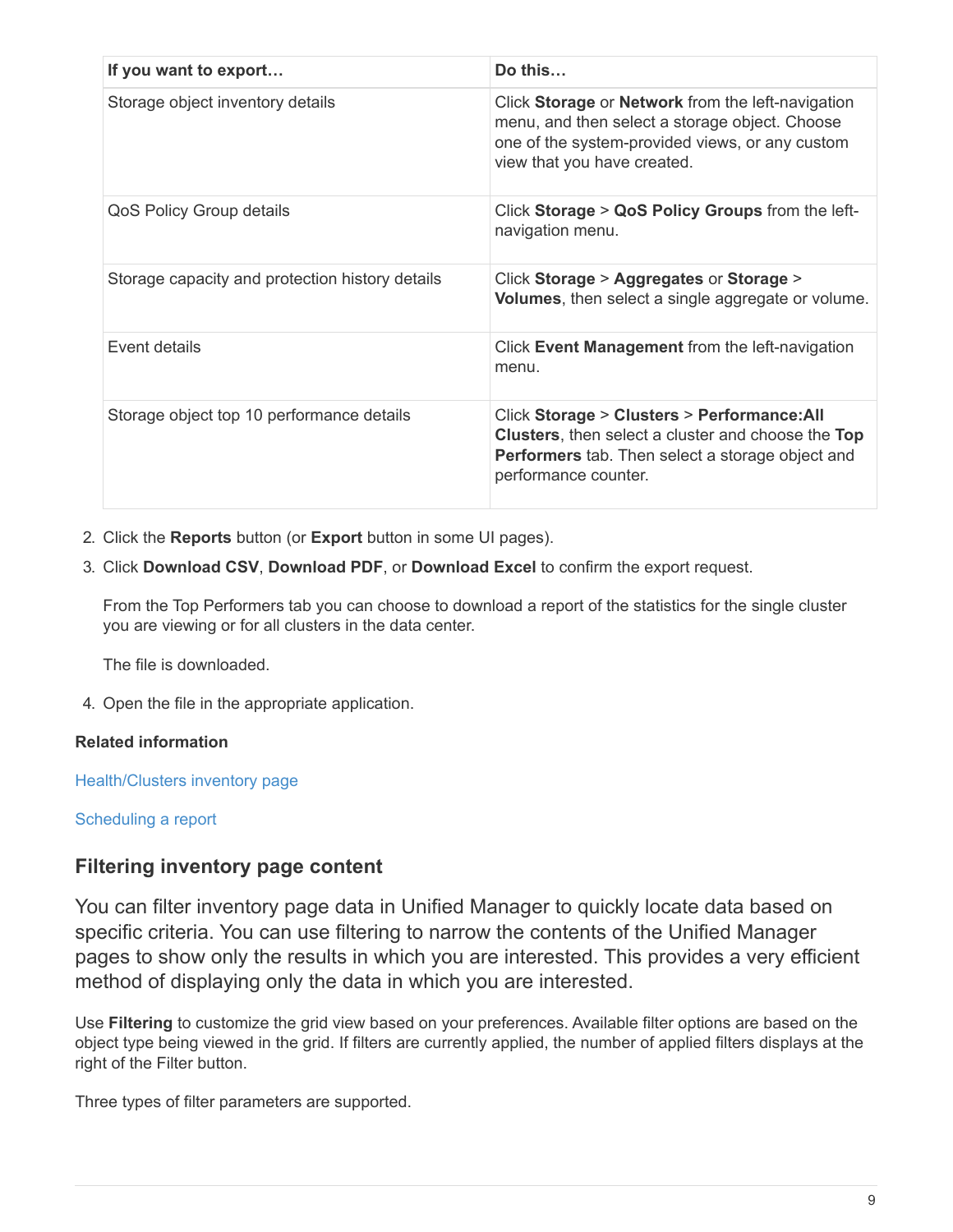| If you want to export                           | Do this                                                                                                                                                                                     |
|-------------------------------------------------|---------------------------------------------------------------------------------------------------------------------------------------------------------------------------------------------|
| Storage object inventory details                | Click Storage or Network from the left-navigation<br>menu, and then select a storage object. Choose<br>one of the system-provided views, or any custom<br>view that you have created.       |
| QoS Policy Group details                        | Click Storage > QoS Policy Groups from the left-<br>navigation menu.                                                                                                                        |
| Storage capacity and protection history details | Click Storage > Aggregates or Storage ><br>Volumes, then select a single aggregate or volume.                                                                                               |
| <b>Event details</b>                            | Click Event Management from the left-navigation<br>menu.                                                                                                                                    |
| Storage object top 10 performance details       | Click Storage > Clusters > Performance: All<br><b>Clusters, then select a cluster and choose the Top</b><br><b>Performers</b> tab. Then select a storage object and<br>performance counter. |

- 2. Click the **Reports** button (or **Export** button in some UI pages).
- 3. Click **Download CSV**, **Download PDF**, or **Download Excel** to confirm the export request.

From the Top Performers tab you can choose to download a report of the statistics for the single cluster you are viewing or for all clusters in the data center.

The file is downloaded.

4. Open the file in the appropriate application.

## **Related information**

Health/Clusters inventory page

[Scheduling a report](https://docs.netapp.com/us-en/active-iq-unified-manager-910/reporting/task_schedule_report.html)

# **Filtering inventory page content**

You can filter inventory page data in Unified Manager to quickly locate data based on specific criteria. You can use filtering to narrow the contents of the Unified Manager pages to show only the results in which you are interested. This provides a very efficient method of displaying only the data in which you are interested.

Use **Filtering** to customize the grid view based on your preferences. Available filter options are based on the object type being viewed in the grid. If filters are currently applied, the number of applied filters displays at the right of the Filter button.

Three types of filter parameters are supported.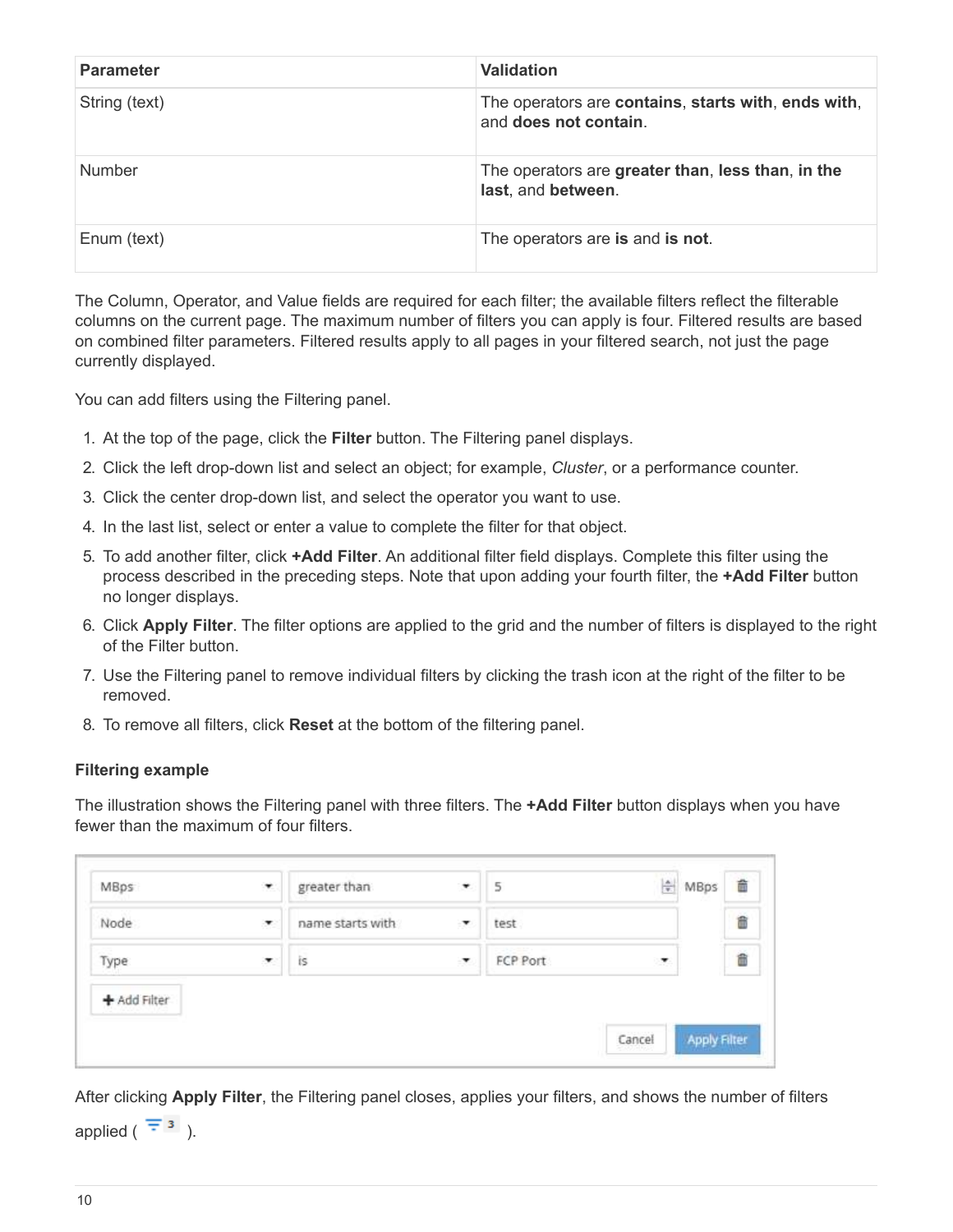| <b>Parameter</b> | <b>Validation</b>                                                            |
|------------------|------------------------------------------------------------------------------|
| String (text)    | The operators are contains, starts with, ends with,<br>and does not contain. |
| <b>Number</b>    | The operators are greater than, less than, in the<br>last, and between.      |
| Enum (text)      | The operators are is and is not.                                             |

The Column, Operator, and Value fields are required for each filter; the available filters reflect the filterable columns on the current page. The maximum number of filters you can apply is four. Filtered results are based on combined filter parameters. Filtered results apply to all pages in your filtered search, not just the page currently displayed.

You can add filters using the Filtering panel.

- 1. At the top of the page, click the **Filter** button. The Filtering panel displays.
- 2. Click the left drop-down list and select an object; for example, *Cluster*, or a performance counter.
- 3. Click the center drop-down list, and select the operator you want to use.
- 4. In the last list, select or enter a value to complete the filter for that object.
- 5. To add another filter, click **+Add Filter**. An additional filter field displays. Complete this filter using the process described in the preceding steps. Note that upon adding your fourth filter, the **+Add Filter** button no longer displays.
- 6. Click **Apply Filter**. The filter options are applied to the grid and the number of filters is displayed to the right of the Filter button.
- 7. Use the Filtering panel to remove individual filters by clicking the trash icon at the right of the filter to be removed.
- 8. To remove all filters, click **Reset** at the bottom of the filtering panel.

#### **Filtering example**

The illustration shows the Filtering panel with three filters. The **+Add Filter** button displays when you have fewer than the maximum of four filters.

| MBps         | ۳                        | greater than     | ۰                        | 5        | 싉 | MBps | 命 |
|--------------|--------------------------|------------------|--------------------------|----------|---|------|---|
| Node         | $\overline{\phantom{a}}$ | name starts with | $\overline{\phantom{a}}$ | test     |   |      | â |
| Type         | ₹                        | is               | $\cdot$                  | FCP Port | × |      | ä |
| + Add Filter |                          |                  |                          |          |   |      |   |

After clicking **Apply Filter**, the Filtering panel closes, applies your filters, and shows the number of filters

applied ( $\overline{z}$ <sup>3</sup>).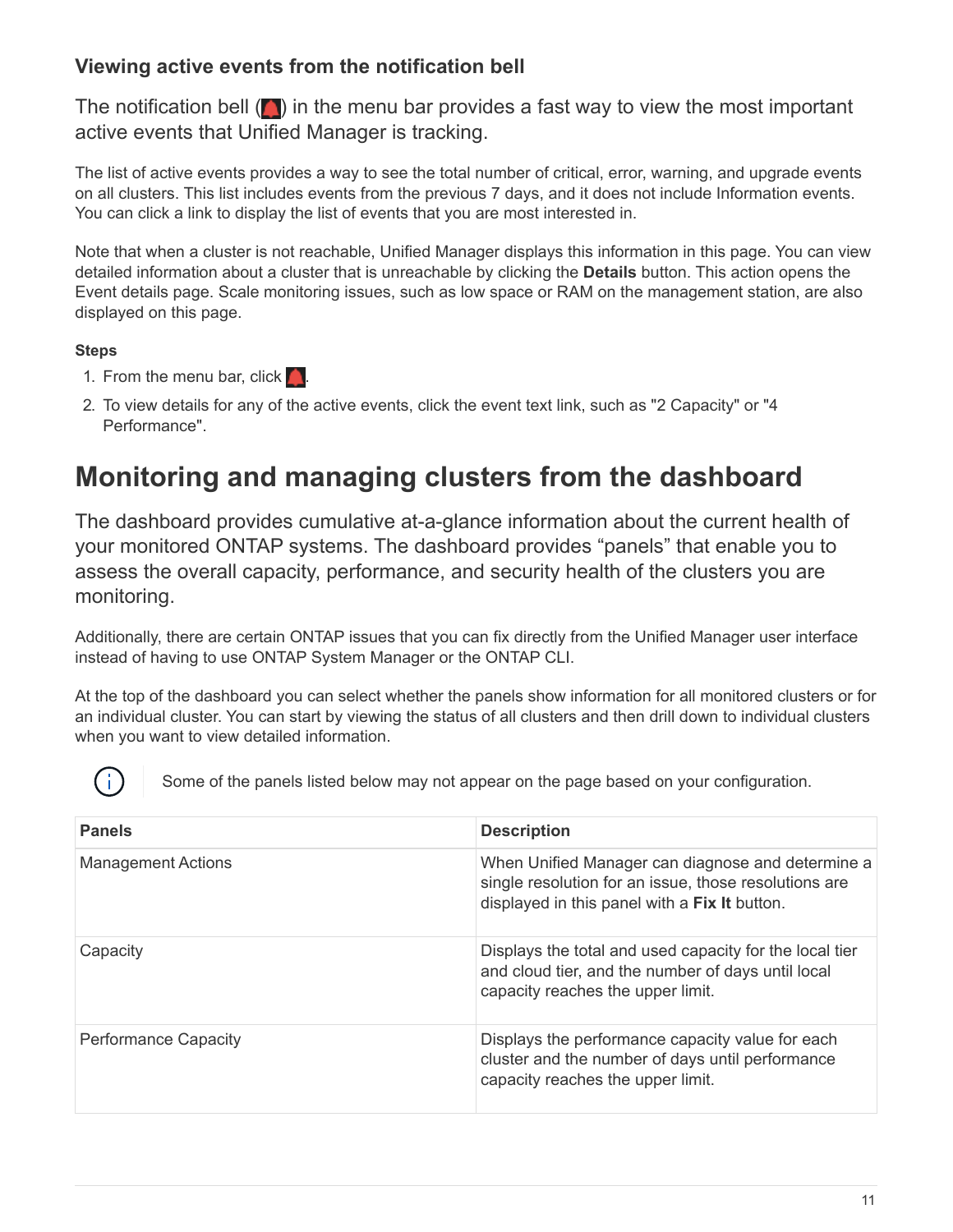# **Viewing active events from the notification bell**

The notification bell  $(\Box)$  in the menu bar provides a fast way to view the most important active events that Unified Manager is tracking.

The list of active events provides a way to see the total number of critical, error, warning, and upgrade events on all clusters. This list includes events from the previous 7 days, and it does not include Information events. You can click a link to display the list of events that you are most interested in.

Note that when a cluster is not reachable, Unified Manager displays this information in this page. You can view detailed information about a cluster that is unreachable by clicking the **Details** button. This action opens the Event details page. Scale monitoring issues, such as low space or RAM on the management station, are also displayed on this page.

# **Steps**

- 1. From the menu bar, click  $\blacksquare$ .
- 2. To view details for any of the active events, click the event text link, such as "2 Capacity" or "4 Performance".

# <span id="page-12-0"></span>**Monitoring and managing clusters from the dashboard**

The dashboard provides cumulative at-a-glance information about the current health of your monitored ONTAP systems. The dashboard provides "panels" that enable you to assess the overall capacity, performance, and security health of the clusters you are monitoring.

Additionally, there are certain ONTAP issues that you can fix directly from the Unified Manager user interface instead of having to use ONTAP System Manager or the ONTAP CLI.

At the top of the dashboard you can select whether the panels show information for all monitored clusters or for an individual cluster. You can start by viewing the status of all clusters and then drill down to individual clusters when you want to view detailed information.



Some of the panels listed below may not appear on the page based on your configuration.

| <b>Panels</b>             | <b>Description</b>                                                                                                                                          |
|---------------------------|-------------------------------------------------------------------------------------------------------------------------------------------------------------|
| <b>Management Actions</b> | When Unified Manager can diagnose and determine a<br>single resolution for an issue, those resolutions are<br>displayed in this panel with a Fix It button. |
| Capacity                  | Displays the total and used capacity for the local tier<br>and cloud tier, and the number of days until local<br>capacity reaches the upper limit.          |
| Performance Capacity      | Displays the performance capacity value for each<br>cluster and the number of days until performance<br>capacity reaches the upper limit.                   |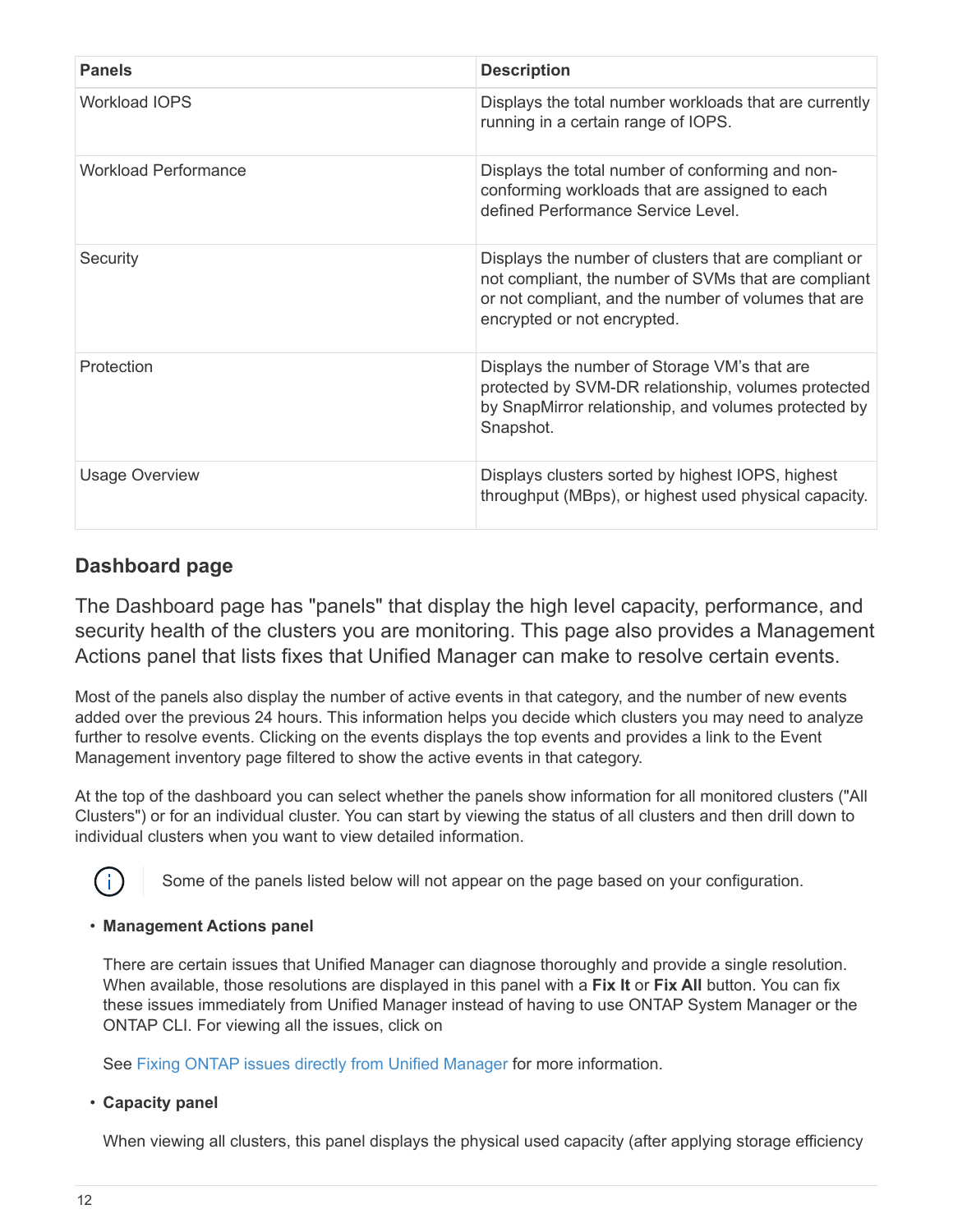| <b>Panels</b>               | <b>Description</b>                                                                                                                                                                                   |
|-----------------------------|------------------------------------------------------------------------------------------------------------------------------------------------------------------------------------------------------|
| <b>Workload IOPS</b>        | Displays the total number workloads that are currently<br>running in a certain range of IOPS.                                                                                                        |
| <b>Workload Performance</b> | Displays the total number of conforming and non-<br>conforming workloads that are assigned to each<br>defined Performance Service Level.                                                             |
| Security                    | Displays the number of clusters that are compliant or<br>not compliant, the number of SVMs that are compliant<br>or not compliant, and the number of volumes that are<br>encrypted or not encrypted. |
| Protection                  | Displays the number of Storage VM's that are<br>protected by SVM-DR relationship, volumes protected<br>by SnapMirror relationship, and volumes protected by<br>Snapshot.                             |
| <b>Usage Overview</b>       | Displays clusters sorted by highest IOPS, highest<br>throughput (MBps), or highest used physical capacity.                                                                                           |

# **Dashboard page**

The Dashboard page has "panels" that display the high level capacity, performance, and security health of the clusters you are monitoring. This page also provides a Management Actions panel that lists fixes that Unified Manager can make to resolve certain events.

Most of the panels also display the number of active events in that category, and the number of new events added over the previous 24 hours. This information helps you decide which clusters you may need to analyze further to resolve events. Clicking on the events displays the top events and provides a link to the Event Management inventory page filtered to show the active events in that category.

At the top of the dashboard you can select whether the panels show information for all monitored clusters ("All Clusters") or for an individual cluster. You can start by viewing the status of all clusters and then drill down to individual clusters when you want to view detailed information.



Some of the panels listed below will not appear on the page based on your configuration.

## • **Management Actions panel**

There are certain issues that Unified Manager can diagnose thoroughly and provide a single resolution. When available, those resolutions are displayed in this panel with a **Fix It** or **Fix All** button. You can fix these issues immediately from Unified Manager instead of having to use ONTAP System Manager or the ONTAP CLI. For viewing all the issues, click on

See [Fixing ONTAP issues directly from Unified Manager](#page-15-0) for more information.

## • **Capacity panel**

When viewing all clusters, this panel displays the physical used capacity (after applying storage efficiency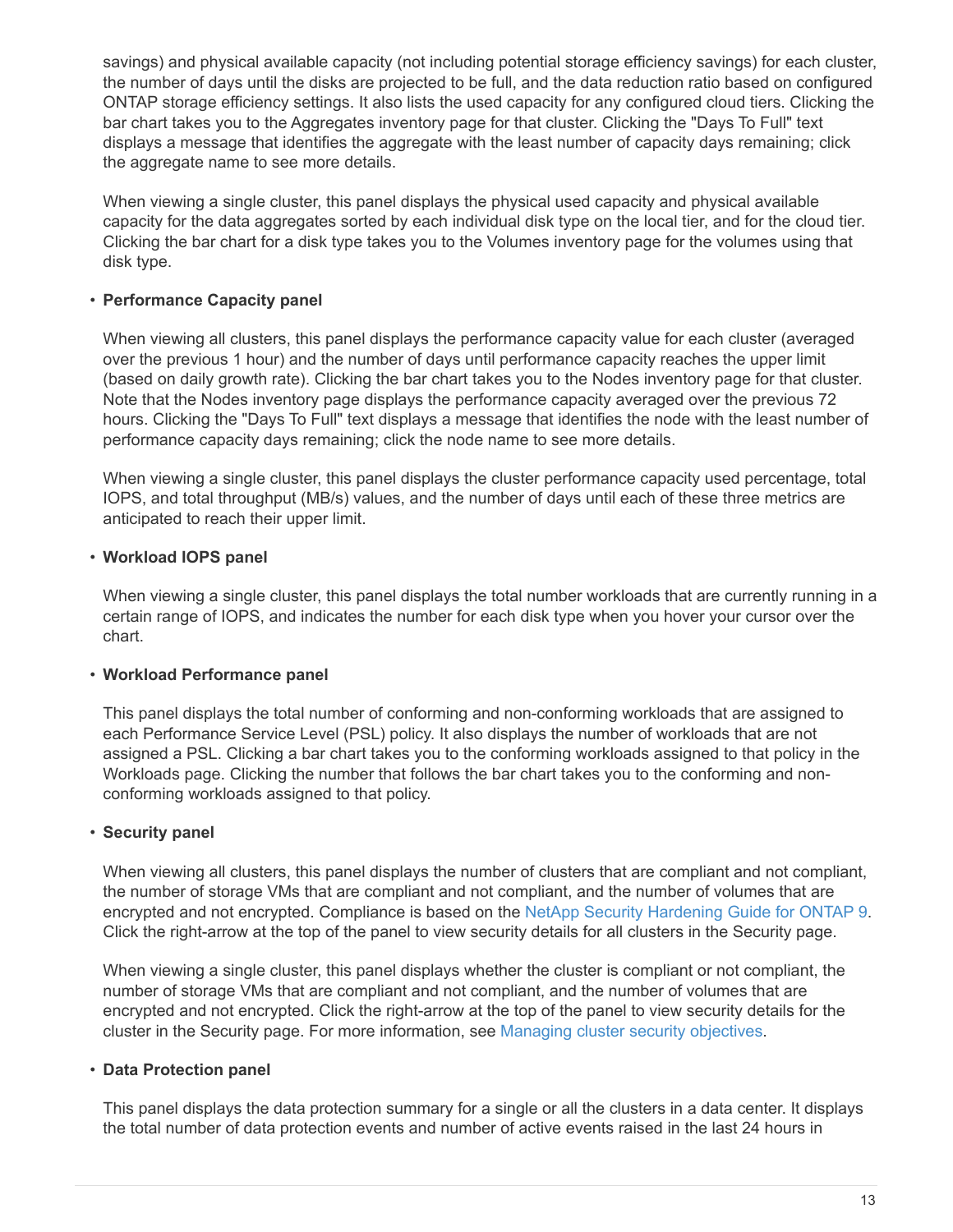savings) and physical available capacity (not including potential storage efficiency savings) for each cluster, the number of days until the disks are projected to be full, and the data reduction ratio based on configured ONTAP storage efficiency settings. It also lists the used capacity for any configured cloud tiers. Clicking the bar chart takes you to the Aggregates inventory page for that cluster. Clicking the "Days To Full" text displays a message that identifies the aggregate with the least number of capacity days remaining; click the aggregate name to see more details.

When viewing a single cluster, this panel displays the physical used capacity and physical available capacity for the data aggregates sorted by each individual disk type on the local tier, and for the cloud tier. Clicking the bar chart for a disk type takes you to the Volumes inventory page for the volumes using that disk type.

# • **Performance Capacity panel**

When viewing all clusters, this panel displays the performance capacity value for each cluster (averaged over the previous 1 hour) and the number of days until performance capacity reaches the upper limit (based on daily growth rate). Clicking the bar chart takes you to the Nodes inventory page for that cluster. Note that the Nodes inventory page displays the performance capacity averaged over the previous 72 hours. Clicking the "Days To Full" text displays a message that identifies the node with the least number of performance capacity days remaining; click the node name to see more details.

When viewing a single cluster, this panel displays the cluster performance capacity used percentage, total IOPS, and total throughput (MB/s) values, and the number of days until each of these three metrics are anticipated to reach their upper limit.

## • **Workload IOPS panel**

When viewing a single cluster, this panel displays the total number workloads that are currently running in a certain range of IOPS, and indicates the number for each disk type when you hover your cursor over the chart.

## • **Workload Performance panel**

This panel displays the total number of conforming and non-conforming workloads that are assigned to each Performance Service Level (PSL) policy. It also displays the number of workloads that are not assigned a PSL. Clicking a bar chart takes you to the conforming workloads assigned to that policy in the Workloads page. Clicking the number that follows the bar chart takes you to the conforming and nonconforming workloads assigned to that policy.

## • **Security panel**

When viewing all clusters, this panel displays the number of clusters that are compliant and not compliant, the number of storage VMs that are compliant and not compliant, and the number of volumes that are encrypted and not encrypted. Compliance is based on the [NetApp Security Hardening Guide for ONTAP 9.](http://www.netapp.com/us/media/tr-4569.pdf) Click the right-arrow at the top of the panel to view security details for all clusters in the Security page.

When viewing a single cluster, this panel displays whether the cluster is compliant or not compliant, the number of storage VMs that are compliant and not compliant, and the number of volumes that are encrypted and not encrypted. Click the right-arrow at the top of the panel to view security details for the cluster in the Security page. For more information, see [Managing cluster security objectives](https://docs.netapp.com/us-en/active-iq-unified-manager-910/health-checker/concept_manage_cluster_security_objectives.html).

# • **Data Protection panel**

This panel displays the data protection summary for a single or all the clusters in a data center. It displays the total number of data protection events and number of active events raised in the last 24 hours in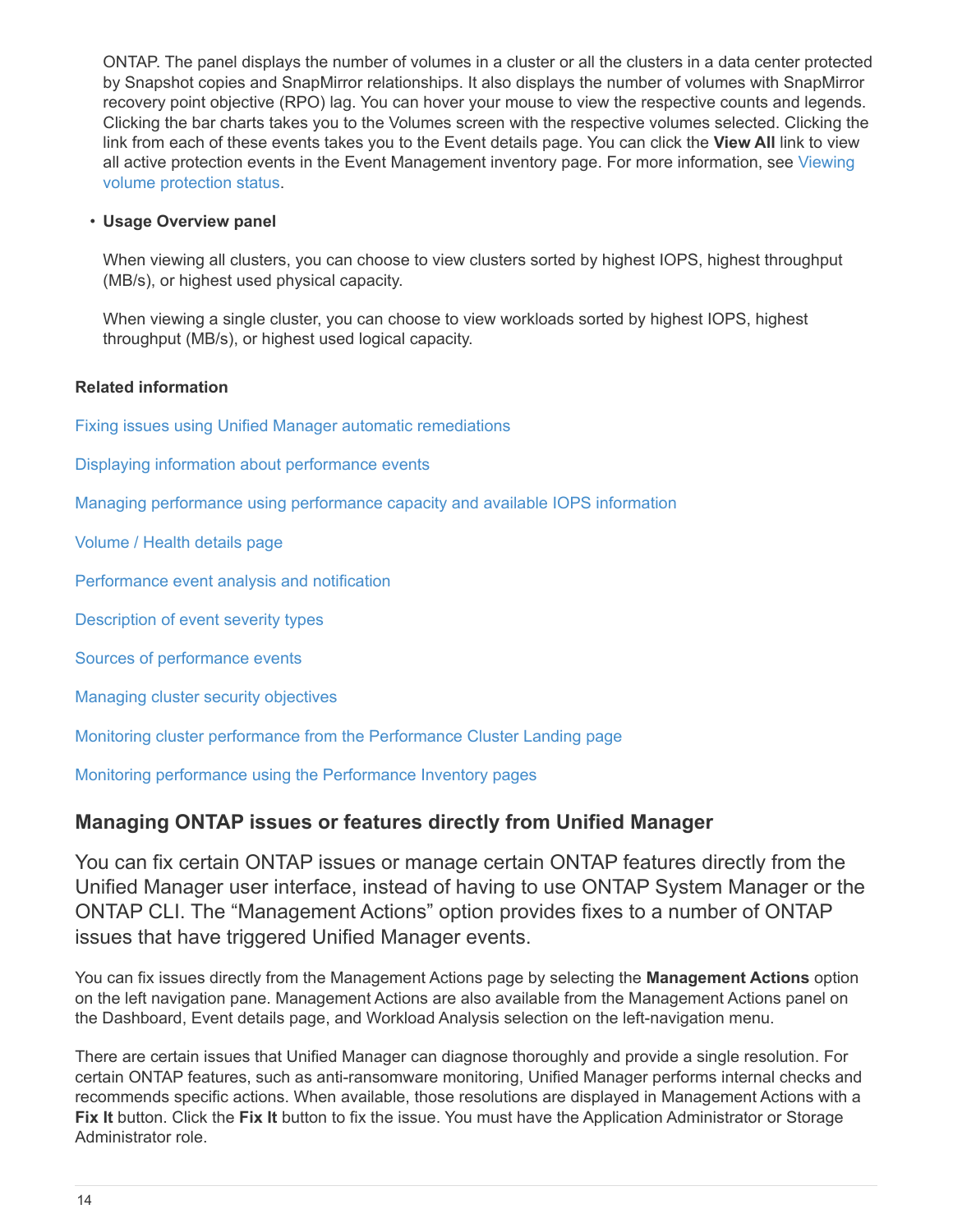ONTAP. The panel displays the number of volumes in a cluster or all the clusters in a data center protected by Snapshot copies and SnapMirror relationships. It also displays the number of volumes with SnapMirror recovery point objective (RPO) lag. You can hover your mouse to view the respective counts and legends. Clicking the bar charts takes you to the Volumes screen with the respective volumes selected. Clicking the link from each of these events takes you to the Event details page. You can click the **View All** link to view all active protection events in the Event Management inventory page. For more information, see [Viewing](https://docs.netapp.com/us-en/active-iq-unified-manager-910/data-protection/view-protection-status.html) [volume protection status.](https://docs.netapp.com/us-en/active-iq-unified-manager-910/data-protection/view-protection-status.html)

### • **Usage Overview panel**

When viewing all clusters, you can choose to view clusters sorted by highest IOPS, highest throughput (MB/s), or highest used physical capacity.

When viewing a single cluster, you can choose to view workloads sorted by highest IOPS, highest throughput (MB/s), or highest used logical capacity.

#### **Related information**

[Fixing issues using Unified Manager automatic remediations](https://docs.netapp.com/us-en/active-iq-unified-manager-910/events/task_fix_issues_using_um_automatic_remediations.html)

[Displaying information about performance events](https://docs.netapp.com/us-en/active-iq-unified-manager-910/performance-checker/task_display_information_about_performance_event.html)

[Managing performance using performance capacity and available IOPS information](https://docs.netapp.com/us-en/active-iq-unified-manager-910/performance-checker/concept_manage_performance_using_perf_capacity_available_iops.html)

[Volume / Health details page](https://docs.netapp.com/us-en/active-iq-unified-manager-910/health-checker/reference_health_volume_details_page.html)

[Performance event analysis and notification](https://docs.netapp.com/us-en/active-iq-unified-manager-910/performance-checker/reference_performance_event_analysis_and_notification.html)

[Description of event severity types](https://docs.netapp.com/us-en/active-iq-unified-manager-910/events/reference_description_of_event_severity_types.html)

[Sources of performance events](https://docs.netapp.com/us-en/active-iq-unified-manager-910/performance-checker/concept_sources_of_performance_events.html)

[Managing cluster security objectives](https://docs.netapp.com/us-en/active-iq-unified-manager-910/health-checker/concept_manage_cluster_security_objectives.html)

[Monitoring cluster performance from the Performance Cluster Landing page](https://docs.netapp.com/us-en/active-iq-unified-manager-910/performance-checker/concept_monitor_cluster_performance_from_cluster_landing_page.html)

[Monitoring performance using the Performance Inventory pages](https://docs.netapp.com/us-en/active-iq-unified-manager-910/performance-checker/concept_monitor_performance_using_object_performance.html)

# <span id="page-15-0"></span>**Managing ONTAP issues or features directly from Unified Manager**

You can fix certain ONTAP issues or manage certain ONTAP features directly from the Unified Manager user interface, instead of having to use ONTAP System Manager or the ONTAP CLI. The "Management Actions" option provides fixes to a number of ONTAP issues that have triggered Unified Manager events.

You can fix issues directly from the Management Actions page by selecting the **Management Actions** option on the left navigation pane. Management Actions are also available from the Management Actions panel on the Dashboard, Event details page, and Workload Analysis selection on the left-navigation menu.

There are certain issues that Unified Manager can diagnose thoroughly and provide a single resolution. For certain ONTAP features, such as anti-ransomware monitoring, Unified Manager performs internal checks and recommends specific actions. When available, those resolutions are displayed in Management Actions with a **Fix It** button. Click the **Fix It** button to fix the issue. You must have the Application Administrator or Storage Administrator role.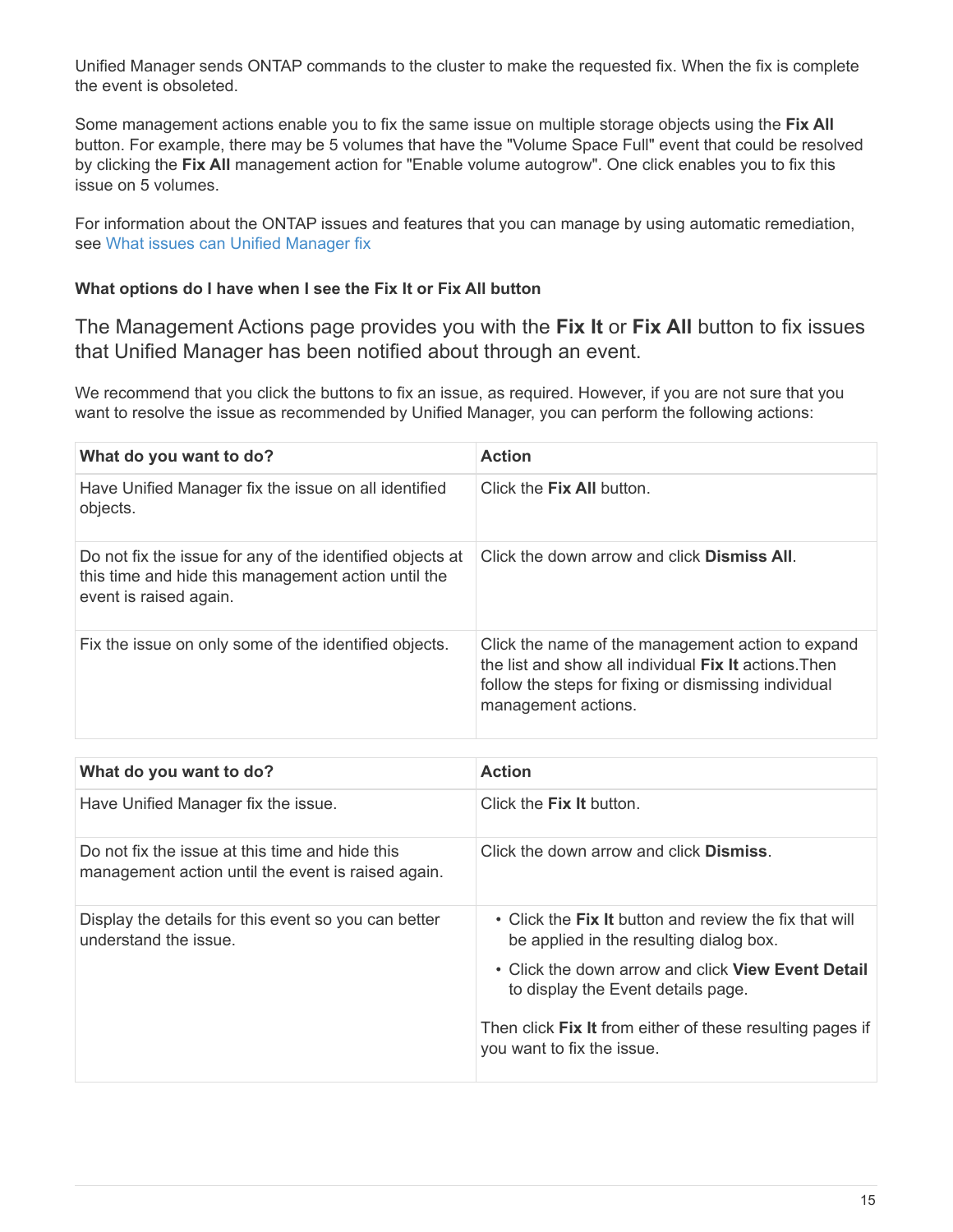Unified Manager sends ONTAP commands to the cluster to make the requested fix. When the fix is complete the event is obsoleted.

Some management actions enable you to fix the same issue on multiple storage objects using the **Fix All** button. For example, there may be 5 volumes that have the "Volume Space Full" event that could be resolved by clicking the **Fix All** management action for "Enable volume autogrow". One click enables you to fix this issue on 5 volumes.

For information about the ONTAP issues and features that you can manage by using automatic remediation, see [What issues can Unified Manager fix](#page-17-0)

# **What options do I have when I see the Fix It or Fix All button**

The Management Actions page provides you with the **Fix It** or **Fix All** button to fix issues that Unified Manager has been notified about through an event.

We recommend that you click the buttons to fix an issue, as required. However, if you are not sure that you want to resolve the issue as recommended by Unified Manager, you can perform the following actions:

| What do you want to do?                                                                                                                    | <b>Action</b>                                                                                                                                                                                    |
|--------------------------------------------------------------------------------------------------------------------------------------------|--------------------------------------------------------------------------------------------------------------------------------------------------------------------------------------------------|
| Have Unified Manager fix the issue on all identified<br>objects.                                                                           | Click the <b>Fix All</b> button.                                                                                                                                                                 |
| Do not fix the issue for any of the identified objects at<br>this time and hide this management action until the<br>event is raised again. | Click the down arrow and click <b>Dismiss All</b> .                                                                                                                                              |
| Fix the issue on only some of the identified objects.                                                                                      | Click the name of the management action to expand<br>the list and show all individual <b>Fix It</b> actions. Then<br>follow the steps for fixing or dismissing individual<br>management actions. |

| What do you want to do?                                                                               | <b>Action</b>                                                                                     |
|-------------------------------------------------------------------------------------------------------|---------------------------------------------------------------------------------------------------|
| Have Unified Manager fix the issue.                                                                   | Click the <b>Fix It</b> button.                                                                   |
| Do not fix the issue at this time and hide this<br>management action until the event is raised again. | Click the down arrow and click <b>Dismiss</b> .                                                   |
| Display the details for this event so you can better<br>understand the issue.                         | • Click the Fix It button and review the fix that will<br>be applied in the resulting dialog box. |
|                                                                                                       | • Click the down arrow and click <b>View Event Detail</b><br>to display the Event details page.   |
|                                                                                                       | Then click Fix It from either of these resulting pages if<br>you want to fix the issue.           |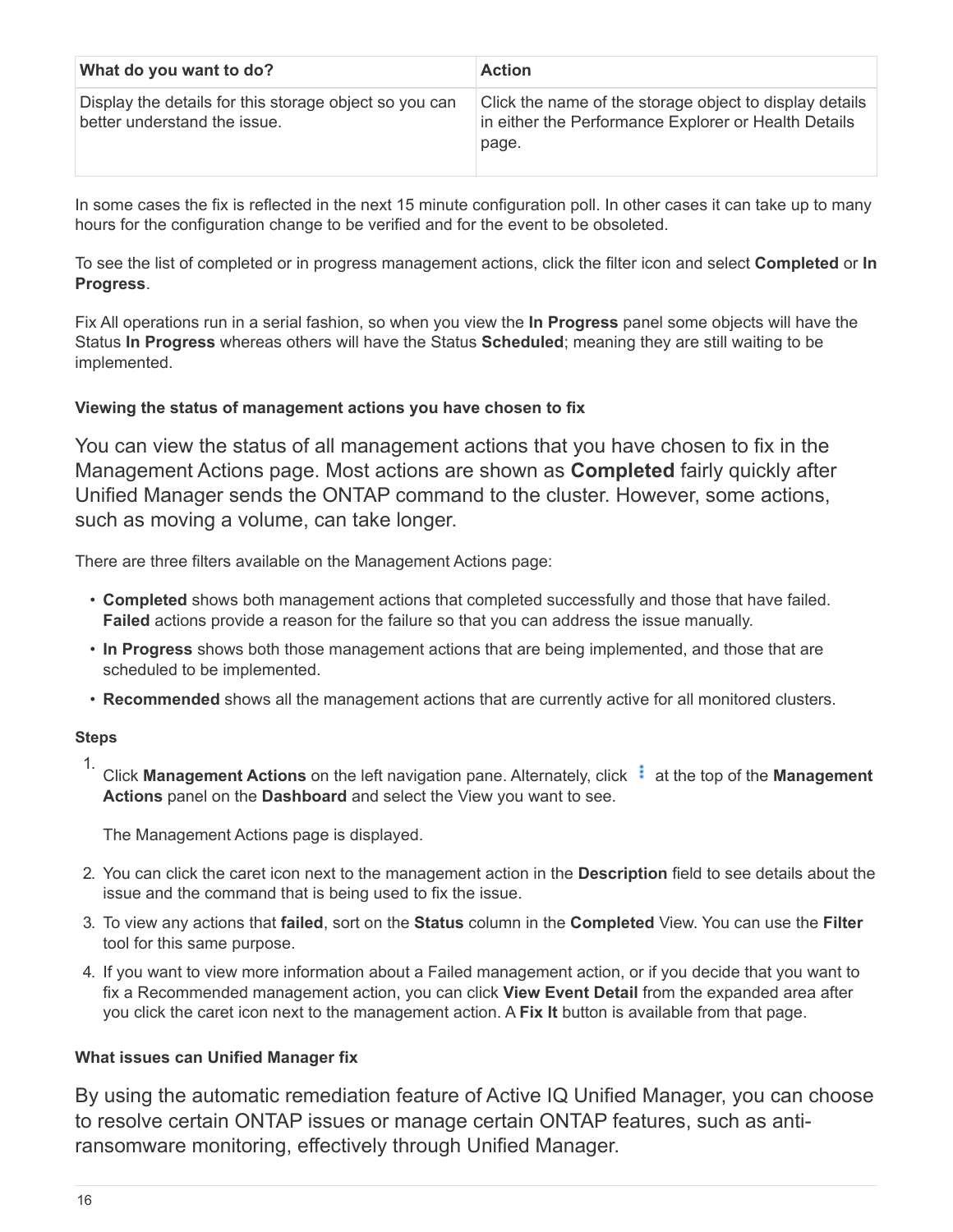| What do you want to do?                                                                | <b>Action</b>                                                                                                            |
|----------------------------------------------------------------------------------------|--------------------------------------------------------------------------------------------------------------------------|
| Display the details for this storage object so you can<br>better understand the issue. | Click the name of the storage object to display details<br>in either the Performance Explorer or Health Details<br>page. |

In some cases the fix is reflected in the next 15 minute configuration poll. In other cases it can take up to many hours for the configuration change to be verified and for the event to be obsoleted.

To see the list of completed or in progress management actions, click the filter icon and select **Completed** or **In Progress**.

Fix All operations run in a serial fashion, so when you view the **In Progress** panel some objects will have the Status **In Progress** whereas others will have the Status **Scheduled**; meaning they are still waiting to be implemented.

## **Viewing the status of management actions you have chosen to fix**

You can view the status of all management actions that you have chosen to fix in the Management Actions page. Most actions are shown as **Completed** fairly quickly after Unified Manager sends the ONTAP command to the cluster. However, some actions, such as moving a volume, can take longer.

There are three filters available on the Management Actions page:

- **Completed** shows both management actions that completed successfully and those that have failed. **Failed** actions provide a reason for the failure so that you can address the issue manually.
- **In Progress** shows both those management actions that are being implemented, and those that are scheduled to be implemented.
- **Recommended** shows all the management actions that are currently active for all monitored clusters.

## **Steps**

1. Click **Management Actions** on the left navigation pane. Alternately, click **a** at the top of the **Management Actions** panel on the **Dashboard** and select the View you want to see.

The Management Actions page is displayed.

- 2. You can click the caret icon next to the management action in the **Description** field to see details about the issue and the command that is being used to fix the issue.
- 3. To view any actions that **failed**, sort on the **Status** column in the **Completed** View. You can use the **Filter** tool for this same purpose.
- 4. If you want to view more information about a Failed management action, or if you decide that you want to fix a Recommended management action, you can click **View Event Detail** from the expanded area after you click the caret icon next to the management action. A **Fix It** button is available from that page.

## <span id="page-17-0"></span>**What issues can Unified Manager fix**

By using the automatic remediation feature of Active IQ Unified Manager, you can choose to resolve certain ONTAP issues or manage certain ONTAP features, such as antiransomware monitoring, effectively through Unified Manager.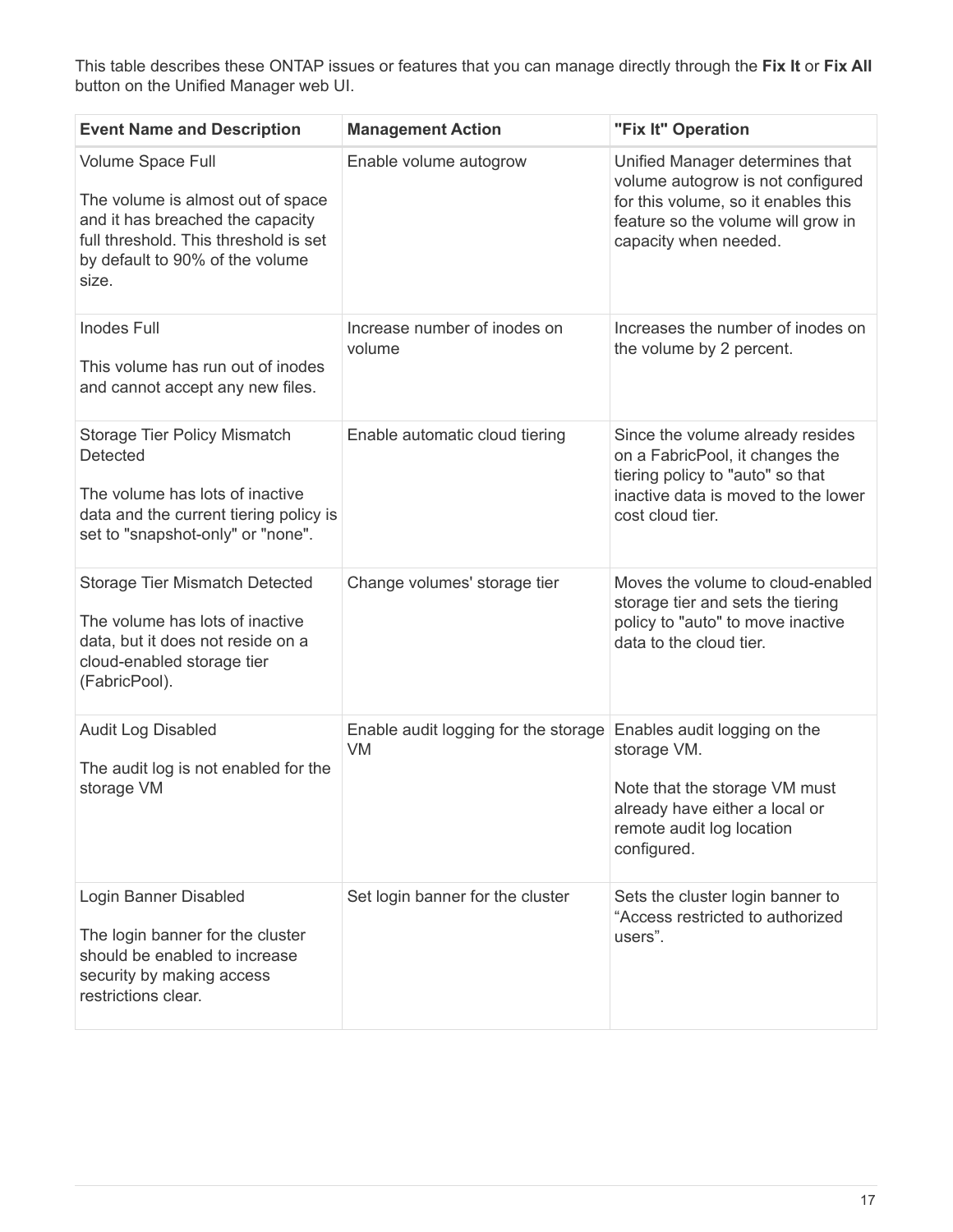This table describes these ONTAP issues or features that you can manage directly through the **Fix It** or **Fix All** button on the Unified Manager web UI.

| <b>Event Name and Description</b>                                                                                                                                               | <b>Management Action</b>                   | "Fix It" Operation                                                                                                                                                         |
|---------------------------------------------------------------------------------------------------------------------------------------------------------------------------------|--------------------------------------------|----------------------------------------------------------------------------------------------------------------------------------------------------------------------------|
| Volume Space Full<br>The volume is almost out of space<br>and it has breached the capacity<br>full threshold. This threshold is set<br>by default to 90% of the volume<br>size. | Enable volume autogrow                     | Unified Manager determines that<br>volume autogrow is not configured<br>for this volume, so it enables this<br>feature so the volume will grow in<br>capacity when needed. |
| <b>Inodes Full</b><br>This volume has run out of inodes<br>and cannot accept any new files.                                                                                     | Increase number of inodes on<br>volume     | Increases the number of inodes on<br>the volume by 2 percent.                                                                                                              |
| Storage Tier Policy Mismatch<br>Detected<br>The volume has lots of inactive<br>data and the current tiering policy is<br>set to "snapshot-only" or "none".                      | Enable automatic cloud tiering             | Since the volume already resides<br>on a FabricPool, it changes the<br>tiering policy to "auto" so that<br>inactive data is moved to the lower<br>cost cloud tier.         |
| <b>Storage Tier Mismatch Detected</b><br>The volume has lots of inactive<br>data, but it does not reside on a<br>cloud-enabled storage tier<br>(FabricPool).                    | Change volumes' storage tier               | Moves the volume to cloud-enabled<br>storage tier and sets the tiering<br>policy to "auto" to move inactive<br>data to the cloud tier.                                     |
| <b>Audit Log Disabled</b><br>The audit log is not enabled for the<br>storage VM                                                                                                 | Enable audit logging for the storage<br>VM | Enables audit logging on the<br>storage VM.<br>Note that the storage VM must<br>already have either a local or<br>remote audit log location<br>configured.                 |
| Login Banner Disabled<br>The login banner for the cluster<br>should be enabled to increase<br>security by making access<br>restrictions clear.                                  | Set login banner for the cluster           | Sets the cluster login banner to<br>"Access restricted to authorized<br>users".                                                                                            |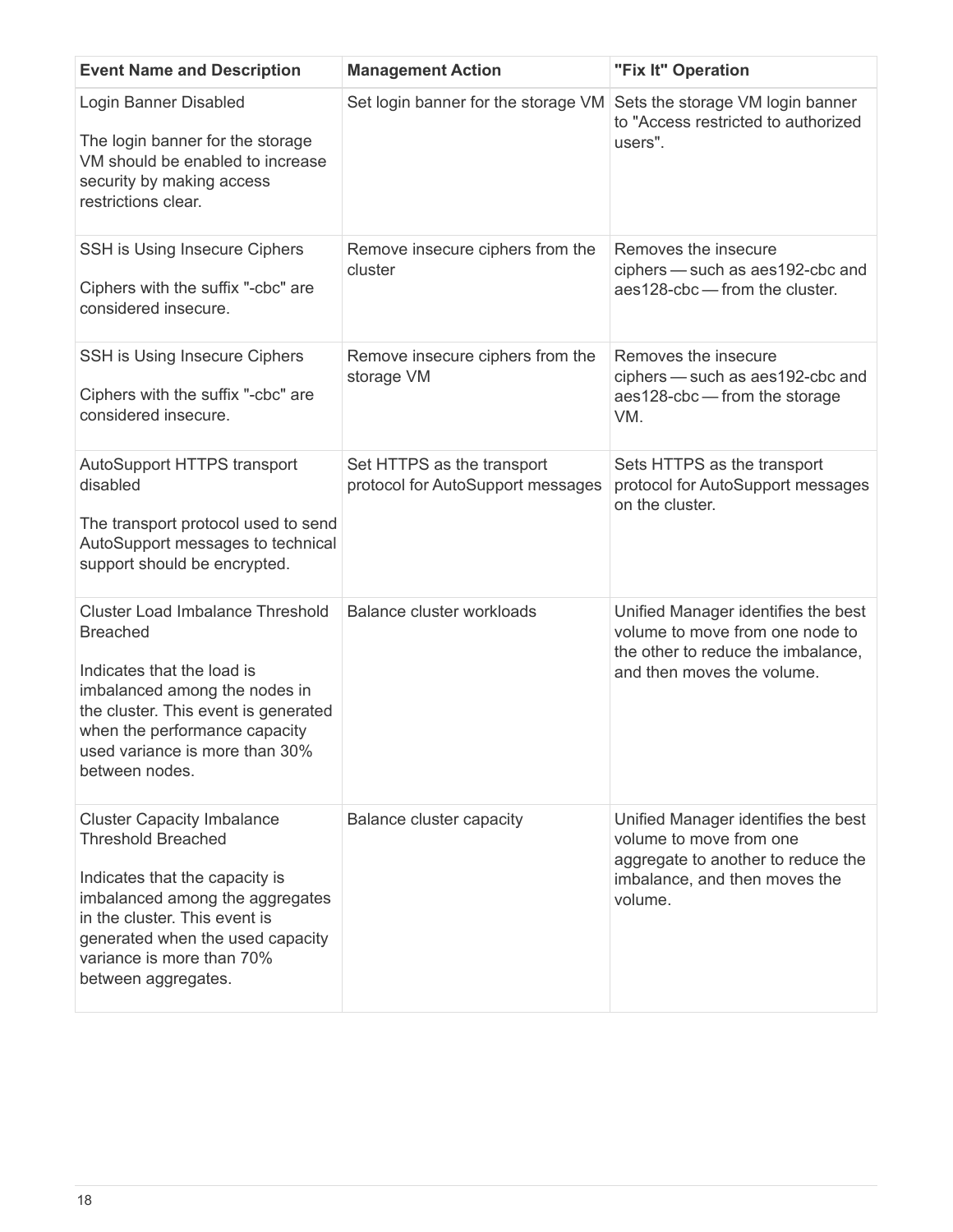| <b>Event Name and Description</b>                                                                                                                                                                                                                            | <b>Management Action</b>                                        | "Fix It" Operation                                                                                                                               |
|--------------------------------------------------------------------------------------------------------------------------------------------------------------------------------------------------------------------------------------------------------------|-----------------------------------------------------------------|--------------------------------------------------------------------------------------------------------------------------------------------------|
| Login Banner Disabled<br>The login banner for the storage<br>VM should be enabled to increase<br>security by making access<br>restrictions clear.                                                                                                            | Set login banner for the storage VM                             | Sets the storage VM login banner<br>to "Access restricted to authorized<br>users".                                                               |
| SSH is Using Insecure Ciphers<br>Ciphers with the suffix "-cbc" are<br>considered insecure.                                                                                                                                                                  | Remove insecure ciphers from the<br>cluster                     | Removes the insecure<br>ciphers - such as aes192-cbc and<br>aes128-cbc - from the cluster.                                                       |
| SSH is Using Insecure Ciphers<br>Ciphers with the suffix "-cbc" are<br>considered insecure.                                                                                                                                                                  | Remove insecure ciphers from the<br>storage VM                  | Removes the insecure<br>ciphers - such as aes192-cbc and<br>aes128-cbc - from the storage<br>VM.                                                 |
| AutoSupport HTTPS transport<br>disabled<br>The transport protocol used to send<br>AutoSupport messages to technical<br>support should be encrypted.                                                                                                          | Set HTTPS as the transport<br>protocol for AutoSupport messages | Sets HTTPS as the transport<br>protocol for AutoSupport messages<br>on the cluster.                                                              |
| <b>Cluster Load Imbalance Threshold</b><br><b>Breached</b><br>Indicates that the load is<br>imbalanced among the nodes in<br>the cluster. This event is generated<br>when the performance capacity<br>used variance is more than 30%<br>between nodes.       | Balance cluster workloads                                       | Unified Manager identifies the best<br>volume to move from one node to<br>the other to reduce the imbalance,<br>and then moves the volume.       |
| <b>Cluster Capacity Imbalance</b><br><b>Threshold Breached</b><br>Indicates that the capacity is<br>imbalanced among the aggregates<br>in the cluster. This event is<br>generated when the used capacity<br>variance is more than 70%<br>between aggregates. | <b>Balance cluster capacity</b>                                 | Unified Manager identifies the best<br>volume to move from one<br>aggregate to another to reduce the<br>imbalance, and then moves the<br>volume. |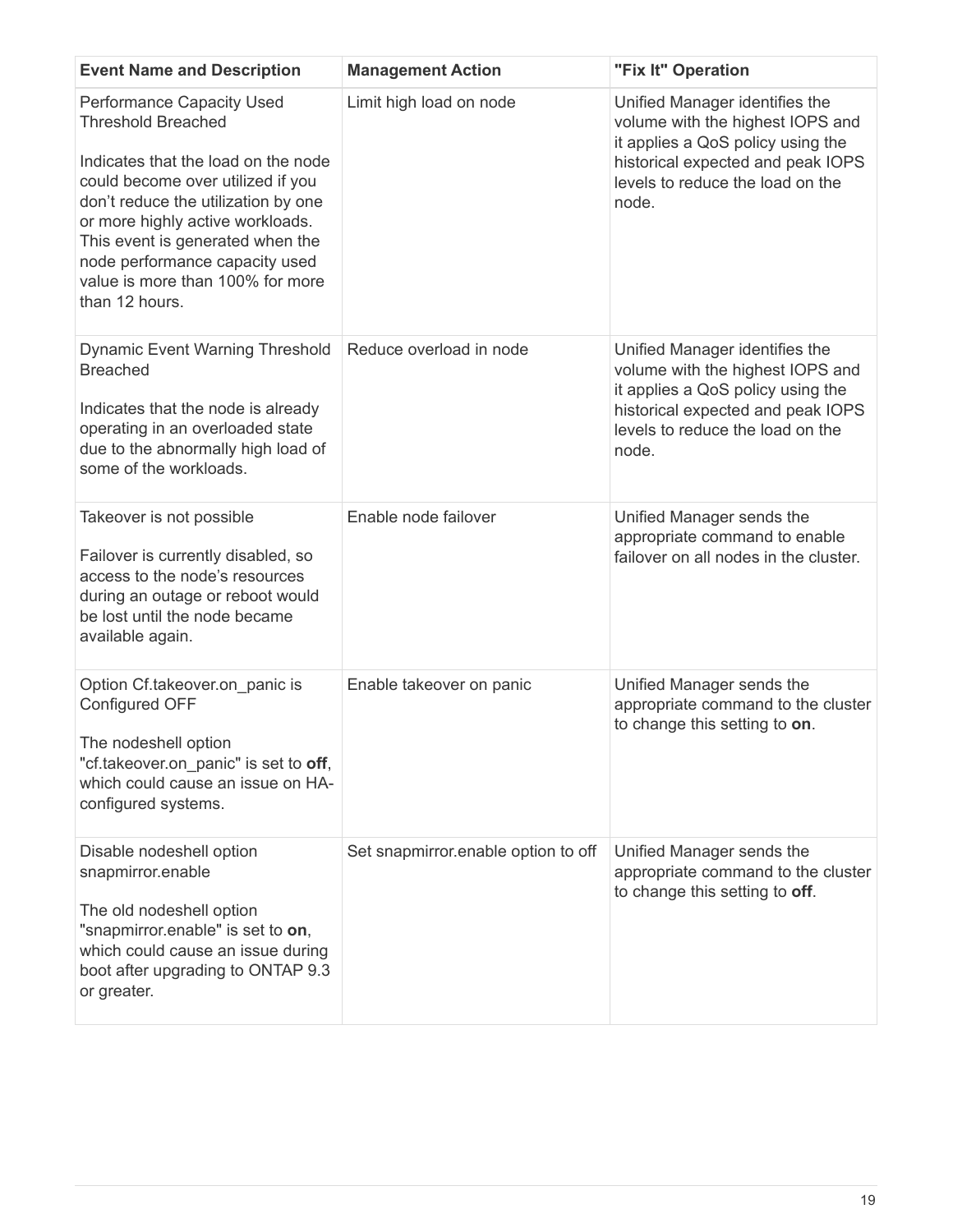| <b>Event Name and Description</b>                                                                                                                                                                                                                                                                                                                | <b>Management Action</b>            | "Fix It" Operation                                                                                                                                                                        |
|--------------------------------------------------------------------------------------------------------------------------------------------------------------------------------------------------------------------------------------------------------------------------------------------------------------------------------------------------|-------------------------------------|-------------------------------------------------------------------------------------------------------------------------------------------------------------------------------------------|
| <b>Performance Capacity Used</b><br><b>Threshold Breached</b><br>Indicates that the load on the node<br>could become over utilized if you<br>don't reduce the utilization by one<br>or more highly active workloads.<br>This event is generated when the<br>node performance capacity used<br>value is more than 100% for more<br>than 12 hours. | Limit high load on node             | Unified Manager identifies the<br>volume with the highest IOPS and<br>it applies a QoS policy using the<br>historical expected and peak IOPS<br>levels to reduce the load on the<br>node. |
| <b>Dynamic Event Warning Threshold</b><br><b>Breached</b><br>Indicates that the node is already<br>operating in an overloaded state<br>due to the abnormally high load of<br>some of the workloads.                                                                                                                                              | Reduce overload in node             | Unified Manager identifies the<br>volume with the highest IOPS and<br>it applies a QoS policy using the<br>historical expected and peak IOPS<br>levels to reduce the load on the<br>node. |
| Takeover is not possible<br>Failover is currently disabled, so<br>access to the node's resources<br>during an outage or reboot would<br>be lost until the node became<br>available again.                                                                                                                                                        | Enable node failover                | Unified Manager sends the<br>appropriate command to enable<br>failover on all nodes in the cluster.                                                                                       |
| Option Cf.takeover.on panic is<br>Configured OFF<br>The nodeshell option<br>"cf.takeover.on panic" is set to off,<br>which could cause an issue on HA-<br>configured systems.                                                                                                                                                                    | Enable takeover on panic            | Unified Manager sends the<br>appropriate command to the cluster<br>to change this setting to on.                                                                                          |
| Disable nodeshell option<br>snapmirror.enable<br>The old nodeshell option<br>"snapmirror.enable" is set to on,<br>which could cause an issue during<br>boot after upgrading to ONTAP 9.3<br>or greater.                                                                                                                                          | Set snapmirror.enable option to off | Unified Manager sends the<br>appropriate command to the cluster<br>to change this setting to off.                                                                                         |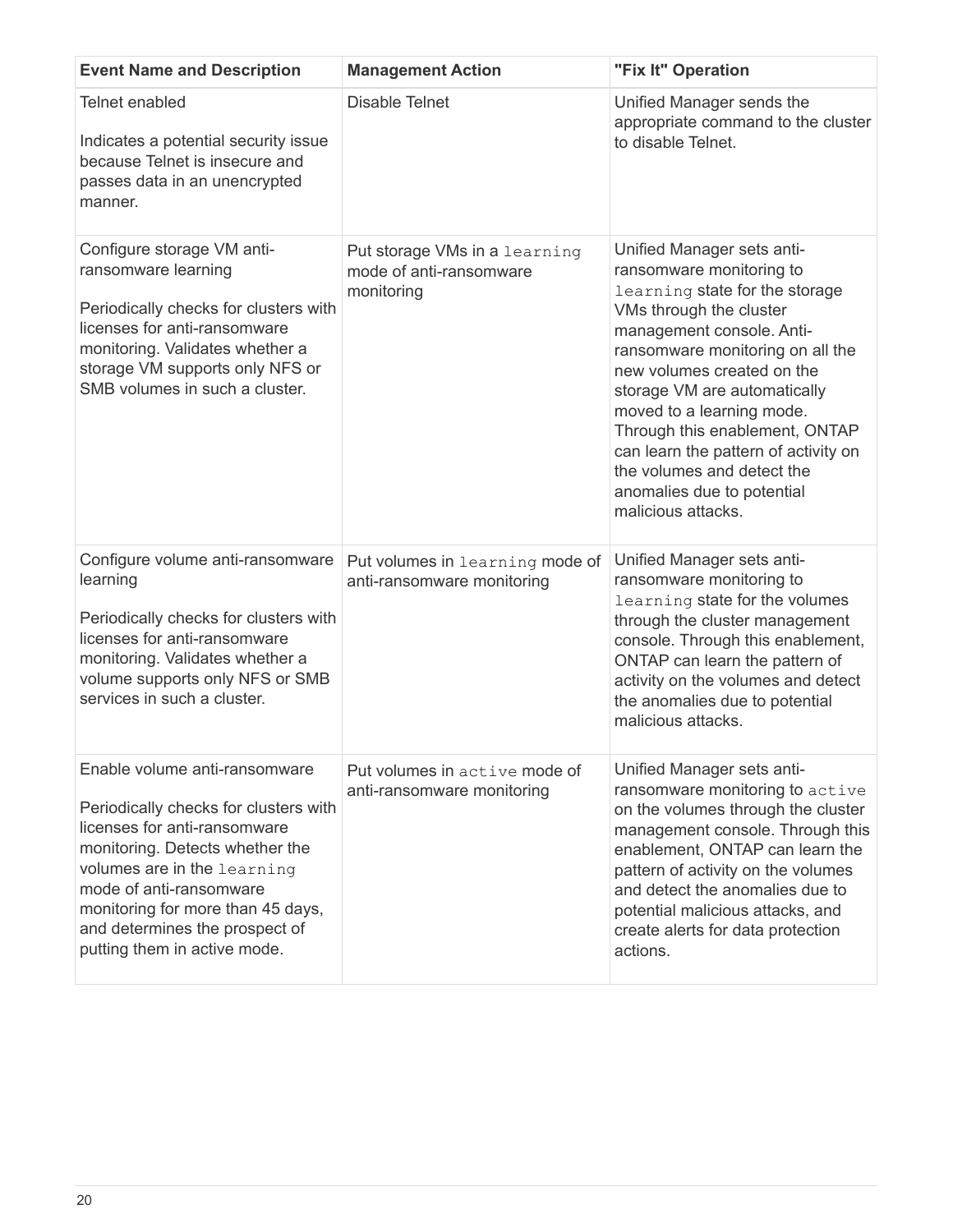| <b>Event Name and Description</b>                                                                                                                                                                                                                                                                          | <b>Management Action</b>                                               | "Fix It" Operation                                                                                                                                                                                                                                                                                                                                                                                                                          |
|------------------------------------------------------------------------------------------------------------------------------------------------------------------------------------------------------------------------------------------------------------------------------------------------------------|------------------------------------------------------------------------|---------------------------------------------------------------------------------------------------------------------------------------------------------------------------------------------------------------------------------------------------------------------------------------------------------------------------------------------------------------------------------------------------------------------------------------------|
| <b>Telnet enabled</b><br>Indicates a potential security issue<br>because Telnet is insecure and<br>passes data in an unencrypted<br>manner.                                                                                                                                                                | <b>Disable Telnet</b>                                                  | Unified Manager sends the<br>appropriate command to the cluster<br>to disable Telnet.                                                                                                                                                                                                                                                                                                                                                       |
| Configure storage VM anti-<br>ransomware learning<br>Periodically checks for clusters with<br>licenses for anti-ransomware<br>monitoring. Validates whether a<br>storage VM supports only NFS or<br>SMB volumes in such a cluster.                                                                         | Put storage VMs in a learning<br>mode of anti-ransomware<br>monitoring | Unified Manager sets anti-<br>ransomware monitoring to<br>learning state for the storage<br>VMs through the cluster<br>management console. Anti-<br>ransomware monitoring on all the<br>new volumes created on the<br>storage VM are automatically<br>moved to a learning mode.<br>Through this enablement, ONTAP<br>can learn the pattern of activity on<br>the volumes and detect the<br>anomalies due to potential<br>malicious attacks. |
| Configure volume anti-ransomware<br>learning<br>Periodically checks for clusters with<br>licenses for anti-ransomware<br>monitoring. Validates whether a<br>volume supports only NFS or SMB<br>services in such a cluster.                                                                                 | Put volumes in learning mode of<br>anti-ransomware monitoring          | Unified Manager sets anti-<br>ransomware monitoring to<br>learning state for the volumes<br>through the cluster management<br>console. Through this enablement,<br>ONTAP can learn the pattern of<br>activity on the volumes and detect<br>the anomalies due to potential<br>malicious attacks.                                                                                                                                             |
| Enable volume anti-ransomware<br>Periodically checks for clusters with<br>licenses for anti-ransomware<br>monitoring. Detects whether the<br>volumes are in the learning<br>mode of anti-ransomware<br>monitoring for more than 45 days,<br>and determines the prospect of<br>putting them in active mode. | Put volumes in active mode of<br>anti-ransomware monitoring            | Unified Manager sets anti-<br>ransomware monitoring to active<br>on the volumes through the cluster<br>management console. Through this<br>enablement, ONTAP can learn the<br>pattern of activity on the volumes<br>and detect the anomalies due to<br>potential malicious attacks, and<br>create alerts for data protection<br>actions.                                                                                                    |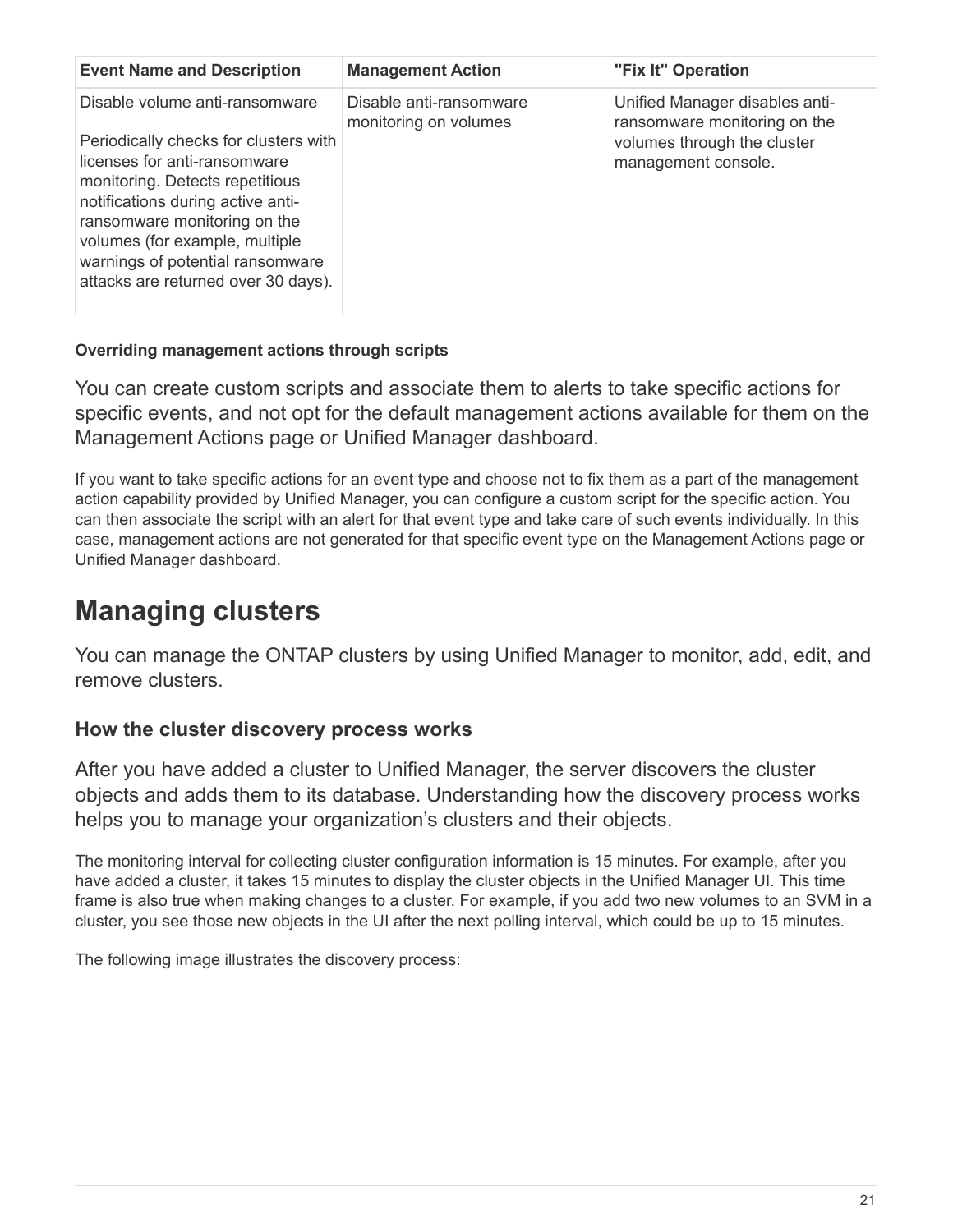| <b>Event Name and Description</b>                                                                                                                                                                                                                                                                                            | <b>Management Action</b>                         | "Fix It" Operation                                                                                                   |
|------------------------------------------------------------------------------------------------------------------------------------------------------------------------------------------------------------------------------------------------------------------------------------------------------------------------------|--------------------------------------------------|----------------------------------------------------------------------------------------------------------------------|
| Disable volume anti-ransomware<br>Periodically checks for clusters with<br>licenses for anti-ransomware<br>monitoring. Detects repetitious<br>notifications during active anti-<br>ransomware monitoring on the<br>volumes (for example, multiple<br>warnings of potential ransomware<br>attacks are returned over 30 days). | Disable anti-ransomware<br>monitoring on volumes | Unified Manager disables anti-<br>ransomware monitoring on the<br>volumes through the cluster<br>management console. |

# **Overriding management actions through scripts**

You can create custom scripts and associate them to alerts to take specific actions for specific events, and not opt for the default management actions available for them on the Management Actions page or Unified Manager dashboard.

If you want to take specific actions for an event type and choose not to fix them as a part of the management action capability provided by Unified Manager, you can configure a custom script for the specific action. You can then associate the script with an alert for that event type and take care of such events individually. In this case, management actions are not generated for that specific event type on the Management Actions page or Unified Manager dashboard.

# <span id="page-22-0"></span>**Managing clusters**

You can manage the ONTAP clusters by using Unified Manager to monitor, add, edit, and remove clusters.

# **How the cluster discovery process works**

After you have added a cluster to Unified Manager, the server discovers the cluster objects and adds them to its database. Understanding how the discovery process works helps you to manage your organization's clusters and their objects.

The monitoring interval for collecting cluster configuration information is 15 minutes. For example, after you have added a cluster, it takes 15 minutes to display the cluster objects in the Unified Manager UI. This time frame is also true when making changes to a cluster. For example, if you add two new volumes to an SVM in a cluster, you see those new objects in the UI after the next polling interval, which could be up to 15 minutes.

The following image illustrates the discovery process: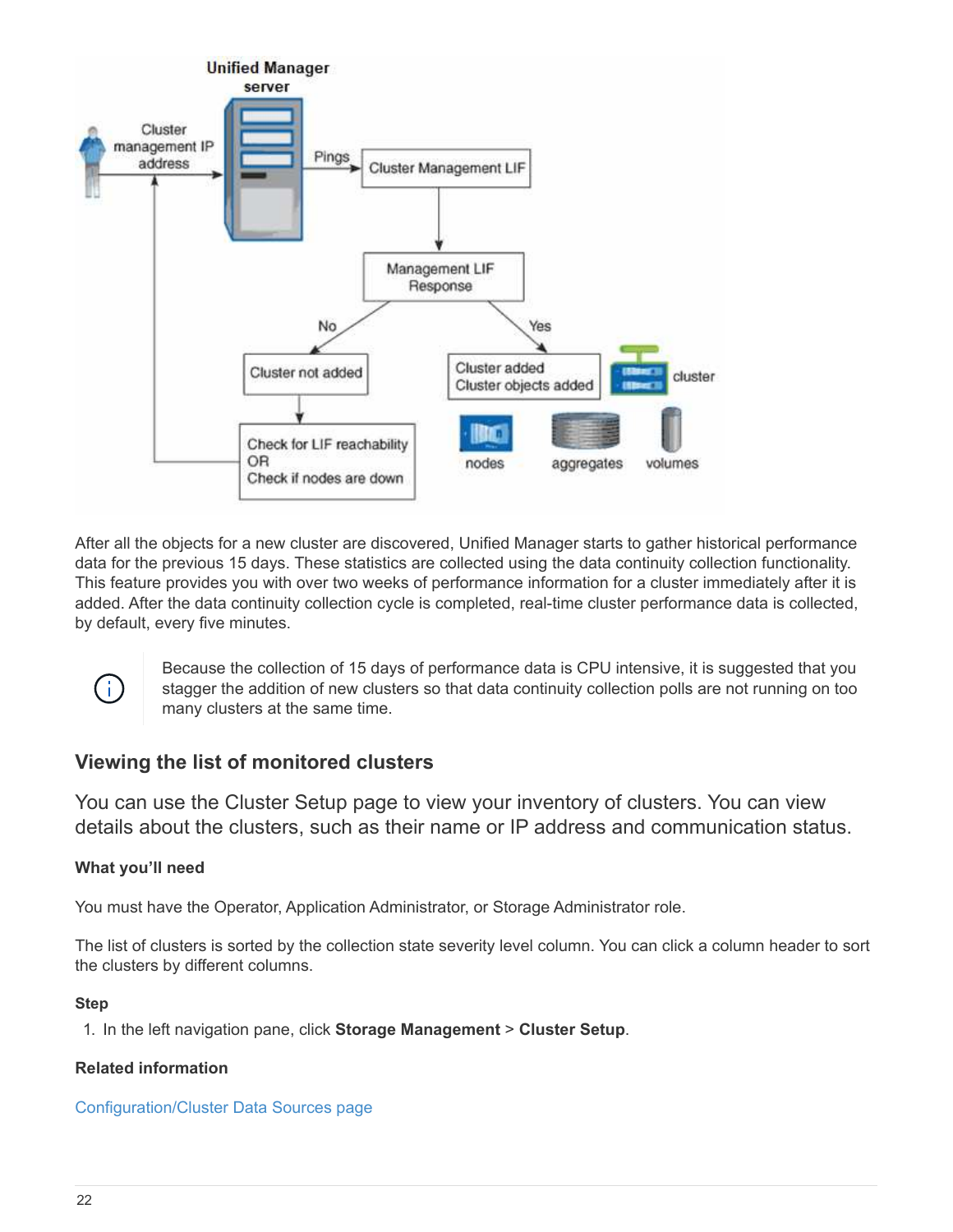

After all the objects for a new cluster are discovered, Unified Manager starts to gather historical performance data for the previous 15 days. These statistics are collected using the data continuity collection functionality. This feature provides you with over two weeks of performance information for a cluster immediately after it is added. After the data continuity collection cycle is completed, real-time cluster performance data is collected, by default, every five minutes.



Because the collection of 15 days of performance data is CPU intensive, it is suggested that you stagger the addition of new clusters so that data continuity collection polls are not running on too many clusters at the same time.

# **Viewing the list of monitored clusters**

You can use the Cluster Setup page to view your inventory of clusters. You can view details about the clusters, such as their name or IP address and communication status.

# **What you'll need**

You must have the Operator, Application Administrator, or Storage Administrator role.

The list of clusters is sorted by the collection state severity level column. You can click a column header to sort the clusters by different columns.

## **Step**

1. In the left navigation pane, click **Storage Management** > **Cluster Setup**.

## **Related information**

Configuration/Cluster Data Sources page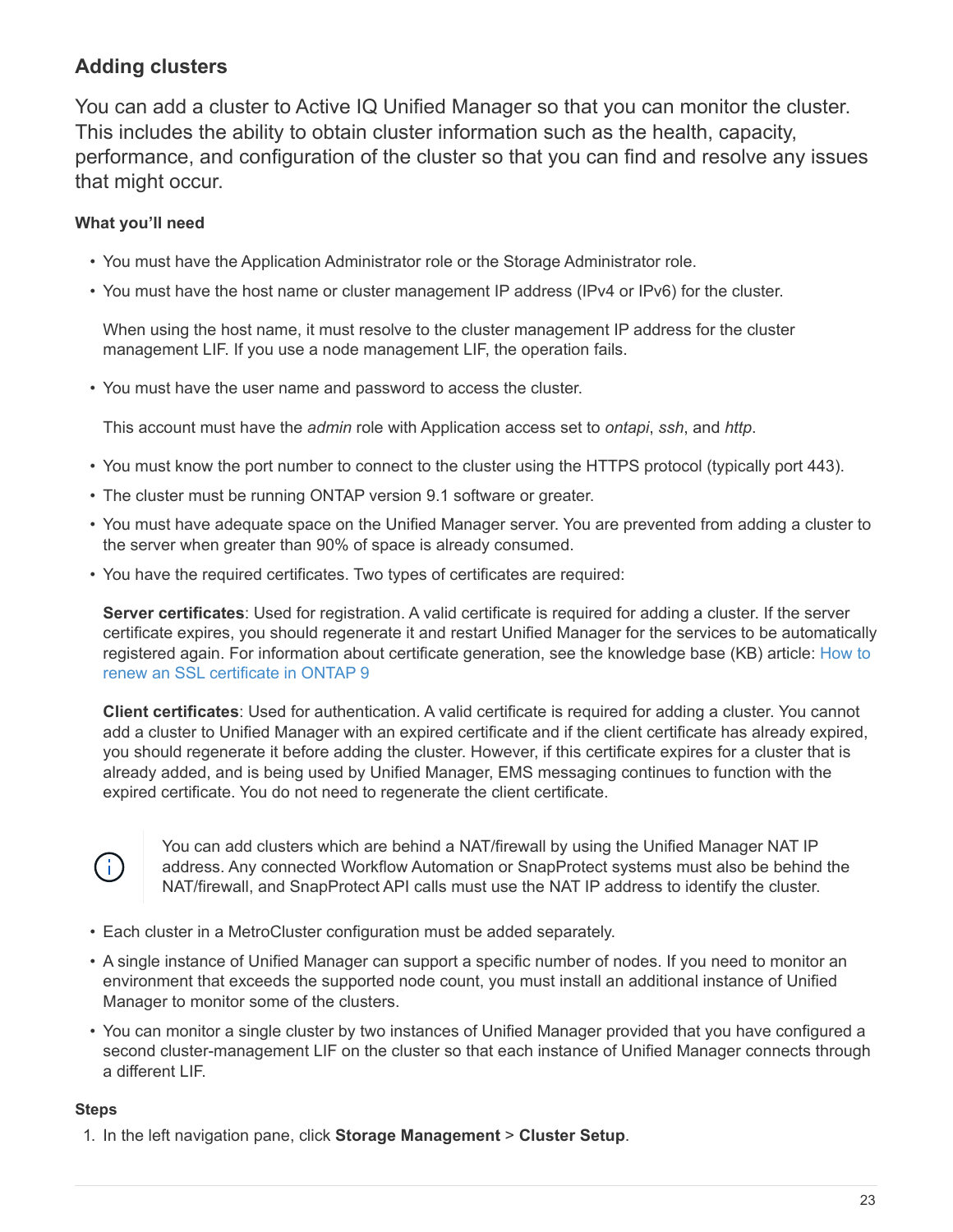# **Adding clusters**

You can add a cluster to Active IQ Unified Manager so that you can monitor the cluster. This includes the ability to obtain cluster information such as the health, capacity, performance, and configuration of the cluster so that you can find and resolve any issues that might occur.

# **What you'll need**

- You must have the Application Administrator role or the Storage Administrator role.
- You must have the host name or cluster management IP address (IPv4 or IPv6) for the cluster.

When using the host name, it must resolve to the cluster management IP address for the cluster management LIF. If you use a node management LIF, the operation fails.

• You must have the user name and password to access the cluster.

This account must have the *admin* role with Application access set to *ontapi*, *ssh*, and *http*.

- You must know the port number to connect to the cluster using the HTTPS protocol (typically port 443).
- The cluster must be running ONTAP version 9.1 software or greater.
- You must have adequate space on the Unified Manager server. You are prevented from adding a cluster to the server when greater than 90% of space is already consumed.
- You have the required certificates. Two types of certificates are required:

**Server certificates**: Used for registration. A valid certificate is required for adding a cluster. If the server certificate expires, you should regenerate it and restart Unified Manager for the services to be automatically registered again. For information about certificate generation, see the knowledge base (KB) article: [How to](https://kb.netapp.com/Advice_and_Troubleshooting/Data_Storage_Software/ONTAP_OS/How_to_renew_an_SSL_certificate_in_ONTAP_9) [renew an SSL certificate in ONTAP 9](https://kb.netapp.com/Advice_and_Troubleshooting/Data_Storage_Software/ONTAP_OS/How_to_renew_an_SSL_certificate_in_ONTAP_9)

**Client certificates**: Used for authentication. A valid certificate is required for adding a cluster. You cannot add a cluster to Unified Manager with an expired certificate and if the client certificate has already expired, you should regenerate it before adding the cluster. However, if this certificate expires for a cluster that is already added, and is being used by Unified Manager, EMS messaging continues to function with the expired certificate. You do not need to regenerate the client certificate.



You can add clusters which are behind a NAT/firewall by using the Unified Manager NAT IP address. Any connected Workflow Automation or SnapProtect systems must also be behind the NAT/firewall, and SnapProtect API calls must use the NAT IP address to identify the cluster.

- Each cluster in a MetroCluster configuration must be added separately.
- A single instance of Unified Manager can support a specific number of nodes. If you need to monitor an environment that exceeds the supported node count, you must install an additional instance of Unified Manager to monitor some of the clusters.
- You can monitor a single cluster by two instances of Unified Manager provided that you have configured a second cluster-management LIF on the cluster so that each instance of Unified Manager connects through a different LIF.

#### **Steps**

1. In the left navigation pane, click **Storage Management** > **Cluster Setup**.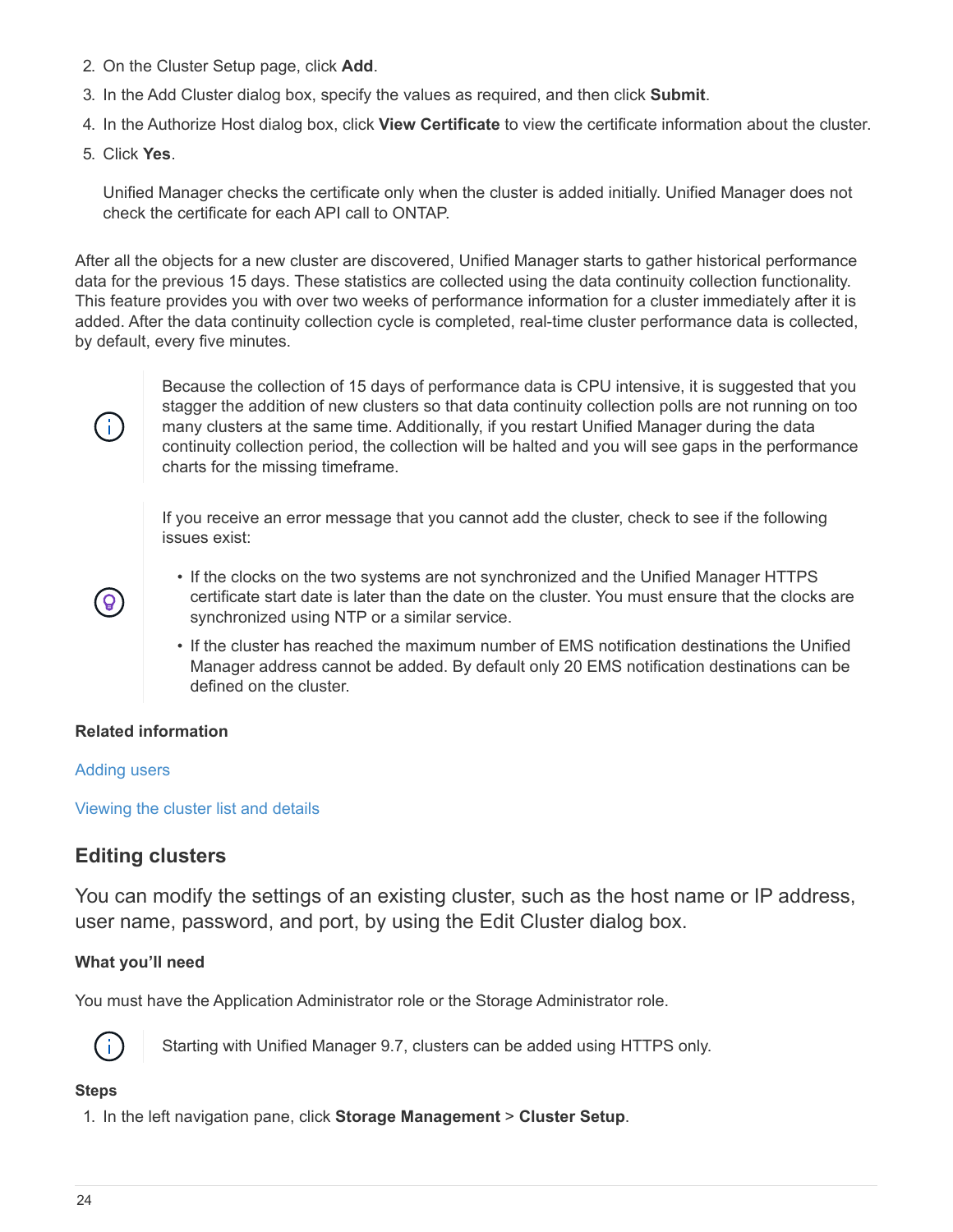- 2. On the Cluster Setup page, click **Add**.
- 3. In the Add Cluster dialog box, specify the values as required, and then click **Submit**.
- 4. In the Authorize Host dialog box, click **View Certificate** to view the certificate information about the cluster.
- 5. Click **Yes**.

Unified Manager checks the certificate only when the cluster is added initially. Unified Manager does not check the certificate for each API call to ONTAP.

After all the objects for a new cluster are discovered, Unified Manager starts to gather historical performance data for the previous 15 days. These statistics are collected using the data continuity collection functionality. This feature provides you with over two weeks of performance information for a cluster immediately after it is added. After the data continuity collection cycle is completed, real-time cluster performance data is collected, by default, every five minutes.



Because the collection of 15 days of performance data is CPU intensive, it is suggested that you stagger the addition of new clusters so that data continuity collection polls are not running on too many clusters at the same time. Additionally, if you restart Unified Manager during the data continuity collection period, the collection will be halted and you will see gaps in the performance charts for the missing timeframe.

If you receive an error message that you cannot add the cluster, check to see if the following issues exist:



- If the clocks on the two systems are not synchronized and the Unified Manager HTTPS certificate start date is later than the date on the cluster. You must ensure that the clocks are synchronized using NTP or a similar service.
- If the cluster has reached the maximum number of EMS notification destinations the Unified Manager address cannot be added. By default only 20 EMS notification destinations can be defined on the cluster.

## **Related information**

#### [Adding users](https://docs.netapp.com/us-en/active-iq-unified-manager-910/config/task_add_users.html)

[Viewing the cluster list and details](https://docs.netapp.com/us-en/active-iq-unified-manager-910/health-checker/task_view_cluster_list_and_details.html)

# **Editing clusters**

You can modify the settings of an existing cluster, such as the host name or IP address, user name, password, and port, by using the Edit Cluster dialog box.

## **What you'll need**

You must have the Application Administrator role or the Storage Administrator role.



Starting with Unified Manager 9.7, clusters can be added using HTTPS only.

## **Steps**

1. In the left navigation pane, click **Storage Management** > **Cluster Setup**.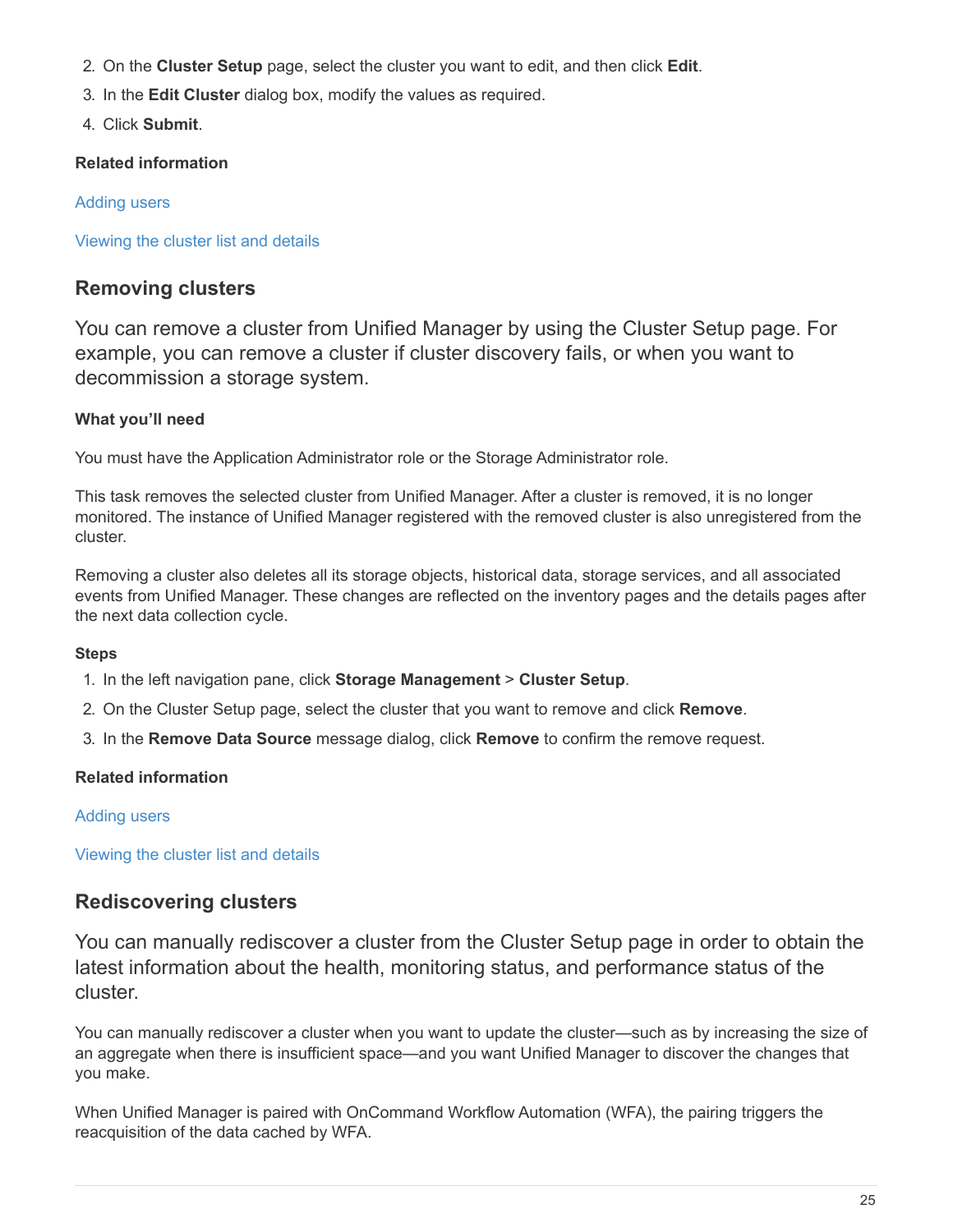- 2. On the **Cluster Setup** page, select the cluster you want to edit, and then click **Edit**.
- 3. In the **Edit Cluster** dialog box, modify the values as required.
- 4. Click **Submit**.

# **Related information**

# [Adding users](https://docs.netapp.com/us-en/active-iq-unified-manager-910/config/task_add_users.html)

[Viewing the cluster list and details](https://docs.netapp.com/us-en/active-iq-unified-manager-910/health-checker/task_view_cluster_list_and_details.html)

# **Removing clusters**

You can remove a cluster from Unified Manager by using the Cluster Setup page. For example, you can remove a cluster if cluster discovery fails, or when you want to decommission a storage system.

# **What you'll need**

You must have the Application Administrator role or the Storage Administrator role.

This task removes the selected cluster from Unified Manager. After a cluster is removed, it is no longer monitored. The instance of Unified Manager registered with the removed cluster is also unregistered from the cluster.

Removing a cluster also deletes all its storage objects, historical data, storage services, and all associated events from Unified Manager. These changes are reflected on the inventory pages and the details pages after the next data collection cycle.

# **Steps**

- 1. In the left navigation pane, click **Storage Management** > **Cluster Setup**.
- 2. On the Cluster Setup page, select the cluster that you want to remove and click **Remove**.
- 3. In the **Remove Data Source** message dialog, click **Remove** to confirm the remove request.

# **Related information**

# [Adding users](https://docs.netapp.com/us-en/active-iq-unified-manager-910/config/task_add_users.html)

[Viewing the cluster list and details](https://docs.netapp.com/us-en/active-iq-unified-manager-910/health-checker/task_view_cluster_list_and_details.html)

# **Rediscovering clusters**

You can manually rediscover a cluster from the Cluster Setup page in order to obtain the latest information about the health, monitoring status, and performance status of the cluster.

You can manually rediscover a cluster when you want to update the cluster—such as by increasing the size of an aggregate when there is insufficient space—and you want Unified Manager to discover the changes that you make.

When Unified Manager is paired with OnCommand Workflow Automation (WFA), the pairing triggers the reacquisition of the data cached by WFA.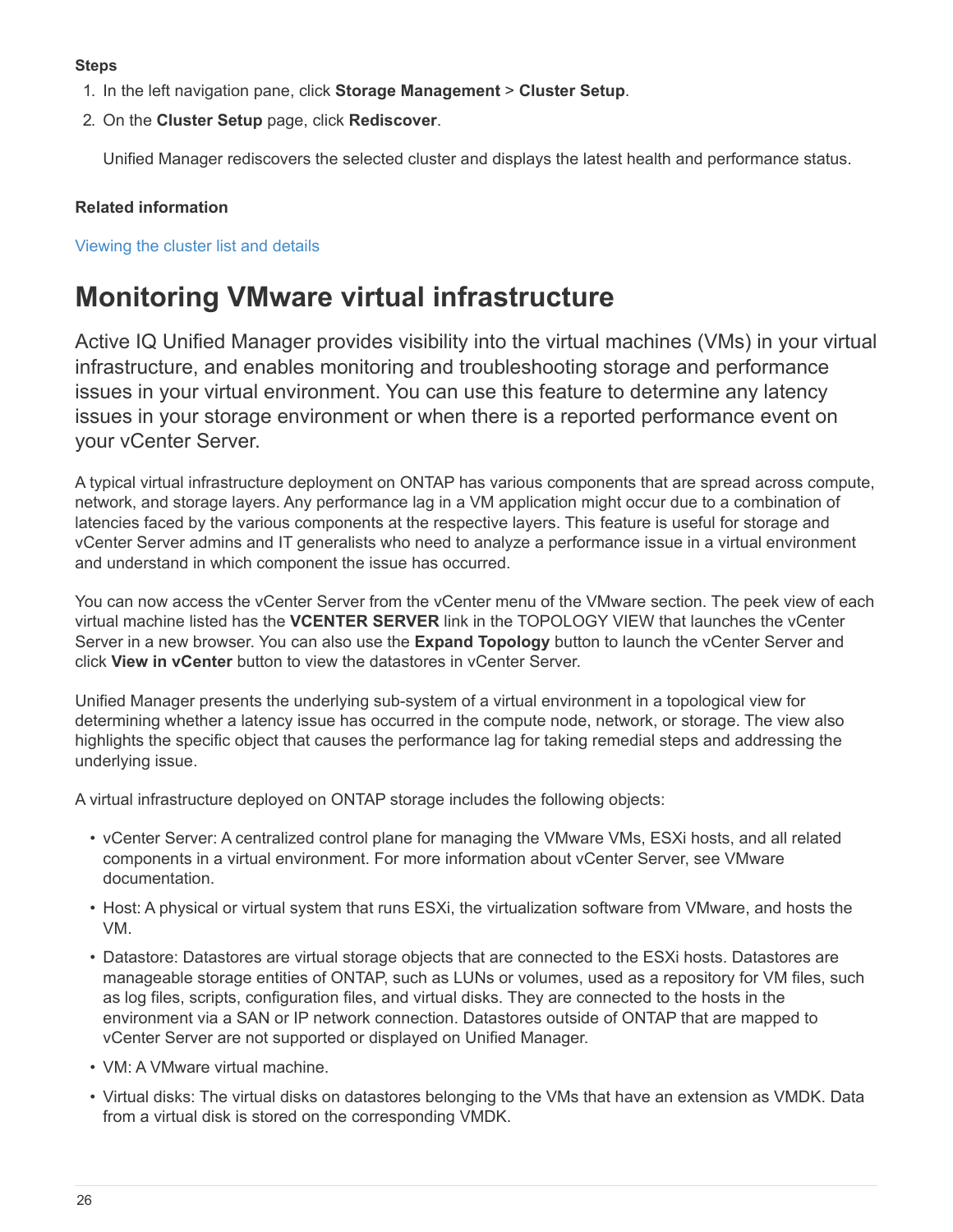## **Steps**

- 1. In the left navigation pane, click **Storage Management** > **Cluster Setup**.
- 2. On the **Cluster Setup** page, click **Rediscover**.

Unified Manager rediscovers the selected cluster and displays the latest health and performance status.

# **Related information**

[Viewing the cluster list and details](https://docs.netapp.com/us-en/active-iq-unified-manager-910/health-checker/task_view_cluster_list_and_details.html)

# <span id="page-27-0"></span>**Monitoring VMware virtual infrastructure**

Active IQ Unified Manager provides visibility into the virtual machines (VMs) in your virtual infrastructure, and enables monitoring and troubleshooting storage and performance issues in your virtual environment. You can use this feature to determine any latency issues in your storage environment or when there is a reported performance event on your vCenter Server.

A typical virtual infrastructure deployment on ONTAP has various components that are spread across compute, network, and storage layers. Any performance lag in a VM application might occur due to a combination of latencies faced by the various components at the respective layers. This feature is useful for storage and vCenter Server admins and IT generalists who need to analyze a performance issue in a virtual environment and understand in which component the issue has occurred.

You can now access the vCenter Server from the vCenter menu of the VMware section. The peek view of each virtual machine listed has the **VCENTER SERVER** link in the TOPOLOGY VIEW that launches the vCenter Server in a new browser. You can also use the **Expand Topology** button to launch the vCenter Server and click **View in vCenter** button to view the datastores in vCenter Server.

Unified Manager presents the underlying sub-system of a virtual environment in a topological view for determining whether a latency issue has occurred in the compute node, network, or storage. The view also highlights the specific object that causes the performance lag for taking remedial steps and addressing the underlying issue.

A virtual infrastructure deployed on ONTAP storage includes the following objects:

- vCenter Server: A centralized control plane for managing the VMware VMs, ESXi hosts, and all related components in a virtual environment. For more information about vCenter Server, see VMware documentation.
- Host: A physical or virtual system that runs ESXi, the virtualization software from VMware, and hosts the VM.
- Datastore: Datastores are virtual storage objects that are connected to the ESXi hosts. Datastores are manageable storage entities of ONTAP, such as LUNs or volumes, used as a repository for VM files, such as log files, scripts, configuration files, and virtual disks. They are connected to the hosts in the environment via a SAN or IP network connection. Datastores outside of ONTAP that are mapped to vCenter Server are not supported or displayed on Unified Manager.
- VM: A VMware virtual machine.
- Virtual disks: The virtual disks on datastores belonging to the VMs that have an extension as VMDK. Data from a virtual disk is stored on the corresponding VMDK.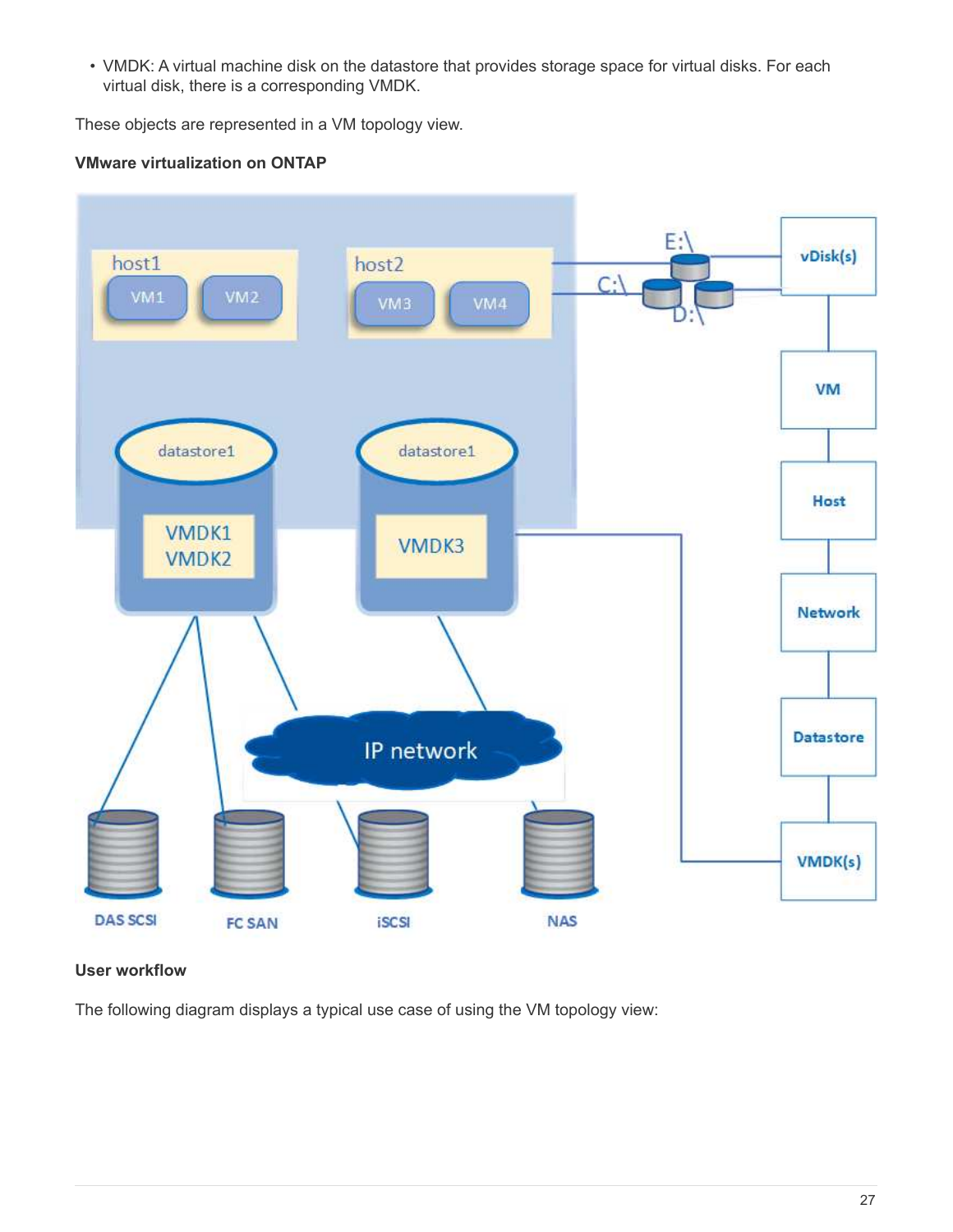• VMDK: A virtual machine disk on the datastore that provides storage space for virtual disks. For each virtual disk, there is a corresponding VMDK.

These objects are represented in a VM topology view.

# **VMware virtualization on ONTAP**



## **User workflow**

The following diagram displays a typical use case of using the VM topology view: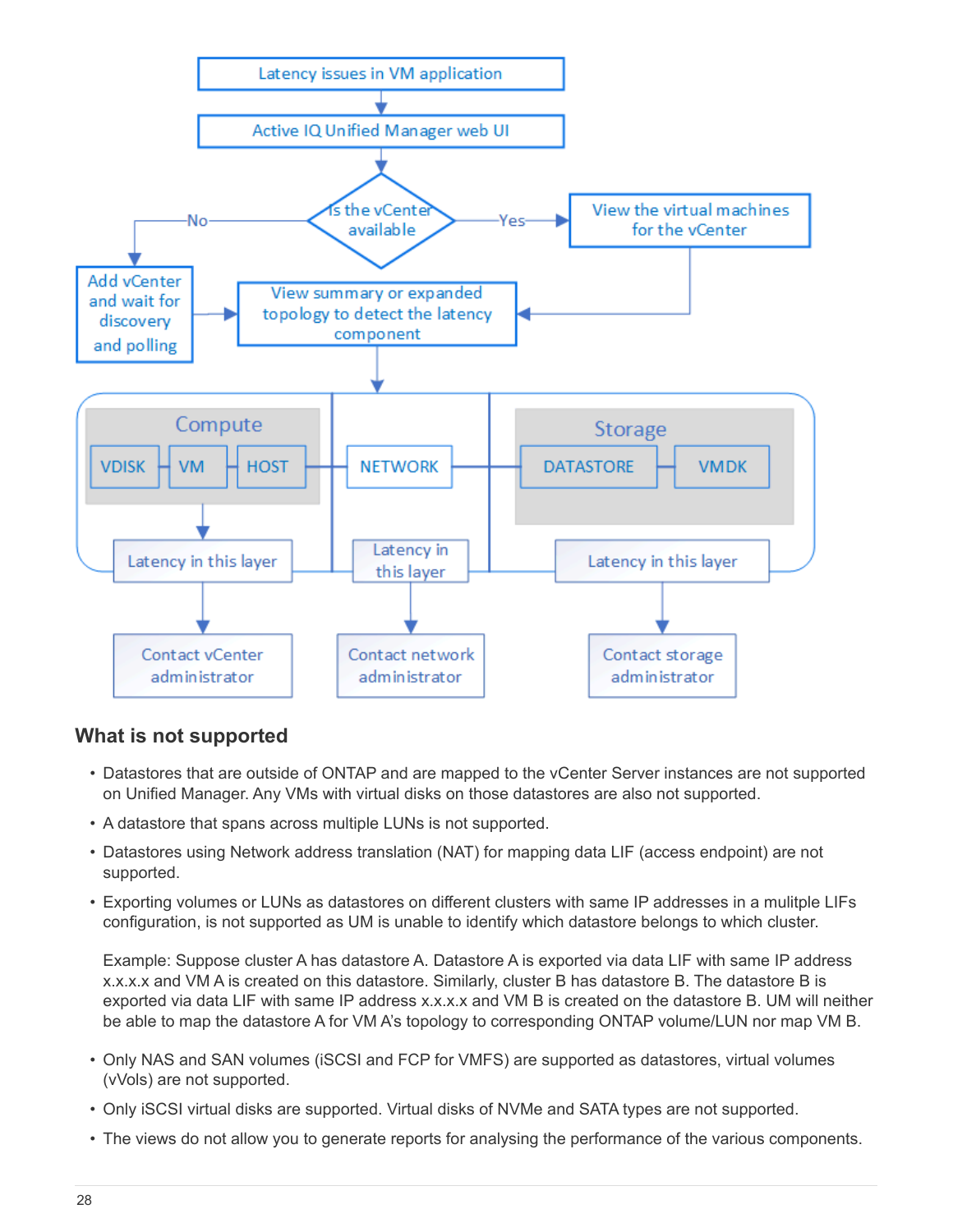

# **What is not supported**

- Datastores that are outside of ONTAP and are mapped to the vCenter Server instances are not supported on Unified Manager. Any VMs with virtual disks on those datastores are also not supported.
- A datastore that spans across multiple LUNs is not supported.
- Datastores using Network address translation (NAT) for mapping data LIF (access endpoint) are not supported.
- Exporting volumes or LUNs as datastores on different clusters with same IP addresses in a mulitple LIFs configuration, is not supported as UM is unable to identify which datastore belongs to which cluster.

Example: Suppose cluster A has datastore A. Datastore A is exported via data LIF with same IP address x.x.x.x and VM A is created on this datastore. Similarly, cluster B has datastore B. The datastore B is exported via data LIF with same IP address x.x.x.x and VM B is created on the datastore B. UM will neither be able to map the datastore A for VM A's topology to corresponding ONTAP volume/LUN nor map VM B.

- Only NAS and SAN volumes (iSCSI and FCP for VMFS) are supported as datastores, virtual volumes (vVols) are not supported.
- Only iSCSI virtual disks are supported. Virtual disks of NVMe and SATA types are not supported.
- The views do not allow you to generate reports for analysing the performance of the various components.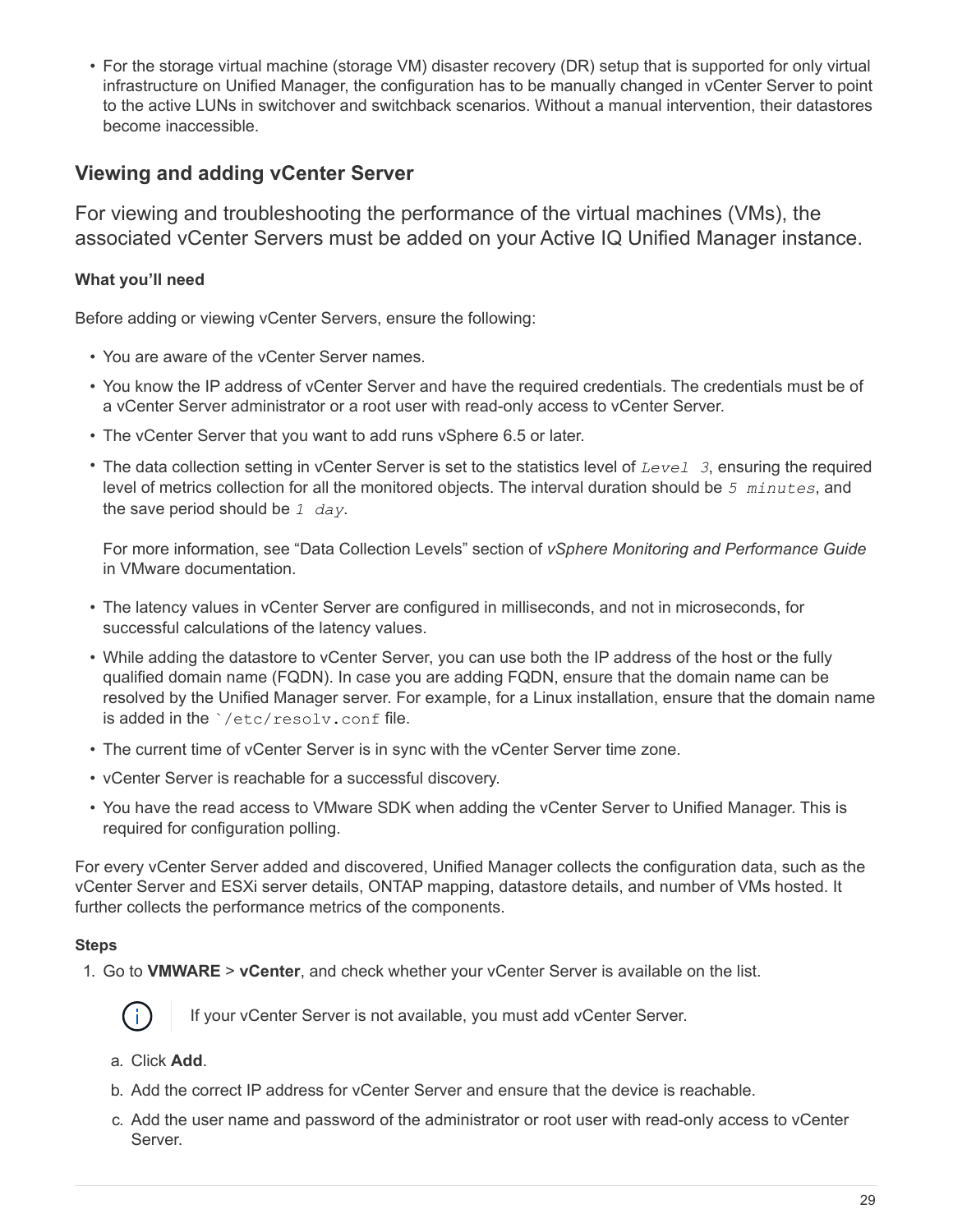• For the storage virtual machine (storage VM) disaster recovery (DR) setup that is supported for only virtual infrastructure on Unified Manager, the configuration has to be manually changed in vCenter Server to point to the active LUNs in switchover and switchback scenarios. Without a manual intervention, their datastores become inaccessible.

# **Viewing and adding vCenter Server**

For viewing and troubleshooting the performance of the virtual machines (VMs), the associated vCenter Servers must be added on your Active IQ Unified Manager instance.

# **What you'll need**

Before adding or viewing vCenter Servers, ensure the following:

- You are aware of the vCenter Server names.
- You know the IP address of vCenter Server and have the required credentials. The credentials must be of a vCenter Server administrator or a root user with read-only access to vCenter Server.
- The vCenter Server that you want to add runs vSphere 6.5 or later.
- The data collection setting in vCenter Server is set to the statistics level of *Level 3*, ensuring the required level of metrics collection for all the monitored objects. The interval duration should be *5 minutes*, and the save period should be *1 day*.

For more information, see "Data Collection Levels" section of *vSphere Monitoring and Performance Guide* in VMware documentation.

- The latency values in vCenter Server are configured in milliseconds, and not in microseconds, for successful calculations of the latency values.
- While adding the datastore to vCenter Server, you can use both the IP address of the host or the fully qualified domain name (FQDN). In case you are adding FQDN, ensure that the domain name can be resolved by the Unified Manager server. For example, for a Linux installation, ensure that the domain name is added in the `/etc/resolv.conf file.
- The current time of vCenter Server is in sync with the vCenter Server time zone.
- vCenter Server is reachable for a successful discovery.
- You have the read access to VMware SDK when adding the vCenter Server to Unified Manager. This is required for configuration polling.

For every vCenter Server added and discovered, Unified Manager collects the configuration data, such as the vCenter Server and ESXi server details, ONTAP mapping, datastore details, and number of VMs hosted. It further collects the performance metrics of the components.

## **Steps**

1. Go to **VMWARE** > **vCenter**, and check whether your vCenter Server is available on the list.



If your vCenter Server is not available, you must add vCenter Server.

- a. Click **Add**.
- b. Add the correct IP address for vCenter Server and ensure that the device is reachable.
- c. Add the user name and password of the administrator or root user with read-only access to vCenter Server.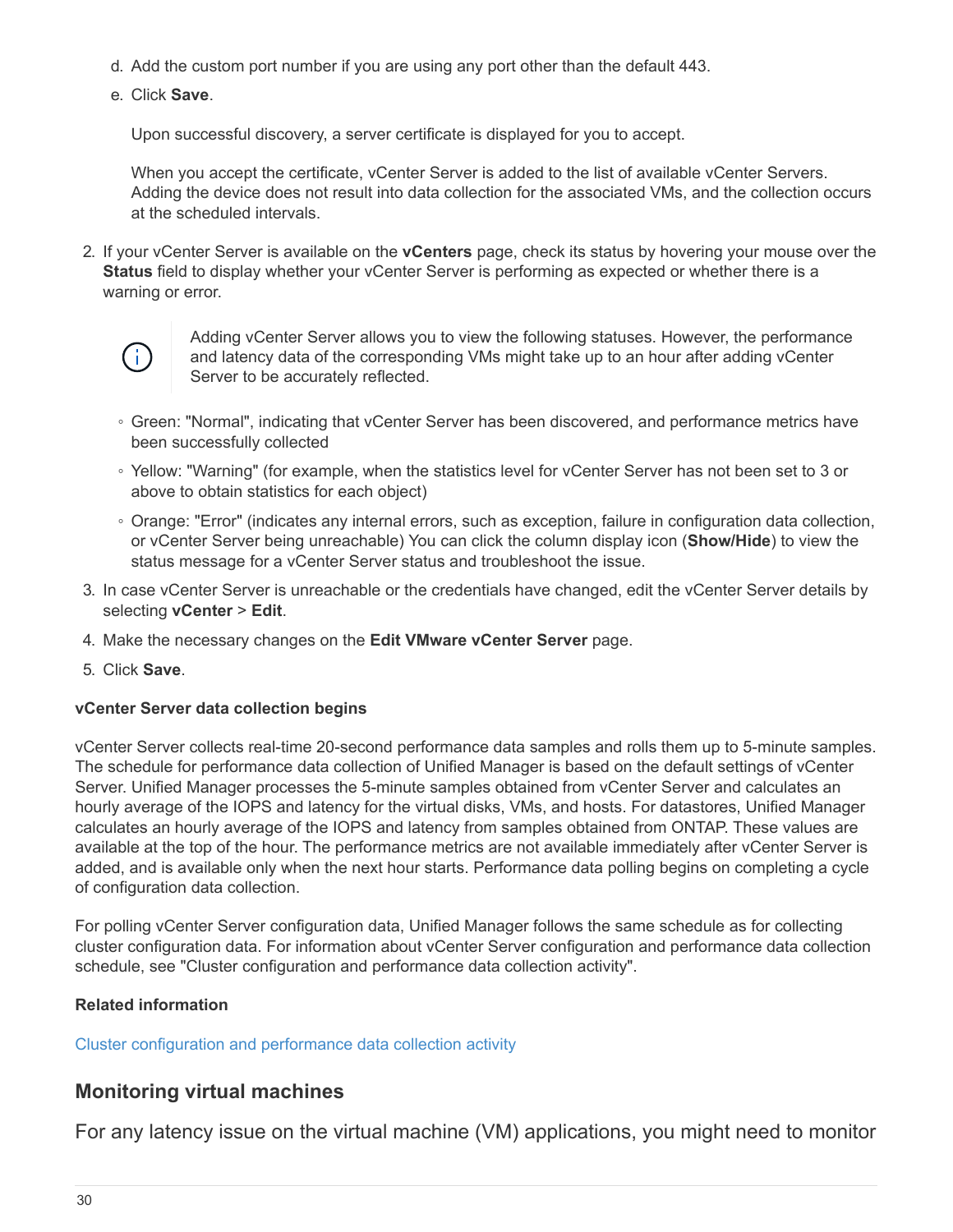- d. Add the custom port number if you are using any port other than the default 443.
- e. Click **Save**.

Upon successful discovery, a server certificate is displayed for you to accept.

When you accept the certificate, vCenter Server is added to the list of available vCenter Servers. Adding the device does not result into data collection for the associated VMs, and the collection occurs at the scheduled intervals.

2. If your vCenter Server is available on the **vCenters** page, check its status by hovering your mouse over the **Status** field to display whether your vCenter Server is performing as expected or whether there is a warning or error.



Adding vCenter Server allows you to view the following statuses. However, the performance and latency data of the corresponding VMs might take up to an hour after adding vCenter Server to be accurately reflected.

- Green: "Normal", indicating that vCenter Server has been discovered, and performance metrics have been successfully collected
- Yellow: "Warning" (for example, when the statistics level for vCenter Server has not been set to 3 or above to obtain statistics for each object)
- Orange: "Error" (indicates any internal errors, such as exception, failure in configuration data collection, or vCenter Server being unreachable) You can click the column display icon (**Show/Hide**) to view the status message for a vCenter Server status and troubleshoot the issue.
- 3. In case vCenter Server is unreachable or the credentials have changed, edit the vCenter Server details by selecting **vCenter** > **Edit**.
- 4. Make the necessary changes on the **Edit VMware vCenter Server** page.
- 5. Click **Save**.

#### **vCenter Server data collection begins**

vCenter Server collects real-time 20-second performance data samples and rolls them up to 5-minute samples. The schedule for performance data collection of Unified Manager is based on the default settings of vCenter Server. Unified Manager processes the 5-minute samples obtained from vCenter Server and calculates an hourly average of the IOPS and latency for the virtual disks, VMs, and hosts. For datastores, Unified Manager calculates an hourly average of the IOPS and latency from samples obtained from ONTAP. These values are available at the top of the hour. The performance metrics are not available immediately after vCenter Server is added, and is available only when the next hour starts. Performance data polling begins on completing a cycle of configuration data collection.

For polling vCenter Server configuration data, Unified Manager follows the same schedule as for collecting cluster configuration data. For information about vCenter Server configuration and performance data collection schedule, see "Cluster configuration and performance data collection activity".

## **Related information**

#### [Cluster configuration and performance data collection activity](https://docs.netapp.com/us-en/active-iq-unified-manager-910/performance-checker/concept_cluster_configuration_and_performance_data_collection_activity.html)

# **Monitoring virtual machines**

For any latency issue on the virtual machine (VM) applications, you might need to monitor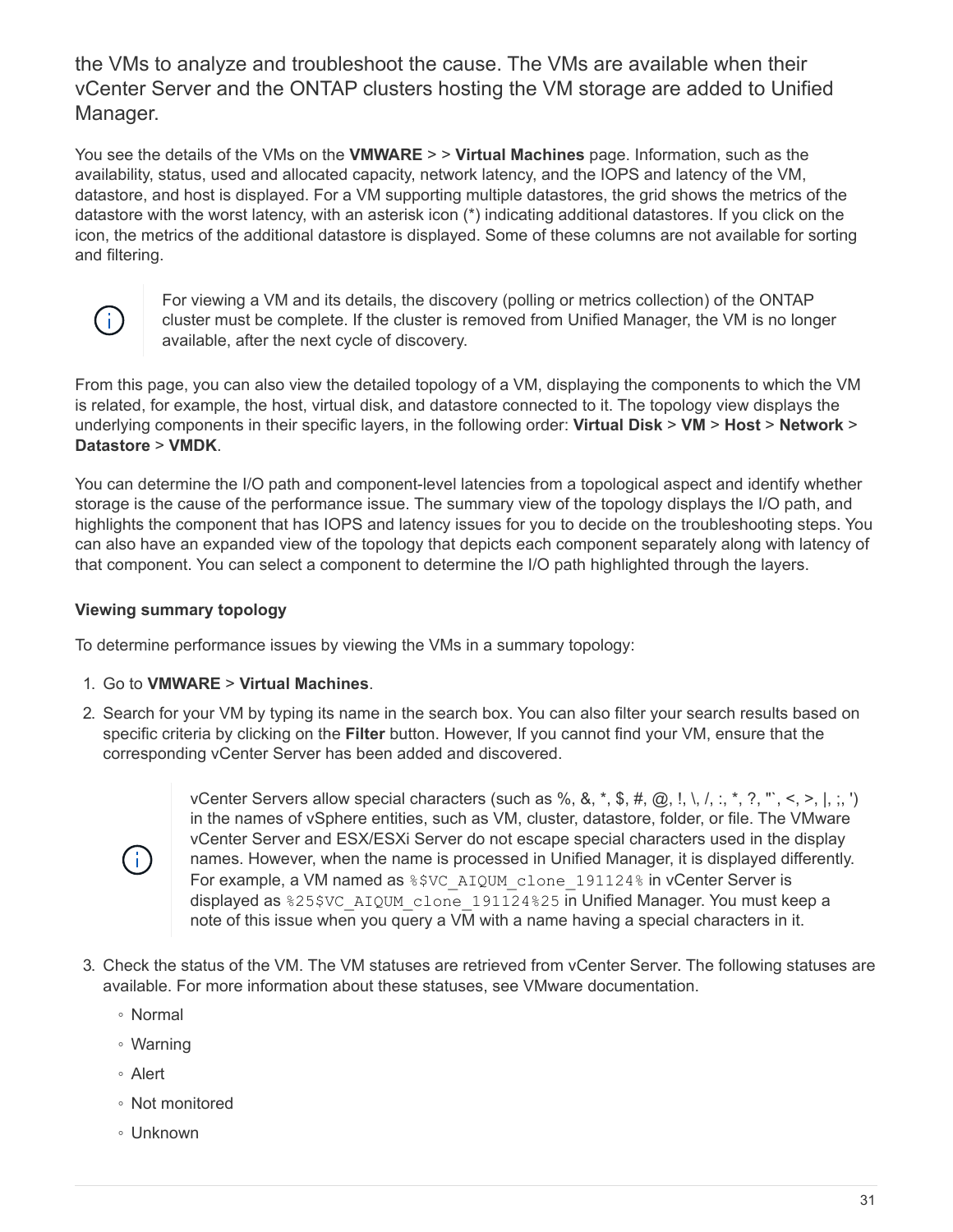the VMs to analyze and troubleshoot the cause. The VMs are available when their vCenter Server and the ONTAP clusters hosting the VM storage are added to Unified Manager.

You see the details of the VMs on the **VMWARE** > > **Virtual Machines** page. Information, such as the availability, status, used and allocated capacity, network latency, and the IOPS and latency of the VM, datastore, and host is displayed. For a VM supporting multiple datastores, the grid shows the metrics of the datastore with the worst latency, with an asterisk icon (\*) indicating additional datastores. If you click on the icon, the metrics of the additional datastore is displayed. Some of these columns are not available for sorting and filtering.



For viewing a VM and its details, the discovery (polling or metrics collection) of the ONTAP cluster must be complete. If the cluster is removed from Unified Manager, the VM is no longer available, after the next cycle of discovery.

From this page, you can also view the detailed topology of a VM, displaying the components to which the VM is related, for example, the host, virtual disk, and datastore connected to it. The topology view displays the underlying components in their specific layers, in the following order: **Virtual Disk** > **VM** > **Host** > **Network** > **Datastore** > **VMDK**.

You can determine the I/O path and component-level latencies from a topological aspect and identify whether storage is the cause of the performance issue. The summary view of the topology displays the I/O path, and highlights the component that has IOPS and latency issues for you to decide on the troubleshooting steps. You can also have an expanded view of the topology that depicts each component separately along with latency of that component. You can select a component to determine the I/O path highlighted through the layers.

# **Viewing summary topology**

To determine performance issues by viewing the VMs in a summary topology:

- 1. Go to **VMWARE** > **Virtual Machines**.
- 2. Search for your VM by typing its name in the search box. You can also filter your search results based on specific criteria by clicking on the **Filter** button. However, If you cannot find your VM, ensure that the corresponding vCenter Server has been added and discovered.



vCenter Servers allow special characters (such as %, &,  $\ast$ , \$, #, @, !, \, /, :,  $\ast$ , ?, "', <, >, |, ;, ') in the names of vSphere entities, such as VM, cluster, datastore, folder, or file. The VMware vCenter Server and ESX/ESXi Server do not escape special characters used in the display names. However, when the name is processed in Unified Manager, it is displayed differently. For example, a VM named as  $\S$  \$VC AIQUM clone 191124% in vCenter Server is displayed as %25\$VC\_AIQUM\_clone\_191124%25 in Unified Manager. You must keep a note of this issue when you query a VM with a name having a special characters in it.

- 3. Check the status of the VM. The VM statuses are retrieved from vCenter Server. The following statuses are available. For more information about these statuses, see VMware documentation.
	- Normal
	- Warning
	- Alert
	- Not monitored
	- Unknown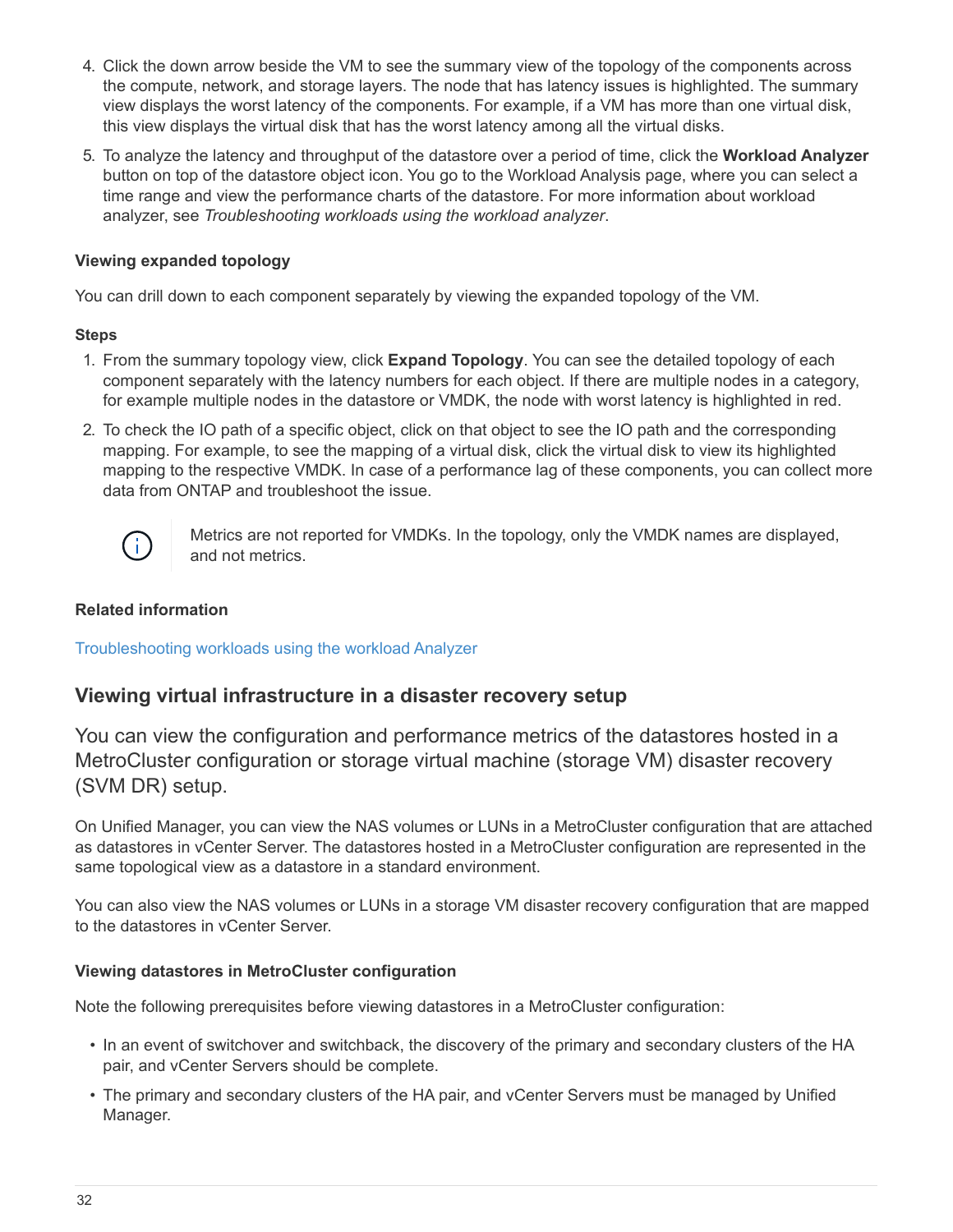- 4. Click the down arrow beside the VM to see the summary view of the topology of the components across the compute, network, and storage layers. The node that has latency issues is highlighted. The summary view displays the worst latency of the components. For example, if a VM has more than one virtual disk, this view displays the virtual disk that has the worst latency among all the virtual disks.
- 5. To analyze the latency and throughput of the datastore over a period of time, click the **Workload Analyzer** button on top of the datastore object icon. You go to the Workload Analysis page, where you can select a time range and view the performance charts of the datastore. For more information about workload analyzer, see *Troubleshooting workloads using the workload analyzer*.

# **Viewing expanded topology**

You can drill down to each component separately by viewing the expanded topology of the VM.

## **Steps**

- 1. From the summary topology view, click **Expand Topology**. You can see the detailed topology of each component separately with the latency numbers for each object. If there are multiple nodes in a category, for example multiple nodes in the datastore or VMDK, the node with worst latency is highlighted in red.
- 2. To check the IO path of a specific object, click on that object to see the IO path and the corresponding mapping. For example, to see the mapping of a virtual disk, click the virtual disk to view its highlighted mapping to the respective VMDK. In case of a performance lag of these components, you can collect more data from ONTAP and troubleshoot the issue.



Metrics are not reported for VMDKs. In the topology, only the VMDK names are displayed, and not metrics.

# **Related information**

[Troubleshooting workloads using the workload Analyzer](https://docs.netapp.com/us-en/active-iq-unified-manager-910/performance-checker/concept_troubleshooting_workloads_using_workload_analyzer.html)

# **Viewing virtual infrastructure in a disaster recovery setup**

You can view the configuration and performance metrics of the datastores hosted in a MetroCluster configuration or storage virtual machine (storage VM) disaster recovery (SVM DR) setup.

On Unified Manager, you can view the NAS volumes or LUNs in a MetroCluster configuration that are attached as datastores in vCenter Server. The datastores hosted in a MetroCluster configuration are represented in the same topological view as a datastore in a standard environment.

You can also view the NAS volumes or LUNs in a storage VM disaster recovery configuration that are mapped to the datastores in vCenter Server.

## **Viewing datastores in MetroCluster configuration**

Note the following prerequisites before viewing datastores in a MetroCluster configuration:

- In an event of switchover and switchback, the discovery of the primary and secondary clusters of the HA pair, and vCenter Servers should be complete.
- The primary and secondary clusters of the HA pair, and vCenter Servers must be managed by Unified Manager.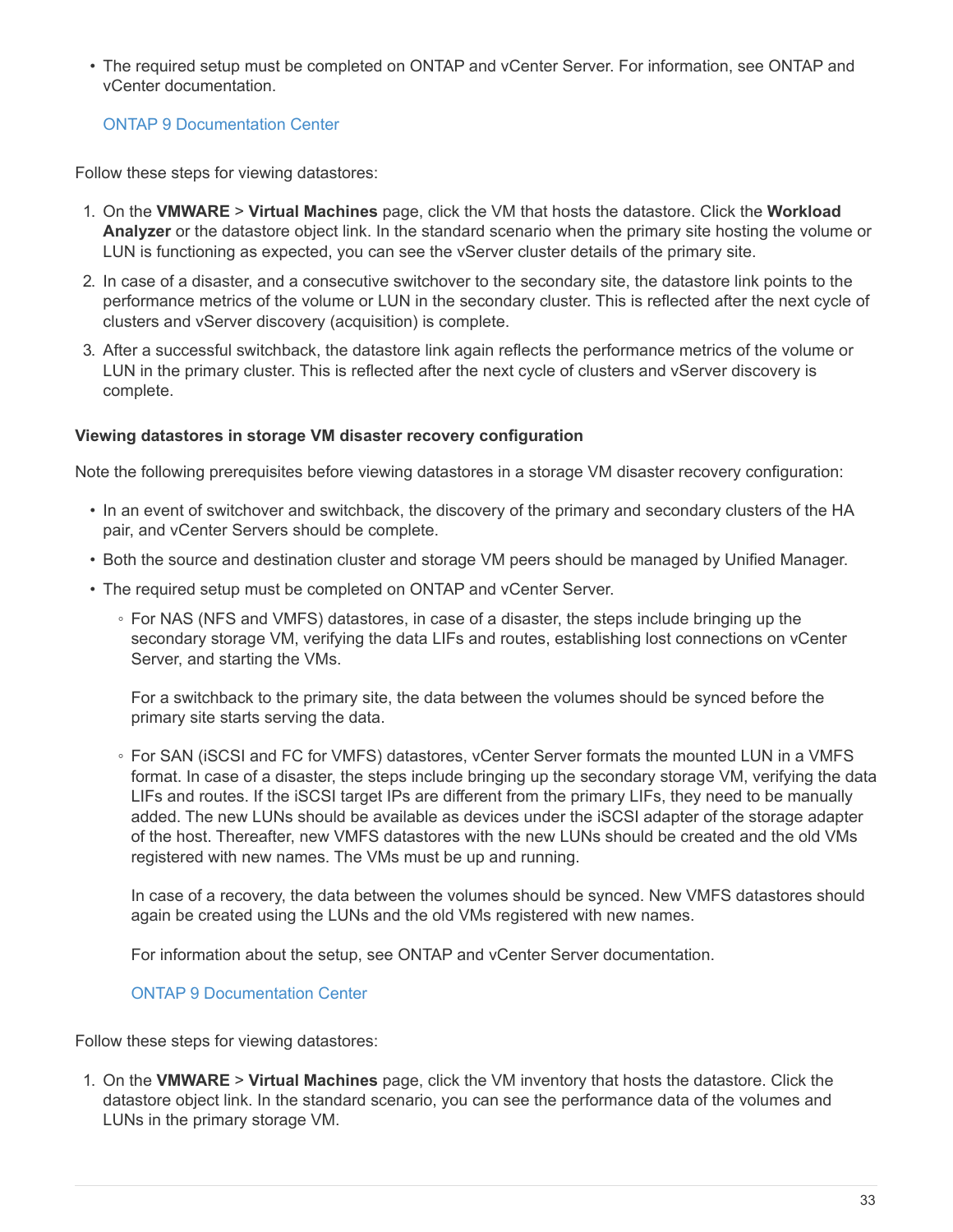• The required setup must be completed on ONTAP and vCenter Server. For information, see ONTAP and vCenter documentation.

# [ONTAP 9 Documentation Center](https://docs.netapp.com/ontap-9/index.jsp)

Follow these steps for viewing datastores:

- 1. On the **VMWARE** > **Virtual Machines** page, click the VM that hosts the datastore. Click the **Workload Analyzer** or the datastore object link. In the standard scenario when the primary site hosting the volume or LUN is functioning as expected, you can see the vServer cluster details of the primary site.
- 2. In case of a disaster, and a consecutive switchover to the secondary site, the datastore link points to the performance metrics of the volume or LUN in the secondary cluster. This is reflected after the next cycle of clusters and vServer discovery (acquisition) is complete.
- 3. After a successful switchback, the datastore link again reflects the performance metrics of the volume or LUN in the primary cluster. This is reflected after the next cycle of clusters and vServer discovery is complete.

## **Viewing datastores in storage VM disaster recovery configuration**

Note the following prerequisites before viewing datastores in a storage VM disaster recovery configuration:

- In an event of switchover and switchback, the discovery of the primary and secondary clusters of the HA pair, and vCenter Servers should be complete.
- Both the source and destination cluster and storage VM peers should be managed by Unified Manager.
- The required setup must be completed on ONTAP and vCenter Server.
	- For NAS (NFS and VMFS) datastores, in case of a disaster, the steps include bringing up the secondary storage VM, verifying the data LIFs and routes, establishing lost connections on vCenter Server, and starting the VMs.

For a switchback to the primary site, the data between the volumes should be synced before the primary site starts serving the data.

◦ For SAN (iSCSI and FC for VMFS) datastores, vCenter Server formats the mounted LUN in a VMFS format. In case of a disaster, the steps include bringing up the secondary storage VM, verifying the data LIFs and routes. If the iSCSI target IPs are different from the primary LIFs, they need to be manually added. The new LUNs should be available as devices under the iSCSI adapter of the storage adapter of the host. Thereafter, new VMFS datastores with the new LUNs should be created and the old VMs registered with new names. The VMs must be up and running.

In case of a recovery, the data between the volumes should be synced. New VMFS datastores should again be created using the LUNs and the old VMs registered with new names.

For information about the setup, see ONTAP and vCenter Server documentation.

[ONTAP 9 Documentation Center](https://docs.netapp.com/ontap-9/index.jsp)

Follow these steps for viewing datastores:

1. On the **VMWARE** > **Virtual Machines** page, click the VM inventory that hosts the datastore. Click the datastore object link. In the standard scenario, you can see the performance data of the volumes and LUNs in the primary storage VM.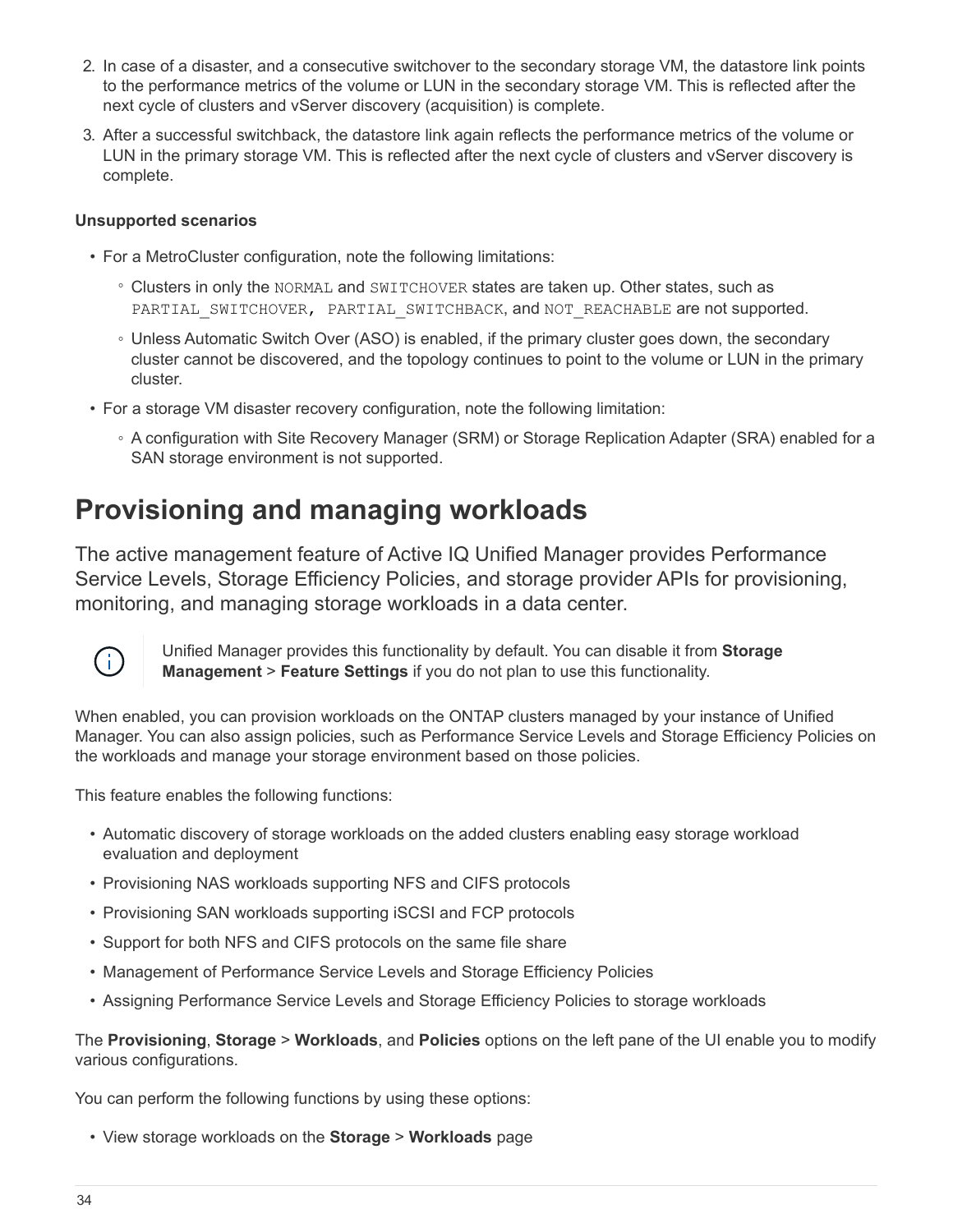- 2. In case of a disaster, and a consecutive switchover to the secondary storage VM, the datastore link points to the performance metrics of the volume or LUN in the secondary storage VM. This is reflected after the next cycle of clusters and vServer discovery (acquisition) is complete.
- 3. After a successful switchback, the datastore link again reflects the performance metrics of the volume or LUN in the primary storage VM. This is reflected after the next cycle of clusters and vServer discovery is complete.

### **Unsupported scenarios**

- For a MetroCluster configuration, note the following limitations:
	- Clusters in only the NORMAL and SWITCHOVER states are taken up. Other states, such as PARTIAL SWITCHOVER, PARTIAL SWITCHBACK, and NOT REACHABLE are not supported.
	- Unless Automatic Switch Over (ASO) is enabled, if the primary cluster goes down, the secondary cluster cannot be discovered, and the topology continues to point to the volume or LUN in the primary cluster.
- For a storage VM disaster recovery configuration, note the following limitation:
	- A configuration with Site Recovery Manager (SRM) or Storage Replication Adapter (SRA) enabled for a SAN storage environment is not supported.

# <span id="page-35-0"></span>**Provisioning and managing workloads**

The active management feature of Active IQ Unified Manager provides Performance Service Levels, Storage Efficiency Policies, and storage provider APIs for provisioning, monitoring, and managing storage workloads in a data center.



Unified Manager provides this functionality by default. You can disable it from **Storage Management** > **Feature Settings** if you do not plan to use this functionality.

When enabled, you can provision workloads on the ONTAP clusters managed by your instance of Unified Manager. You can also assign policies, such as Performance Service Levels and Storage Efficiency Policies on the workloads and manage your storage environment based on those policies.

This feature enables the following functions:

- Automatic discovery of storage workloads on the added clusters enabling easy storage workload evaluation and deployment
- Provisioning NAS workloads supporting NFS and CIFS protocols
- Provisioning SAN workloads supporting iSCSI and FCP protocols
- Support for both NFS and CIFS protocols on the same file share
- Management of Performance Service Levels and Storage Efficiency Policies
- Assigning Performance Service Levels and Storage Efficiency Policies to storage workloads

The **Provisioning**, **Storage** > **Workloads**, and **Policies** options on the left pane of the UI enable you to modify various configurations.

You can perform the following functions by using these options:

• View storage workloads on the **Storage** > **Workloads** page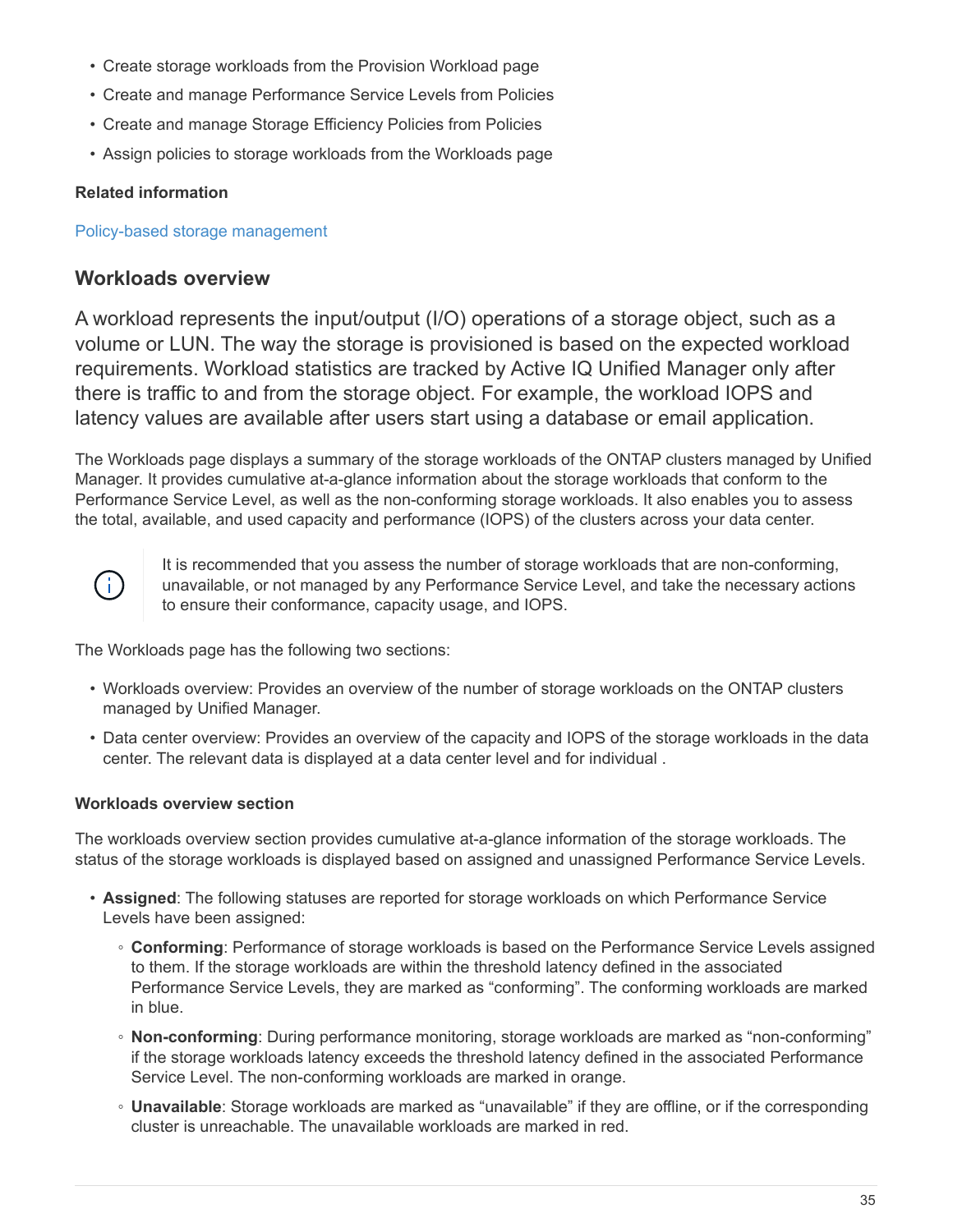- Create storage workloads from the Provision Workload page
- Create and manage Performance Service Levels from Policies
- Create and manage Storage Efficiency Policies from Policies
- Assign policies to storage workloads from the Workloads page

## **Related information**

[Policy-based storage management](https://docs.netapp.com/us-en/active-iq-unified-manager-910/config/concept_policy_based_storage_management.html)

# **Workloads overview**

A workload represents the input/output (I/O) operations of a storage object, such as a volume or LUN. The way the storage is provisioned is based on the expected workload requirements. Workload statistics are tracked by Active IQ Unified Manager only after there is traffic to and from the storage object. For example, the workload IOPS and latency values are available after users start using a database or email application.

The Workloads page displays a summary of the storage workloads of the ONTAP clusters managed by Unified Manager. It provides cumulative at-a-glance information about the storage workloads that conform to the Performance Service Level, as well as the non-conforming storage workloads. It also enables you to assess the total, available, and used capacity and performance (IOPS) of the clusters across your data center.



It is recommended that you assess the number of storage workloads that are non-conforming, unavailable, or not managed by any Performance Service Level, and take the necessary actions to ensure their conformance, capacity usage, and IOPS.

The Workloads page has the following two sections:

- Workloads overview: Provides an overview of the number of storage workloads on the ONTAP clusters managed by Unified Manager.
- Data center overview: Provides an overview of the capacity and IOPS of the storage workloads in the data center. The relevant data is displayed at a data center level and for individual .

## **Workloads overview section**

The workloads overview section provides cumulative at-a-glance information of the storage workloads. The status of the storage workloads is displayed based on assigned and unassigned Performance Service Levels.

- **Assigned**: The following statuses are reported for storage workloads on which Performance Service Levels have been assigned:
	- **Conforming**: Performance of storage workloads is based on the Performance Service Levels assigned to them. If the storage workloads are within the threshold latency defined in the associated Performance Service Levels, they are marked as "conforming". The conforming workloads are marked in blue.
	- **Non-conforming**: During performance monitoring, storage workloads are marked as "non-conforming" if the storage workloads latency exceeds the threshold latency defined in the associated Performance Service Level. The non-conforming workloads are marked in orange.
	- **Unavailable**: Storage workloads are marked as "unavailable" if they are offline, or if the corresponding cluster is unreachable. The unavailable workloads are marked in red.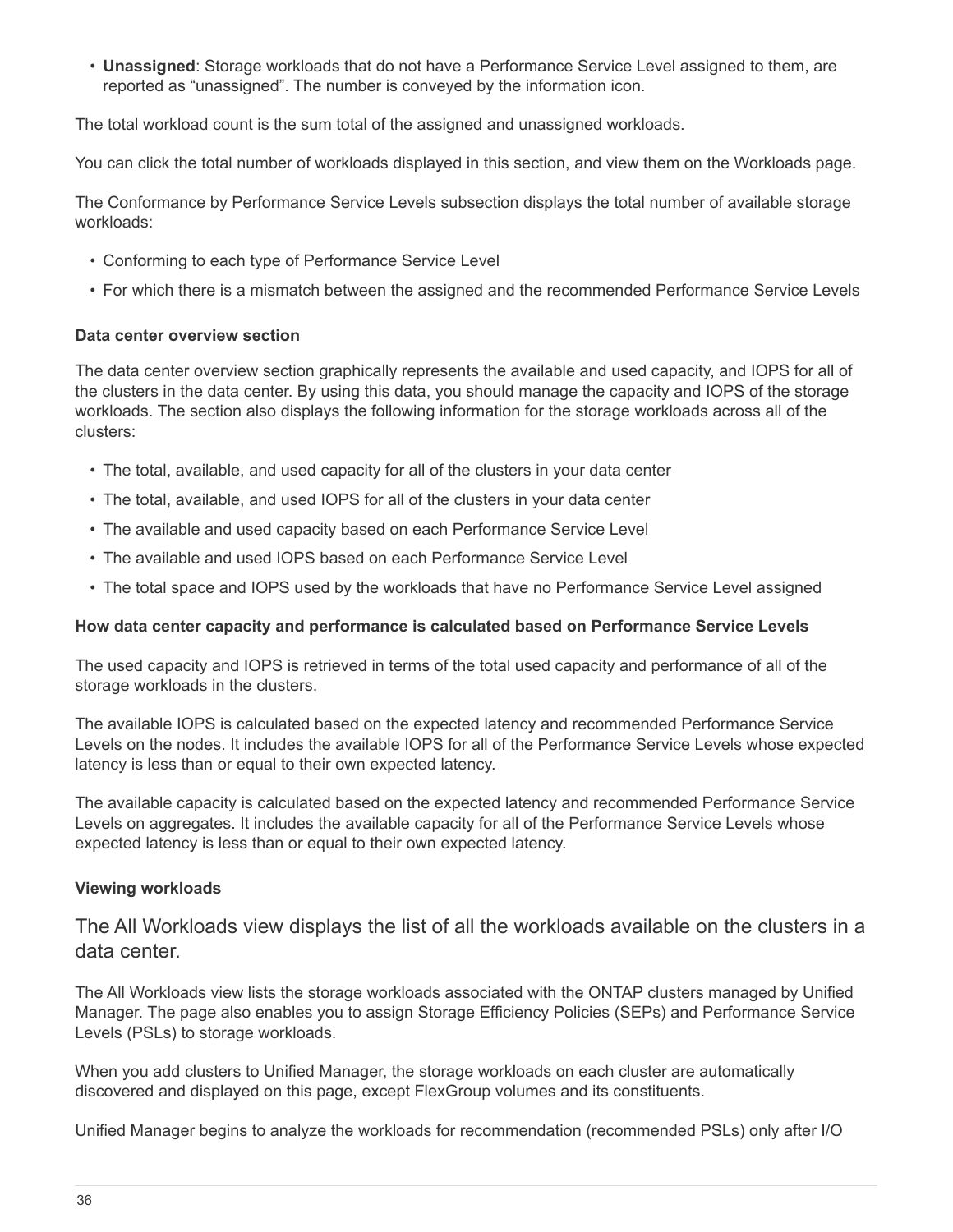• **Unassigned**: Storage workloads that do not have a Performance Service Level assigned to them, are reported as "unassigned". The number is conveyed by the information icon.

The total workload count is the sum total of the assigned and unassigned workloads.

You can click the total number of workloads displayed in this section, and view them on the Workloads page.

The Conformance by Performance Service Levels subsection displays the total number of available storage workloads:

- Conforming to each type of Performance Service Level
- For which there is a mismatch between the assigned and the recommended Performance Service Levels

#### **Data center overview section**

The data center overview section graphically represents the available and used capacity, and IOPS for all of the clusters in the data center. By using this data, you should manage the capacity and IOPS of the storage workloads. The section also displays the following information for the storage workloads across all of the clusters:

- The total, available, and used capacity for all of the clusters in your data center
- The total, available, and used IOPS for all of the clusters in your data center
- The available and used capacity based on each Performance Service Level
- The available and used IOPS based on each Performance Service Level
- The total space and IOPS used by the workloads that have no Performance Service Level assigned

#### **How data center capacity and performance is calculated based on Performance Service Levels**

The used capacity and IOPS is retrieved in terms of the total used capacity and performance of all of the storage workloads in the clusters.

The available IOPS is calculated based on the expected latency and recommended Performance Service Levels on the nodes. It includes the available IOPS for all of the Performance Service Levels whose expected latency is less than or equal to their own expected latency.

The available capacity is calculated based on the expected latency and recommended Performance Service Levels on aggregates. It includes the available capacity for all of the Performance Service Levels whose expected latency is less than or equal to their own expected latency.

#### **Viewing workloads**

The All Workloads view displays the list of all the workloads available on the clusters in a data center.

The All Workloads view lists the storage workloads associated with the ONTAP clusters managed by Unified Manager. The page also enables you to assign Storage Efficiency Policies (SEPs) and Performance Service Levels (PSLs) to storage workloads.

When you add clusters to Unified Manager, the storage workloads on each cluster are automatically discovered and displayed on this page, except FlexGroup volumes and its constituents.

Unified Manager begins to analyze the workloads for recommendation (recommended PSLs) only after I/O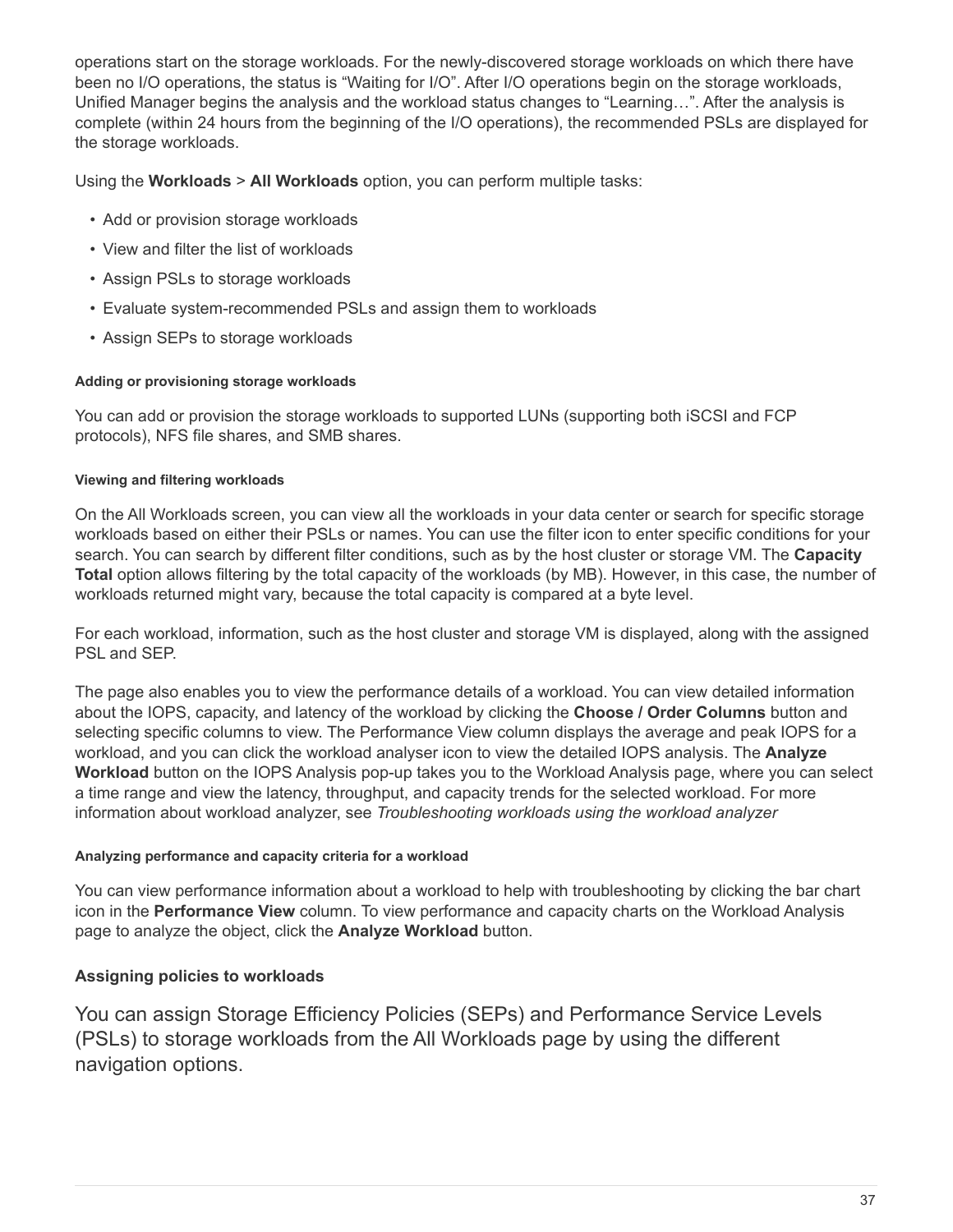operations start on the storage workloads. For the newly-discovered storage workloads on which there have been no I/O operations, the status is "Waiting for I/O". After I/O operations begin on the storage workloads, Unified Manager begins the analysis and the workload status changes to "Learning…". After the analysis is complete (within 24 hours from the beginning of the I/O operations), the recommended PSLs are displayed for the storage workloads.

Using the **Workloads** > **All Workloads** option, you can perform multiple tasks:

- Add or provision storage workloads
- View and filter the list of workloads
- Assign PSLs to storage workloads
- Evaluate system-recommended PSLs and assign them to workloads
- Assign SEPs to storage workloads

## **Adding or provisioning storage workloads**

You can add or provision the storage workloads to supported LUNs (supporting both iSCSI and FCP protocols), NFS file shares, and SMB shares.

## **Viewing and filtering workloads**

On the All Workloads screen, you can view all the workloads in your data center or search for specific storage workloads based on either their PSLs or names. You can use the filter icon to enter specific conditions for your search. You can search by different filter conditions, such as by the host cluster or storage VM. The **Capacity Total** option allows filtering by the total capacity of the workloads (by MB). However, in this case, the number of workloads returned might vary, because the total capacity is compared at a byte level.

For each workload, information, such as the host cluster and storage VM is displayed, along with the assigned PSL and SEP.

The page also enables you to view the performance details of a workload. You can view detailed information about the IOPS, capacity, and latency of the workload by clicking the **Choose / Order Columns** button and selecting specific columns to view. The Performance View column displays the average and peak IOPS for a workload, and you can click the workload analyser icon to view the detailed IOPS analysis. The **Analyze Workload** button on the IOPS Analysis pop-up takes you to the Workload Analysis page, where you can select a time range and view the latency, throughput, and capacity trends for the selected workload. For more information about workload analyzer, see *Troubleshooting workloads using the workload analyzer*

## **Analyzing performance and capacity criteria for a workload**

You can view performance information about a workload to help with troubleshooting by clicking the bar chart icon in the **Performance View** column. To view performance and capacity charts on the Workload Analysis page to analyze the object, click the **Analyze Workload** button.

# **Assigning policies to workloads**

You can assign Storage Efficiency Policies (SEPs) and Performance Service Levels (PSLs) to storage workloads from the All Workloads page by using the different navigation options.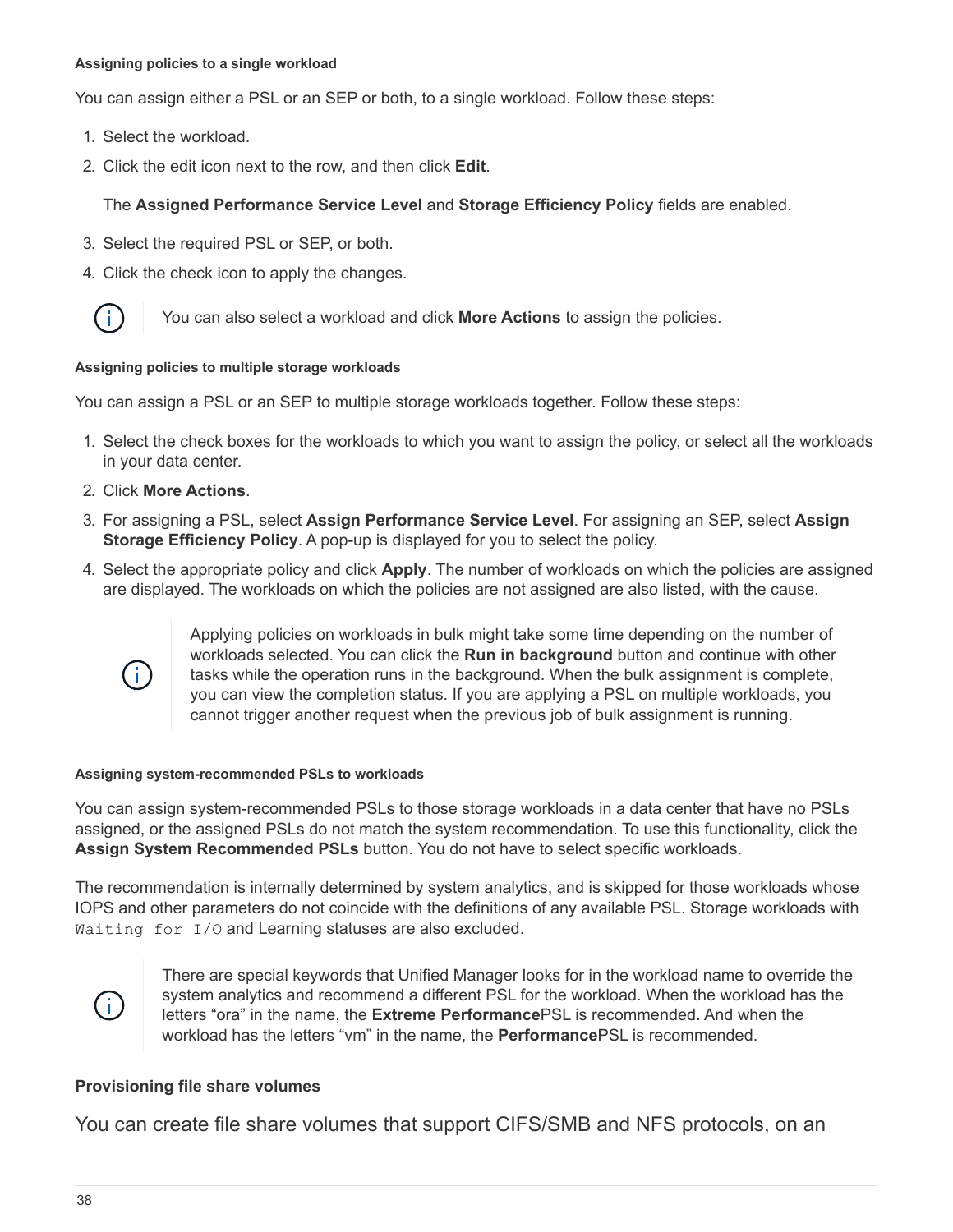#### **Assigning policies to a single workload**

You can assign either a PSL or an SEP or both, to a single workload. Follow these steps:

- 1. Select the workload.
- 2. Click the edit icon next to the row, and then click **Edit**.

## The **Assigned Performance Service Level** and **Storage Efficiency Policy** fields are enabled.

- 3. Select the required PSL or SEP, or both.
- 4. Click the check icon to apply the changes.



You can also select a workload and click **More Actions** to assign the policies.

#### **Assigning policies to multiple storage workloads**

You can assign a PSL or an SEP to multiple storage workloads together. Follow these steps:

- 1. Select the check boxes for the workloads to which you want to assign the policy, or select all the workloads in your data center.
- 2. Click **More Actions**.
- 3. For assigning a PSL, select **Assign Performance Service Level**. For assigning an SEP, select **Assign Storage Efficiency Policy**. A pop-up is displayed for you to select the policy.
- 4. Select the appropriate policy and click **Apply**. The number of workloads on which the policies are assigned are displayed. The workloads on which the policies are not assigned are also listed, with the cause.



Applying policies on workloads in bulk might take some time depending on the number of workloads selected. You can click the **Run in background** button and continue with other tasks while the operation runs in the background. When the bulk assignment is complete, you can view the completion status. If you are applying a PSL on multiple workloads, you cannot trigger another request when the previous job of bulk assignment is running.

#### **Assigning system-recommended PSLs to workloads**

You can assign system-recommended PSLs to those storage workloads in a data center that have no PSLs assigned, or the assigned PSLs do not match the system recommendation. To use this functionality, click the **Assign System Recommended PSLs** button. You do not have to select specific workloads.

The recommendation is internally determined by system analytics, and is skipped for those workloads whose IOPS and other parameters do not coincide with the definitions of any available PSL. Storage workloads with Waiting for I/O and Learning statuses are also excluded.



There are special keywords that Unified Manager looks for in the workload name to override the system analytics and recommend a different PSL for the workload. When the workload has the letters "ora" in the name, the **Extreme Performance**PSL is recommended. And when the workload has the letters "vm" in the name, the **Performance**PSL is recommended.

#### **Provisioning file share volumes**

You can create file share volumes that support CIFS/SMB and NFS protocols, on an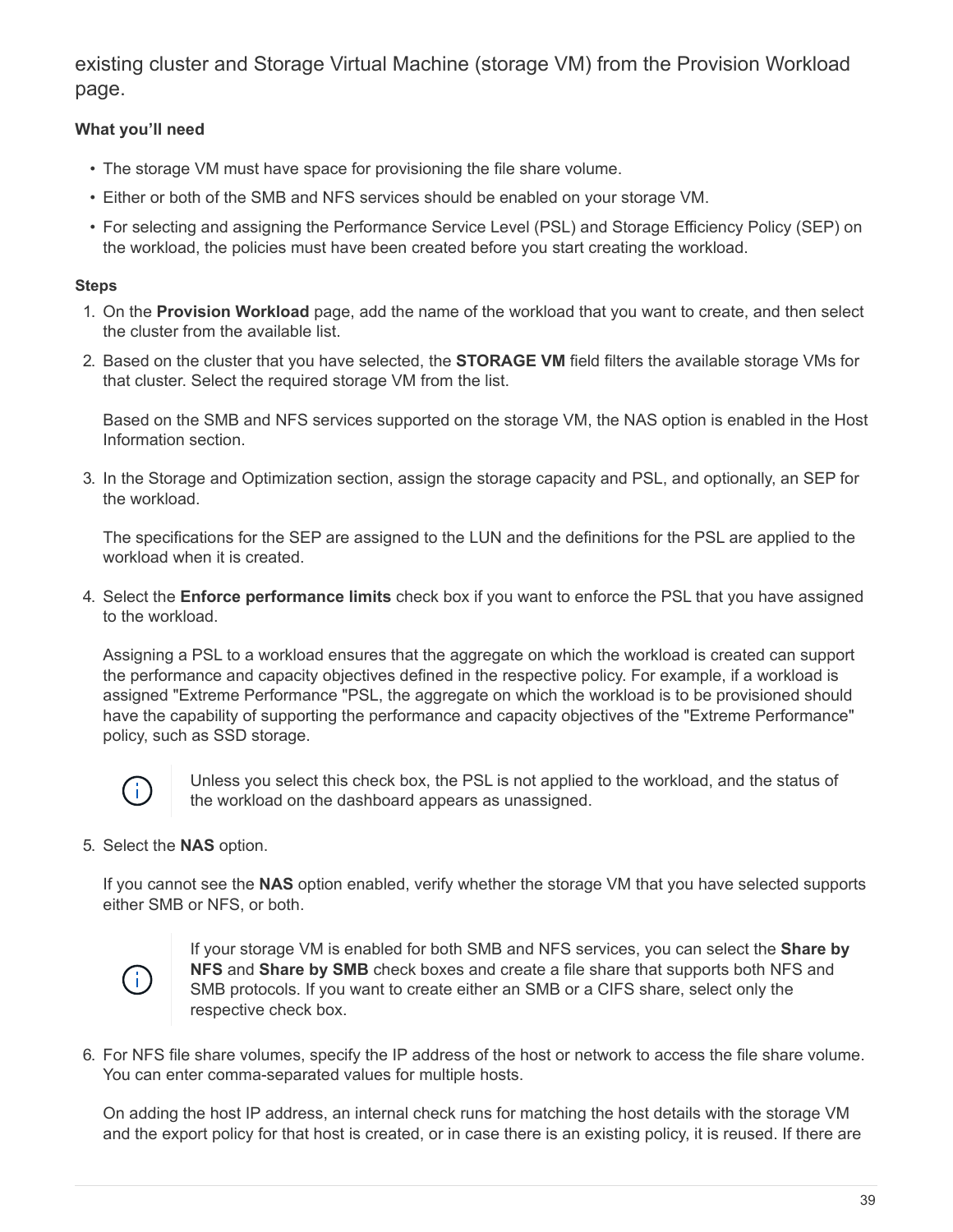existing cluster and Storage Virtual Machine (storage VM) from the Provision Workload page.

# **What you'll need**

- The storage VM must have space for provisioning the file share volume.
- Either or both of the SMB and NFS services should be enabled on your storage VM.
- For selecting and assigning the Performance Service Level (PSL) and Storage Efficiency Policy (SEP) on the workload, the policies must have been created before you start creating the workload.

### **Steps**

- 1. On the **Provision Workload** page, add the name of the workload that you want to create, and then select the cluster from the available list.
- 2. Based on the cluster that you have selected, the **STORAGE VM** field filters the available storage VMs for that cluster. Select the required storage VM from the list.

Based on the SMB and NFS services supported on the storage VM, the NAS option is enabled in the Host Information section.

3. In the Storage and Optimization section, assign the storage capacity and PSL, and optionally, an SEP for the workload.

The specifications for the SEP are assigned to the LUN and the definitions for the PSL are applied to the workload when it is created.

4. Select the **Enforce performance limits** check box if you want to enforce the PSL that you have assigned to the workload.

Assigning a PSL to a workload ensures that the aggregate on which the workload is created can support the performance and capacity objectives defined in the respective policy. For example, if a workload is assigned "Extreme Performance "PSL, the aggregate on which the workload is to be provisioned should have the capability of supporting the performance and capacity objectives of the "Extreme Performance" policy, such as SSD storage.



Unless you select this check box, the PSL is not applied to the workload, and the status of the workload on the dashboard appears as unassigned.

5. Select the **NAS** option.

If you cannot see the **NAS** option enabled, verify whether the storage VM that you have selected supports either SMB or NFS, or both.



If your storage VM is enabled for both SMB and NFS services, you can select the **Share by NFS** and **Share by SMB** check boxes and create a file share that supports both NFS and SMB protocols. If you want to create either an SMB or a CIFS share, select only the respective check box.

6. For NFS file share volumes, specify the IP address of the host or network to access the file share volume. You can enter comma-separated values for multiple hosts.

On adding the host IP address, an internal check runs for matching the host details with the storage VM and the export policy for that host is created, or in case there is an existing policy, it is reused. If there are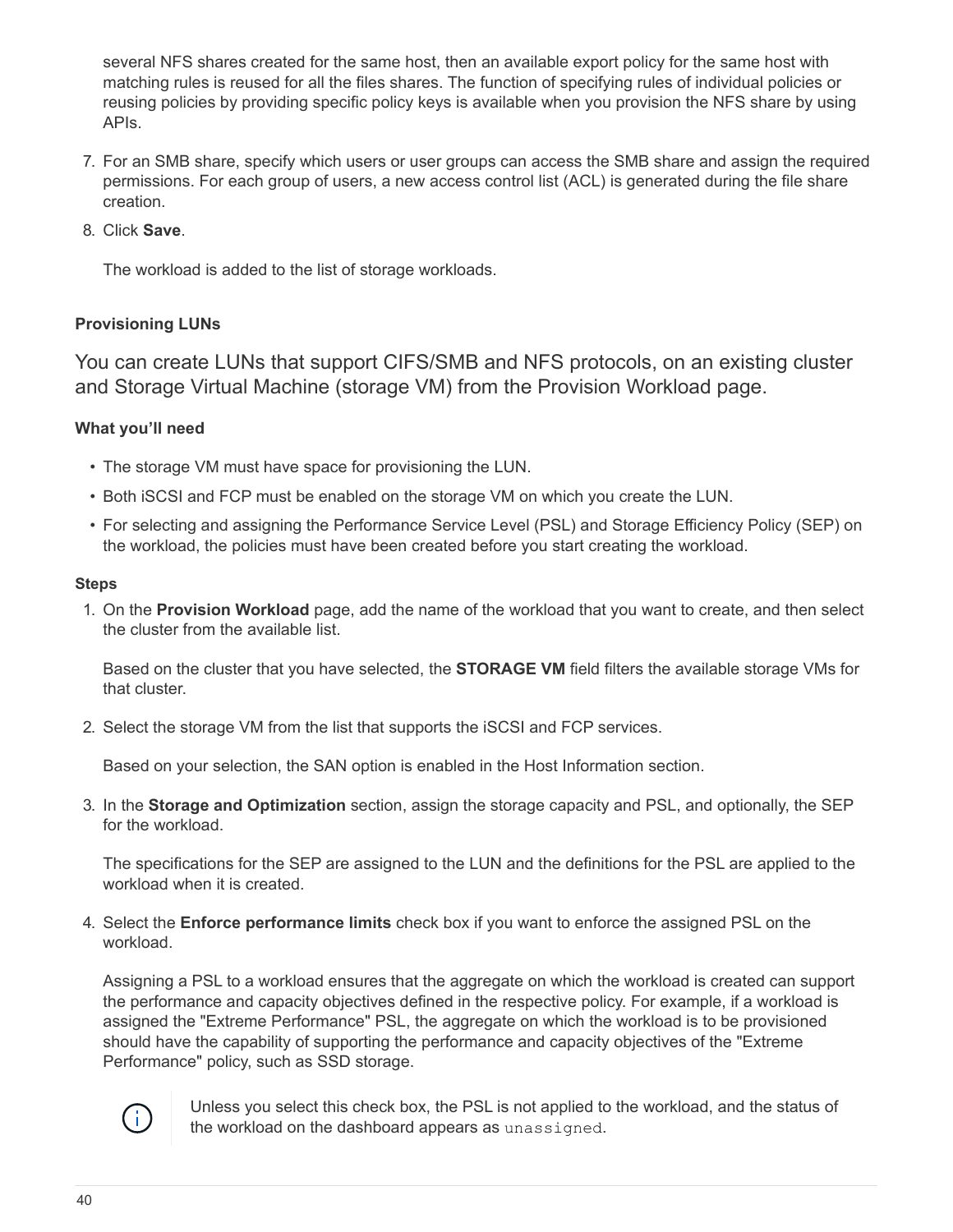several NFS shares created for the same host, then an available export policy for the same host with matching rules is reused for all the files shares. The function of specifying rules of individual policies or reusing policies by providing specific policy keys is available when you provision the NFS share by using APIs.

- 7. For an SMB share, specify which users or user groups can access the SMB share and assign the required permissions. For each group of users, a new access control list (ACL) is generated during the file share creation.
- 8. Click **Save**.

The workload is added to the list of storage workloads.

# **Provisioning LUNs**

You can create LUNs that support CIFS/SMB and NFS protocols, on an existing cluster and Storage Virtual Machine (storage VM) from the Provision Workload page.

# **What you'll need**

- The storage VM must have space for provisioning the LUN.
- Both iSCSI and FCP must be enabled on the storage VM on which you create the LUN.
- For selecting and assigning the Performance Service Level (PSL) and Storage Efficiency Policy (SEP) on the workload, the policies must have been created before you start creating the workload.

#### **Steps**

1. On the **Provision Workload** page, add the name of the workload that you want to create, and then select the cluster from the available list.

Based on the cluster that you have selected, the **STORAGE VM** field filters the available storage VMs for that cluster.

2. Select the storage VM from the list that supports the iSCSI and FCP services.

Based on your selection, the SAN option is enabled in the Host Information section.

3. In the **Storage and Optimization** section, assign the storage capacity and PSL, and optionally, the SEP for the workload.

The specifications for the SEP are assigned to the LUN and the definitions for the PSL are applied to the workload when it is created.

4. Select the **Enforce performance limits** check box if you want to enforce the assigned PSL on the workload.

Assigning a PSL to a workload ensures that the aggregate on which the workload is created can support the performance and capacity objectives defined in the respective policy. For example, if a workload is assigned the "Extreme Performance" PSL, the aggregate on which the workload is to be provisioned should have the capability of supporting the performance and capacity objectives of the "Extreme Performance" policy, such as SSD storage.



Unless you select this check box, the PSL is not applied to the workload, and the status of the workload on the dashboard appears as unassigned.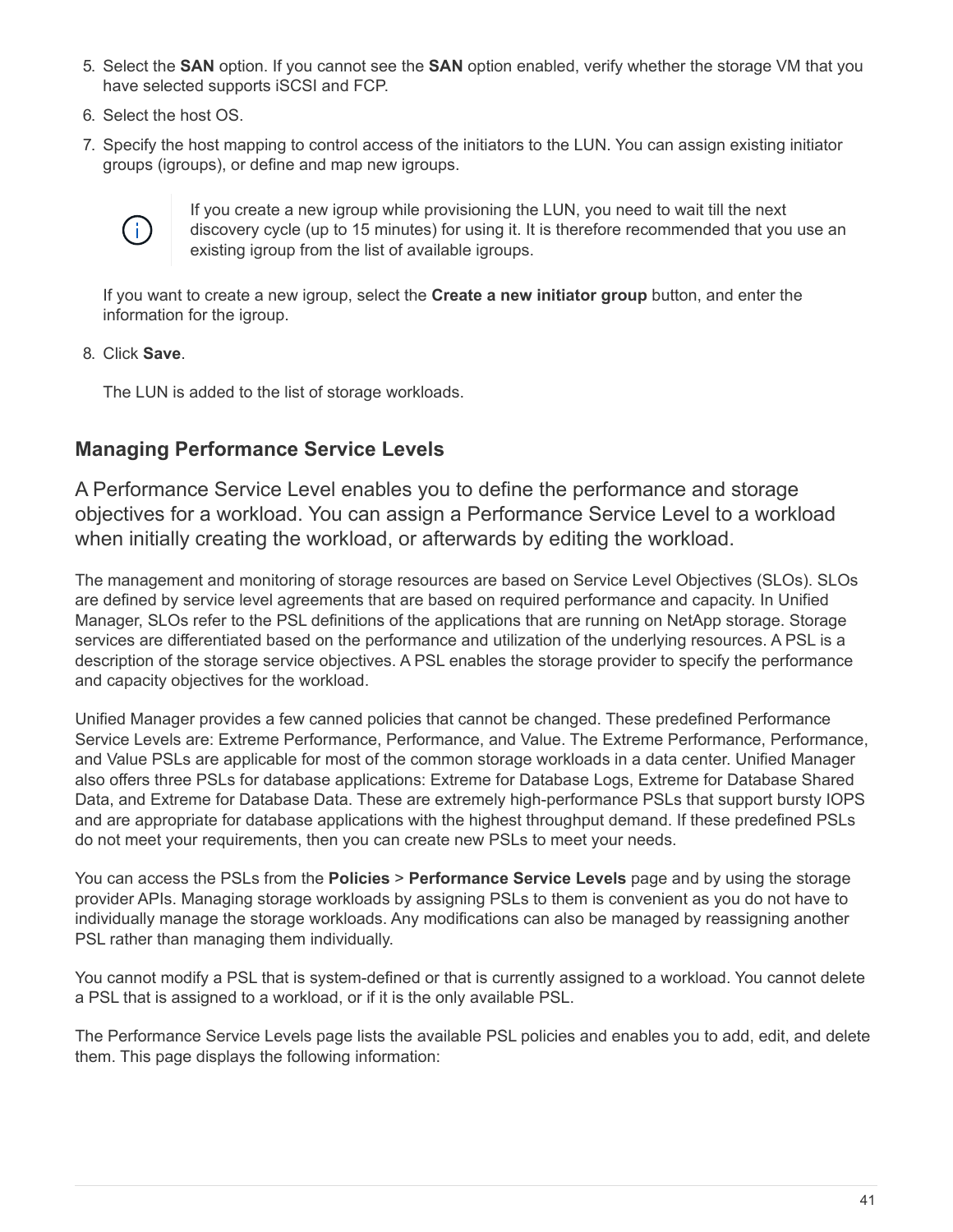- 5. Select the **SAN** option. If you cannot see the **SAN** option enabled, verify whether the storage VM that you have selected supports iSCSI and FCP.
- 6. Select the host OS.
- 7. Specify the host mapping to control access of the initiators to the LUN. You can assign existing initiator groups (igroups), or define and map new igroups.



If you create a new igroup while provisioning the LUN, you need to wait till the next discovery cycle (up to 15 minutes) for using it. It is therefore recommended that you use an existing igroup from the list of available igroups.

If you want to create a new igroup, select the **Create a new initiator group** button, and enter the information for the igroup.

8. Click **Save**.

The LUN is added to the list of storage workloads.

# **Managing Performance Service Levels**

A Performance Service Level enables you to define the performance and storage objectives for a workload. You can assign a Performance Service Level to a workload when initially creating the workload, or afterwards by editing the workload.

The management and monitoring of storage resources are based on Service Level Objectives (SLOs). SLOs are defined by service level agreements that are based on required performance and capacity. In Unified Manager, SLOs refer to the PSL definitions of the applications that are running on NetApp storage. Storage services are differentiated based on the performance and utilization of the underlying resources. A PSL is a description of the storage service objectives. A PSL enables the storage provider to specify the performance and capacity objectives for the workload.

Unified Manager provides a few canned policies that cannot be changed. These predefined Performance Service Levels are: Extreme Performance, Performance, and Value. The Extreme Performance, Performance, and Value PSLs are applicable for most of the common storage workloads in a data center. Unified Manager also offers three PSLs for database applications: Extreme for Database Logs, Extreme for Database Shared Data, and Extreme for Database Data. These are extremely high-performance PSLs that support bursty IOPS and are appropriate for database applications with the highest throughput demand. If these predefined PSLs do not meet your requirements, then you can create new PSLs to meet your needs.

You can access the PSLs from the **Policies** > **Performance Service Levels** page and by using the storage provider APIs. Managing storage workloads by assigning PSLs to them is convenient as you do not have to individually manage the storage workloads. Any modifications can also be managed by reassigning another PSL rather than managing them individually.

You cannot modify a PSL that is system-defined or that is currently assigned to a workload. You cannot delete a PSL that is assigned to a workload, or if it is the only available PSL.

The Performance Service Levels page lists the available PSL policies and enables you to add, edit, and delete them. This page displays the following information: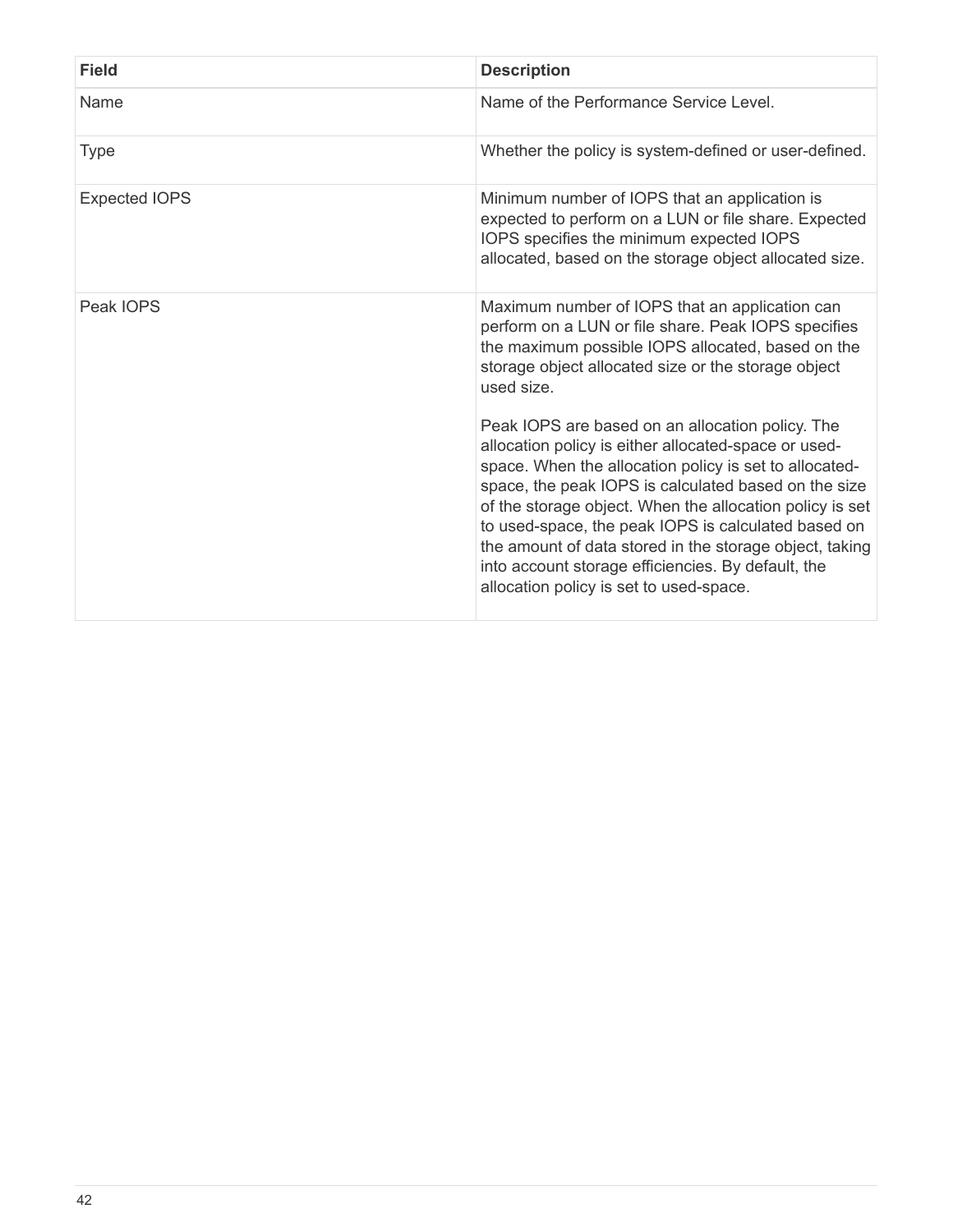| <b>Field</b>         | <b>Description</b>                                                                                                                                                                                                                                                                                                                                                                                                                                                                                        |
|----------------------|-----------------------------------------------------------------------------------------------------------------------------------------------------------------------------------------------------------------------------------------------------------------------------------------------------------------------------------------------------------------------------------------------------------------------------------------------------------------------------------------------------------|
| Name                 | Name of the Performance Service Level.                                                                                                                                                                                                                                                                                                                                                                                                                                                                    |
| <b>Type</b>          | Whether the policy is system-defined or user-defined.                                                                                                                                                                                                                                                                                                                                                                                                                                                     |
| <b>Expected IOPS</b> | Minimum number of IOPS that an application is<br>expected to perform on a LUN or file share. Expected<br>IOPS specifies the minimum expected IOPS<br>allocated, based on the storage object allocated size.                                                                                                                                                                                                                                                                                               |
| Peak IOPS            | Maximum number of IOPS that an application can<br>perform on a LUN or file share. Peak IOPS specifies<br>the maximum possible IOPS allocated, based on the<br>storage object allocated size or the storage object<br>used size.                                                                                                                                                                                                                                                                           |
|                      | Peak IOPS are based on an allocation policy. The<br>allocation policy is either allocated-space or used-<br>space. When the allocation policy is set to allocated-<br>space, the peak IOPS is calculated based on the size<br>of the storage object. When the allocation policy is set<br>to used-space, the peak IOPS is calculated based on<br>the amount of data stored in the storage object, taking<br>into account storage efficiencies. By default, the<br>allocation policy is set to used-space. |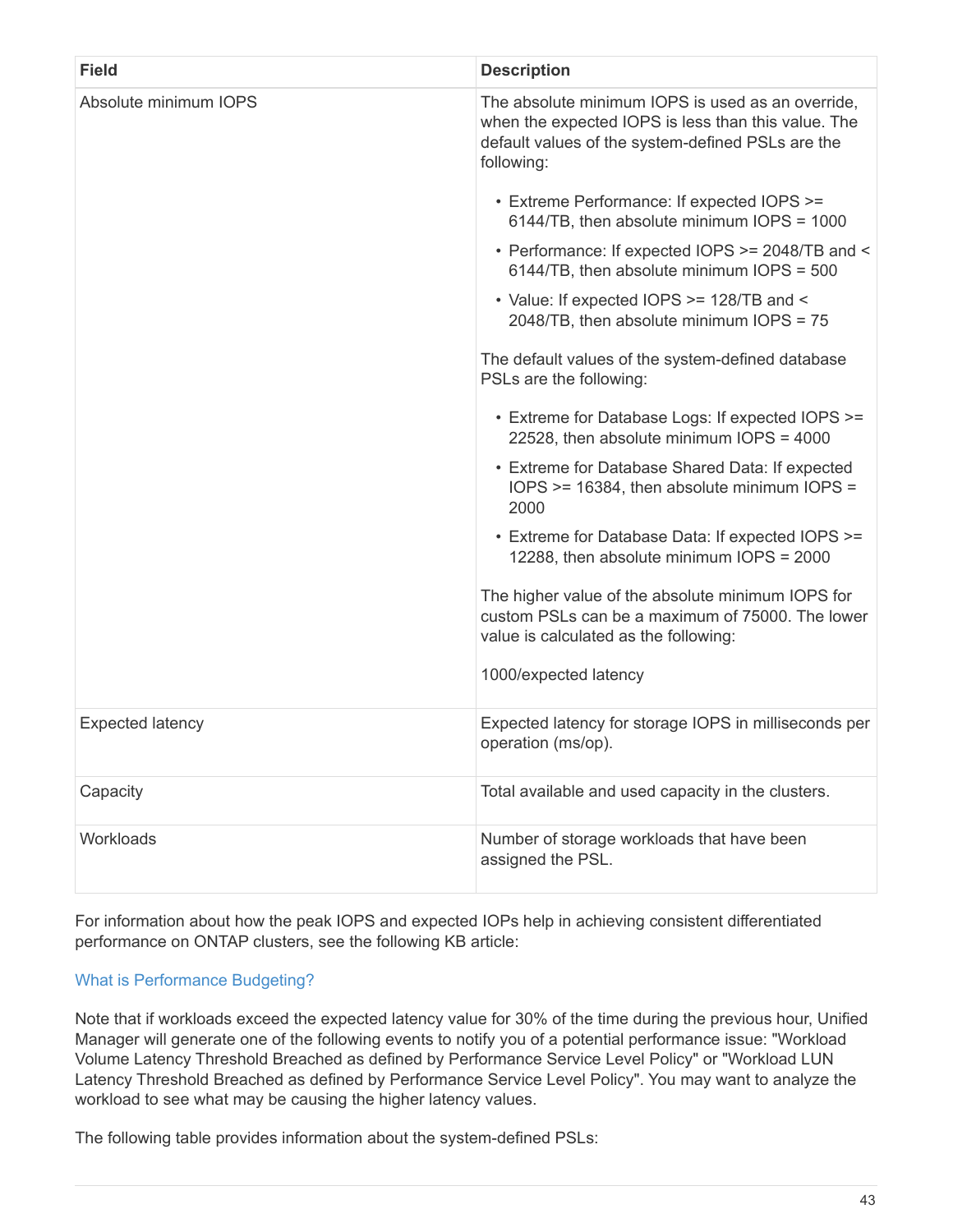| <b>Field</b>            | <b>Description</b>                                                                                                                                                          |
|-------------------------|-----------------------------------------------------------------------------------------------------------------------------------------------------------------------------|
| Absolute minimum IOPS   | The absolute minimum IOPS is used as an override,<br>when the expected IOPS is less than this value. The<br>default values of the system-defined PSLs are the<br>following: |
|                         | • Extreme Performance: If expected IOPS >=<br>6144/TB, then absolute minimum IOPS = 1000                                                                                    |
|                         | • Performance: If expected IOPS >= 2048/TB and <<br>6144/TB, then absolute minimum IOPS = 500                                                                               |
|                         | • Value: If expected IOPS >= 128/TB and <<br>2048/TB, then absolute minimum IOPS = 75                                                                                       |
|                         | The default values of the system-defined database<br>PSLs are the following:                                                                                                |
|                         | • Extreme for Database Logs: If expected IOPS >=<br>22528, then absolute minimum IOPS = 4000                                                                                |
|                         | • Extreme for Database Shared Data: If expected<br>IOPS >= 16384, then absolute minimum IOPS =<br>2000                                                                      |
|                         | • Extreme for Database Data: If expected IOPS >=<br>12288, then absolute minimum IOPS = 2000                                                                                |
|                         | The higher value of the absolute minimum IOPS for<br>custom PSLs can be a maximum of 75000. The lower<br>value is calculated as the following:                              |
|                         | 1000/expected latency                                                                                                                                                       |
| <b>Expected latency</b> | Expected latency for storage IOPS in milliseconds per<br>operation (ms/op).                                                                                                 |
| Capacity                | Total available and used capacity in the clusters.                                                                                                                          |
| Workloads               | Number of storage workloads that have been<br>assigned the PSL.                                                                                                             |

For information about how the peak IOPS and expected IOPs help in achieving consistent differentiated performance on ONTAP clusters, see the following KB article:

# [What is Performance Budgeting?](https://kb.netapp.com/Advice_and_Troubleshooting/Data_Infrastructure_Management/Active_IQ_Unified_Manager/What_is_Performance_Budgeting%3F)

Note that if workloads exceed the expected latency value for 30% of the time during the previous hour, Unified Manager will generate one of the following events to notify you of a potential performance issue: "Workload Volume Latency Threshold Breached as defined by Performance Service Level Policy" or "Workload LUN Latency Threshold Breached as defined by Performance Service Level Policy". You may want to analyze the workload to see what may be causing the higher latency values.

The following table provides information about the system-defined PSLs: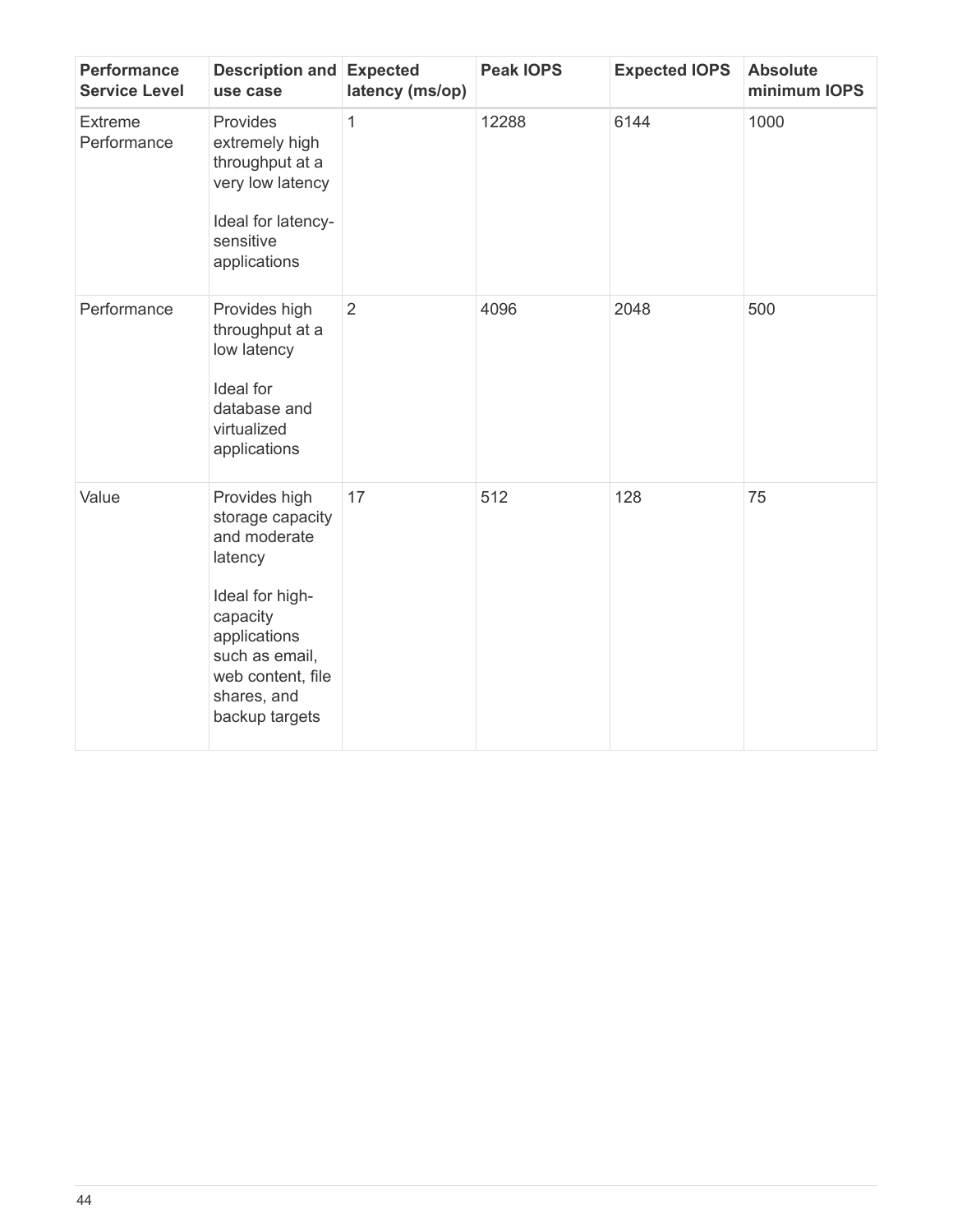| <b>Performance</b><br><b>Service Level</b> | <b>Description and Expected</b><br>use case                                                                                                                                         | latency (ms/op) | <b>Peak IOPS</b> | <b>Expected IOPS</b> | <b>Absolute</b><br>minimum IOPS |
|--------------------------------------------|-------------------------------------------------------------------------------------------------------------------------------------------------------------------------------------|-----------------|------------------|----------------------|---------------------------------|
| <b>Extreme</b><br>Performance              | Provides<br>extremely high<br>throughput at a<br>very low latency<br>Ideal for latency-<br>sensitive<br>applications                                                                | 1               | 12288            | 6144                 | 1000                            |
| Performance                                | Provides high<br>throughput at a<br>low latency<br>Ideal for<br>database and<br>virtualized<br>applications                                                                         | $\overline{2}$  | 4096             | 2048                 | 500                             |
| Value                                      | Provides high<br>storage capacity<br>and moderate<br>latency<br>Ideal for high-<br>capacity<br>applications<br>such as email,<br>web content, file<br>shares, and<br>backup targets | 17              | 512              | 128                  | 75                              |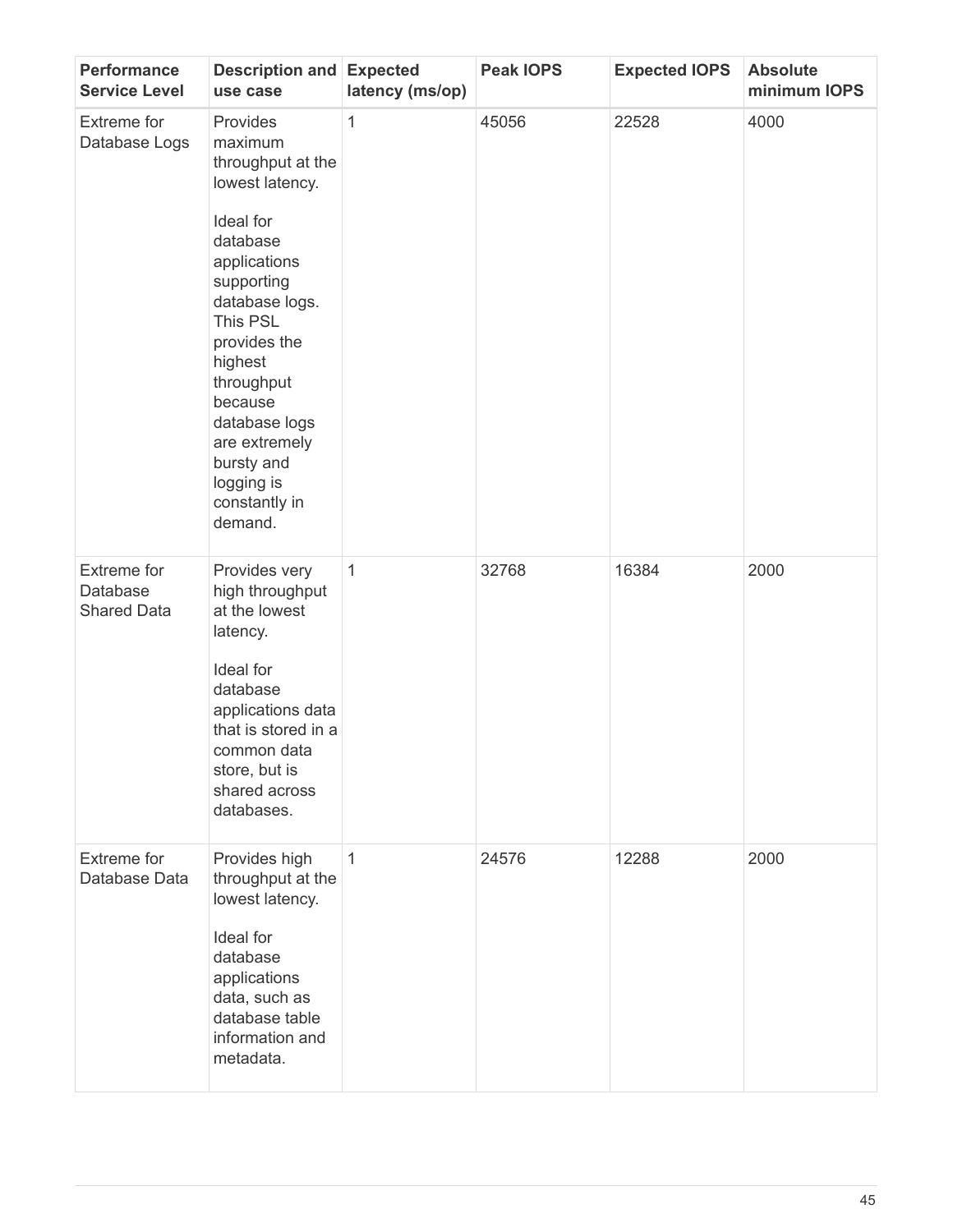| <b>Performance</b><br><b>Service Level</b>           | Description and<br>use case                                                                                                                                                                                                                                                                    | <b>Expected</b><br>latency (ms/op) | <b>Peak IOPS</b> | <b>Expected IOPS</b> | <b>Absolute</b><br>minimum IOPS |
|------------------------------------------------------|------------------------------------------------------------------------------------------------------------------------------------------------------------------------------------------------------------------------------------------------------------------------------------------------|------------------------------------|------------------|----------------------|---------------------------------|
| Extreme for<br>Database Logs                         | Provides<br>maximum<br>throughput at the<br>lowest latency.<br>Ideal for<br>database<br>applications<br>supporting<br>database logs.<br>This PSL<br>provides the<br>highest<br>throughput<br>because<br>database logs<br>are extremely<br>bursty and<br>logging is<br>constantly in<br>demand. | 1                                  | 45056            | 22528                | 4000                            |
| <b>Extreme for</b><br>Database<br><b>Shared Data</b> | Provides very<br>high throughput<br>at the lowest<br>latency.<br>Ideal for<br>database<br>applications data<br>that is stored in a<br>common data<br>store, but is<br>shared across<br>databases.                                                                                              | $\mathbf{1}$                       | 32768            | 16384                | 2000                            |
| Extreme for<br>Database Data                         | Provides high<br>throughput at the<br>lowest latency.<br>Ideal for<br>database<br>applications<br>data, such as<br>database table<br>information and<br>metadata.                                                                                                                              | $\mathbf{1}$                       | 24576            | 12288                | 2000                            |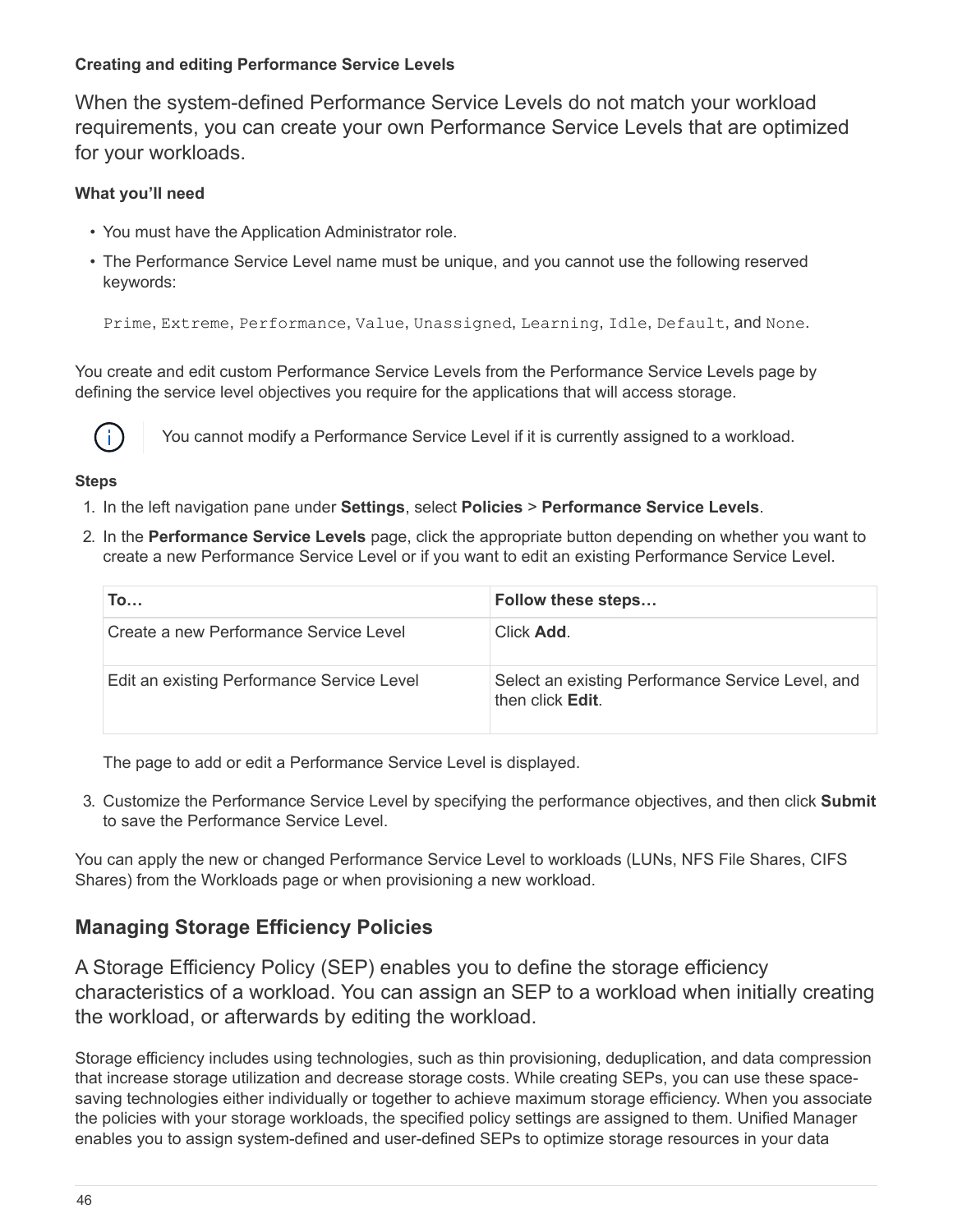# **Creating and editing Performance Service Levels**

When the system-defined Performance Service Levels do not match your workload requirements, you can create your own Performance Service Levels that are optimized for your workloads.

# **What you'll need**

- You must have the Application Administrator role.
- The Performance Service Level name must be unique, and you cannot use the following reserved keywords:

Prime, Extreme, Performance, Value, Unassigned, Learning, Idle, Default, and None.

You create and edit custom Performance Service Levels from the Performance Service Levels page by defining the service level objectives you require for the applications that will access storage.



You cannot modify a Performance Service Level if it is currently assigned to a workload.

#### **Steps**

- 1. In the left navigation pane under **Settings**, select **Policies** > **Performance Service Levels**.
- 2. In the **Performance Service Levels** page, click the appropriate button depending on whether you want to create a new Performance Service Level or if you want to edit an existing Performance Service Level.

| To                                         | Follow these steps                                                    |
|--------------------------------------------|-----------------------------------------------------------------------|
| Create a new Performance Service Level     | Click Add.                                                            |
| Edit an existing Performance Service Level | Select an existing Performance Service Level, and<br>then click Edit. |

The page to add or edit a Performance Service Level is displayed.

3. Customize the Performance Service Level by specifying the performance objectives, and then click **Submit** to save the Performance Service Level.

You can apply the new or changed Performance Service Level to workloads (LUNs, NFS File Shares, CIFS Shares) from the Workloads page or when provisioning a new workload.

# **Managing Storage Efficiency Policies**

A Storage Efficiency Policy (SEP) enables you to define the storage efficiency characteristics of a workload. You can assign an SEP to a workload when initially creating the workload, or afterwards by editing the workload.

Storage efficiency includes using technologies, such as thin provisioning, deduplication, and data compression that increase storage utilization and decrease storage costs. While creating SEPs, you can use these spacesaving technologies either individually or together to achieve maximum storage efficiency. When you associate the policies with your storage workloads, the specified policy settings are assigned to them. Unified Manager enables you to assign system-defined and user-defined SEPs to optimize storage resources in your data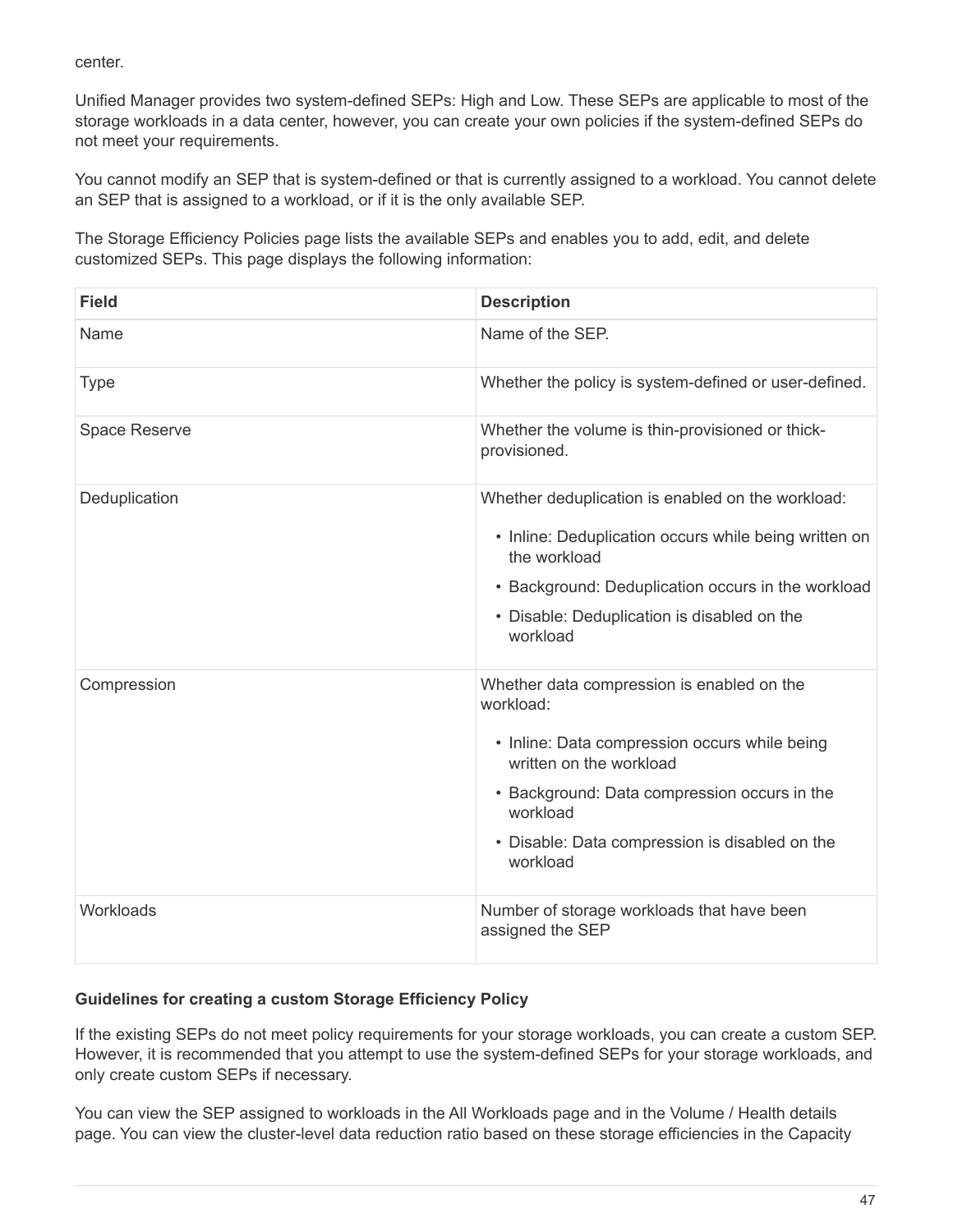center.

Unified Manager provides two system-defined SEPs: High and Low. These SEPs are applicable to most of the storage workloads in a data center, however, you can create your own policies if the system-defined SEPs do not meet your requirements.

You cannot modify an SEP that is system-defined or that is currently assigned to a workload. You cannot delete an SEP that is assigned to a workload, or if it is the only available SEP.

The Storage Efficiency Policies page lists the available SEPs and enables you to add, edit, and delete customized SEPs. This page displays the following information:

| <b>Field</b>  | <b>Description</b>                                                       |
|---------------|--------------------------------------------------------------------------|
| Name          | Name of the SEP.                                                         |
| <b>Type</b>   | Whether the policy is system-defined or user-defined.                    |
| Space Reserve | Whether the volume is thin-provisioned or thick-<br>provisioned.         |
| Deduplication | Whether deduplication is enabled on the workload:                        |
|               | • Inline: Deduplication occurs while being written on<br>the workload    |
|               | • Background: Deduplication occurs in the workload                       |
|               | • Disable: Deduplication is disabled on the<br>workload                  |
| Compression   | Whether data compression is enabled on the<br>workload:                  |
|               | • Inline: Data compression occurs while being<br>written on the workload |
|               | • Background: Data compression occurs in the<br>workload                 |
|               | • Disable: Data compression is disabled on the<br>workload               |
| Workloads     | Number of storage workloads that have been<br>assigned the SEP           |

## **Guidelines for creating a custom Storage Efficiency Policy**

If the existing SEPs do not meet policy requirements for your storage workloads, you can create a custom SEP. However, it is recommended that you attempt to use the system-defined SEPs for your storage workloads, and only create custom SEPs if necessary.

You can view the SEP assigned to workloads in the All Workloads page and in the Volume / Health details page. You can view the cluster-level data reduction ratio based on these storage efficiencies in the Capacity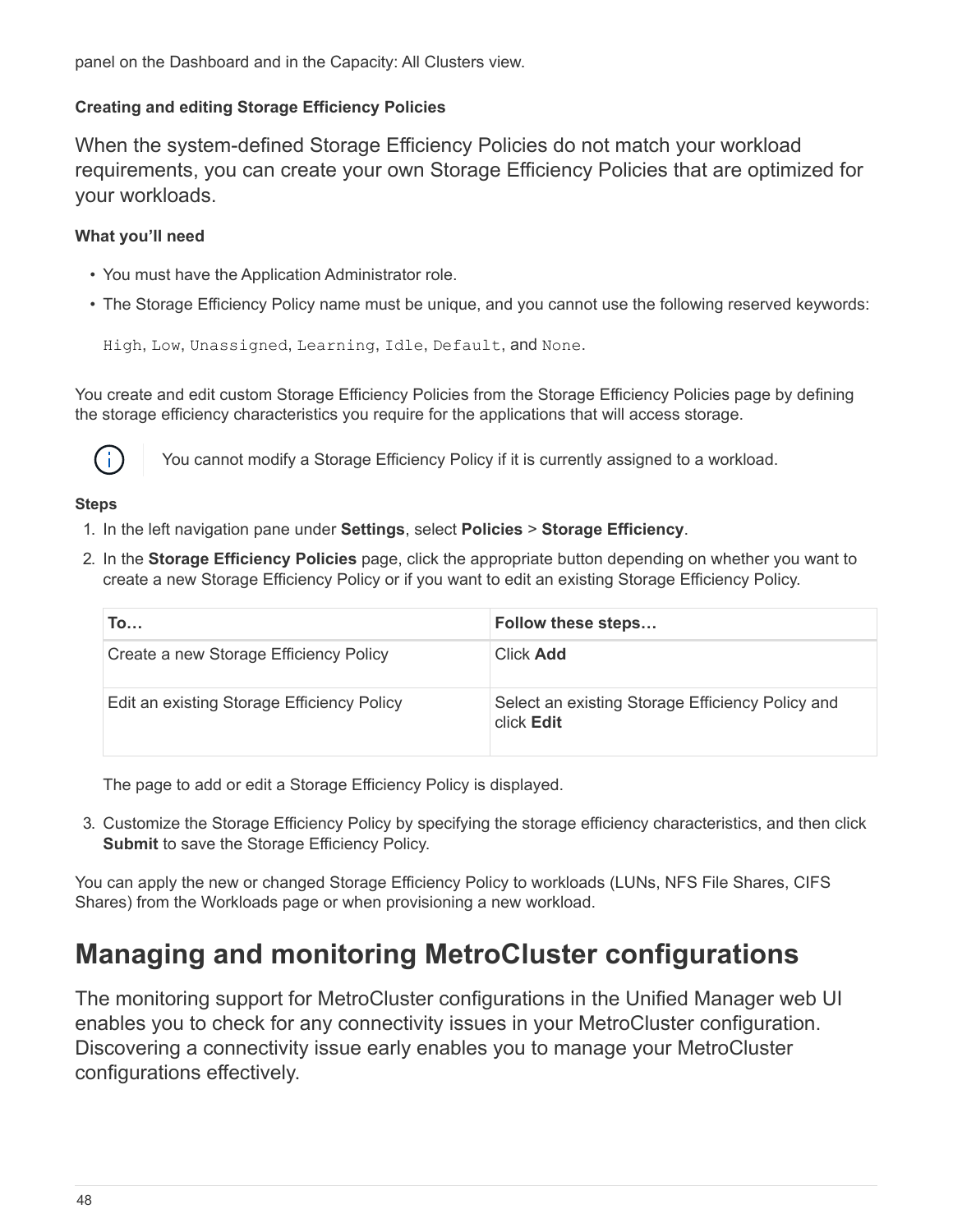panel on the Dashboard and in the Capacity: All Clusters view.

# **Creating and editing Storage Efficiency Policies**

When the system-defined Storage Efficiency Policies do not match your workload requirements, you can create your own Storage Efficiency Policies that are optimized for your workloads.

# **What you'll need**

- You must have the Application Administrator role.
- The Storage Efficiency Policy name must be unique, and you cannot use the following reserved keywords:

High, Low, Unassigned, Learning, Idle, Default, and None.

You create and edit custom Storage Efficiency Policies from the Storage Efficiency Policies page by defining the storage efficiency characteristics you require for the applications that will access storage.



You cannot modify a Storage Efficiency Policy if it is currently assigned to a workload.

# **Steps**

- 1. In the left navigation pane under **Settings**, select **Policies** > **Storage Efficiency**.
- 2. In the **Storage Efficiency Policies** page, click the appropriate button depending on whether you want to create a new Storage Efficiency Policy or if you want to edit an existing Storage Efficiency Policy.

| To                                         | Follow these steps                                             |
|--------------------------------------------|----------------------------------------------------------------|
| Create a new Storage Efficiency Policy     | <b>Click Add</b>                                               |
| Edit an existing Storage Efficiency Policy | Select an existing Storage Efficiency Policy and<br>click Edit |

The page to add or edit a Storage Efficiency Policy is displayed.

3. Customize the Storage Efficiency Policy by specifying the storage efficiency characteristics, and then click **Submit** to save the Storage Efficiency Policy.

You can apply the new or changed Storage Efficiency Policy to workloads (LUNs, NFS File Shares, CIFS Shares) from the Workloads page or when provisioning a new workload.

# <span id="page-49-0"></span>**Managing and monitoring MetroCluster configurations**

The monitoring support for MetroCluster configurations in the Unified Manager web UI enables you to check for any connectivity issues in your MetroCluster configuration. Discovering a connectivity issue early enables you to manage your MetroCluster configurations effectively.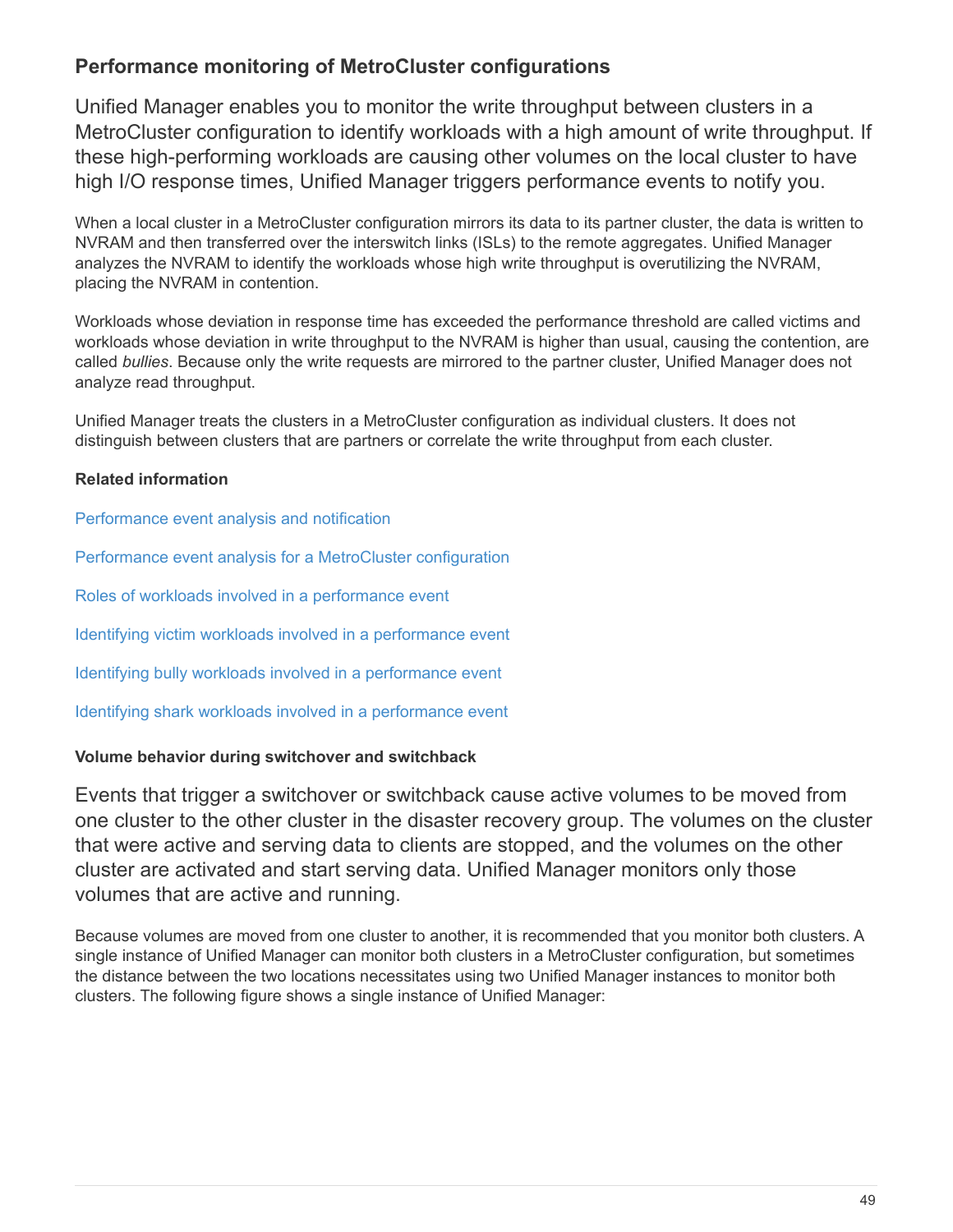# **Performance monitoring of MetroCluster configurations**

Unified Manager enables you to monitor the write throughput between clusters in a MetroCluster configuration to identify workloads with a high amount of write throughput. If these high-performing workloads are causing other volumes on the local cluster to have high I/O response times, Unified Manager triggers performance events to notify you.

When a local cluster in a MetroCluster configuration mirrors its data to its partner cluster, the data is written to NVRAM and then transferred over the interswitch links (ISLs) to the remote aggregates. Unified Manager analyzes the NVRAM to identify the workloads whose high write throughput is overutilizing the NVRAM, placing the NVRAM in contention.

Workloads whose deviation in response time has exceeded the performance threshold are called victims and workloads whose deviation in write throughput to the NVRAM is higher than usual, causing the contention, are called *bullies*. Because only the write requests are mirrored to the partner cluster, Unified Manager does not analyze read throughput.

Unified Manager treats the clusters in a MetroCluster configuration as individual clusters. It does not distinguish between clusters that are partners or correlate the write throughput from each cluster.

# **Related information**

[Performance event analysis and notification](https://docs.netapp.com/us-en/active-iq-unified-manager-910/performance-checker/reference_performance_event_analysis_and_notification.html)

[Performance event analysis for a MetroCluster configuration](https://docs.netapp.com/us-en/active-iq-unified-manager-910/performance-checker/concept_performance_incident_analysis_for_metrocluster_configuration.html)

[Roles of workloads involved in a performance event](https://docs.netapp.com/us-en/active-iq-unified-manager-910/performance-checker/concept_roles_of_workloads_involved_in_performance_incident.html)

[Identifying victim workloads involved in a performance event](https://docs.netapp.com/us-en/active-iq-unified-manager-910/performance-checker/task_identify_victim_workloads_involved_in_performance_event.html)

[Identifying bully workloads involved in a performance event](https://docs.netapp.com/us-en/active-iq-unified-manager-910/performance-checker/task_identify_bully_workloads_involved_in_performance_event.html)

[Identifying shark workloads involved in a performance event](https://docs.netapp.com/us-en/active-iq-unified-manager-910/performance-checker/task_identify_shark_workloads_involved_in_performance_event.html)

# **Volume behavior during switchover and switchback**

Events that trigger a switchover or switchback cause active volumes to be moved from one cluster to the other cluster in the disaster recovery group. The volumes on the cluster that were active and serving data to clients are stopped, and the volumes on the other cluster are activated and start serving data. Unified Manager monitors only those volumes that are active and running.

Because volumes are moved from one cluster to another, it is recommended that you monitor both clusters. A single instance of Unified Manager can monitor both clusters in a MetroCluster configuration, but sometimes the distance between the two locations necessitates using two Unified Manager instances to monitor both clusters. The following figure shows a single instance of Unified Manager: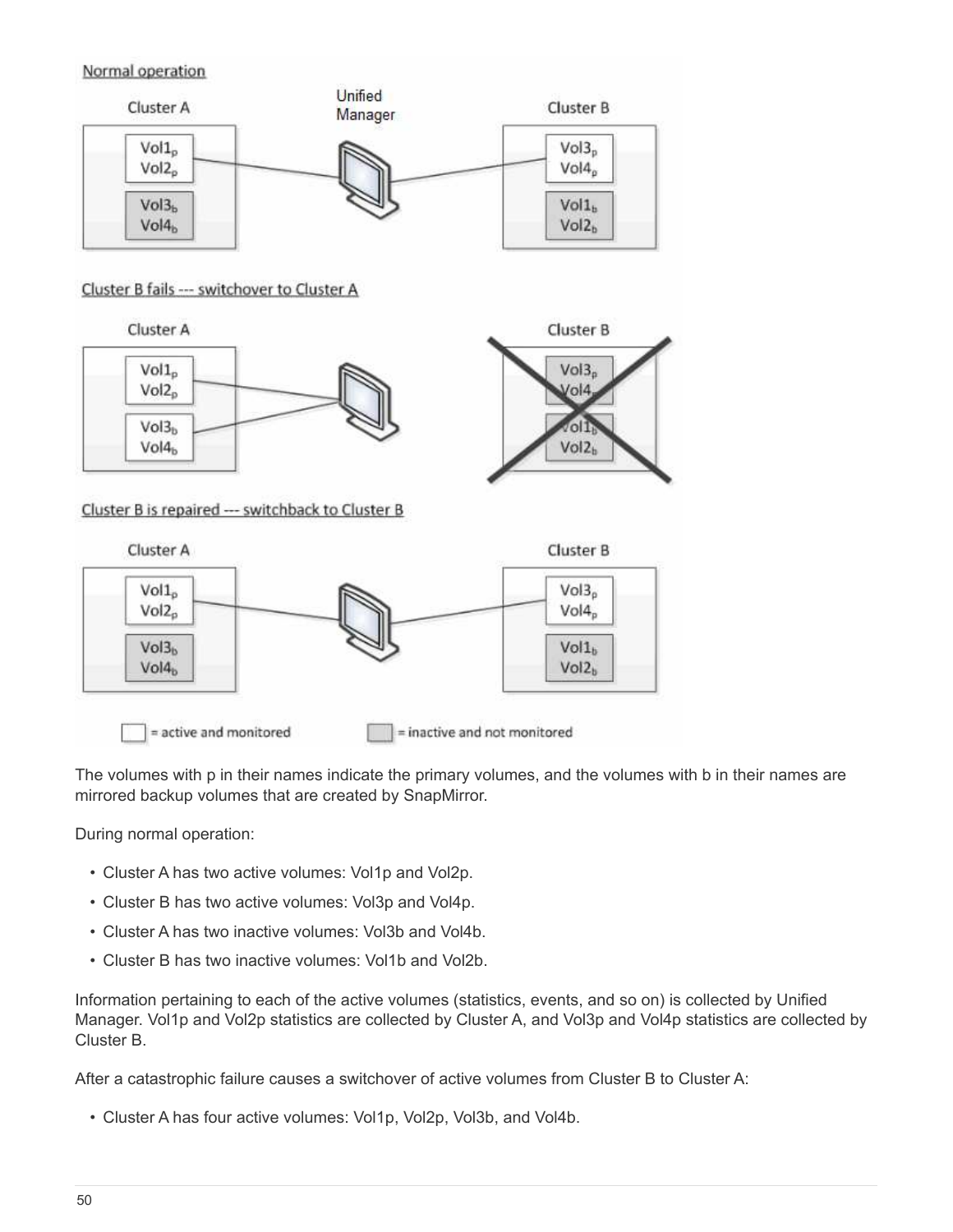## Normal operation



### Cluster B fails --- switchover to Cluster A



Cluster B is repaired --- switchback to Cluster B



The volumes with p in their names indicate the primary volumes, and the volumes with b in their names are mirrored backup volumes that are created by SnapMirror.

During normal operation:

- Cluster A has two active volumes: Vol1p and Vol2p.
- Cluster B has two active volumes: Vol3p and Vol4p.
- Cluster A has two inactive volumes: Vol3b and Vol4b.
- Cluster B has two inactive volumes: Vol1b and Vol2b.

Information pertaining to each of the active volumes (statistics, events, and so on) is collected by Unified Manager. Vol1p and Vol2p statistics are collected by Cluster A, and Vol3p and Vol4p statistics are collected by Cluster B.

After a catastrophic failure causes a switchover of active volumes from Cluster B to Cluster A:

• Cluster A has four active volumes: Vol1p, Vol2p, Vol3b, and Vol4b.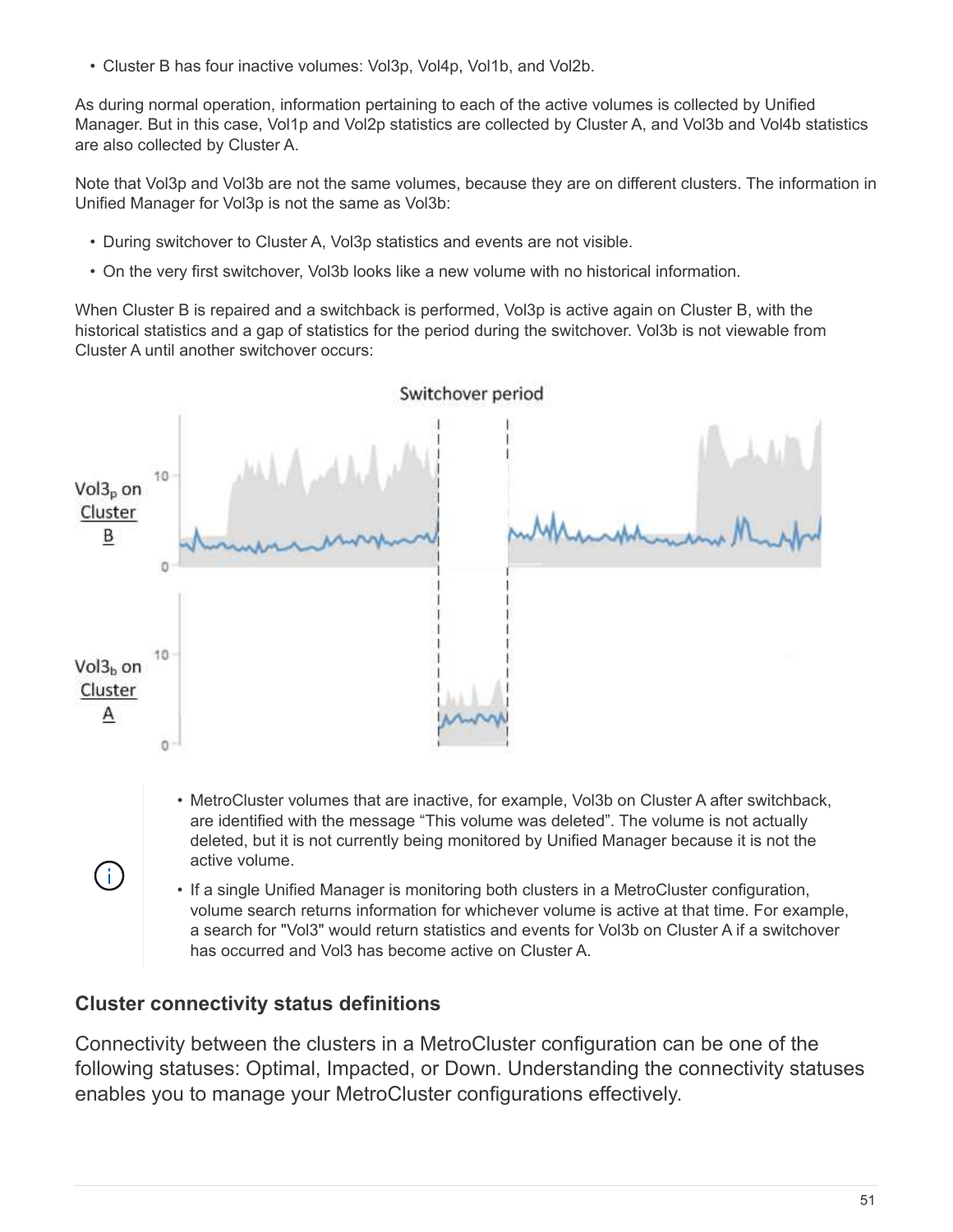• Cluster B has four inactive volumes: Vol3p, Vol4p, Vol1b, and Vol2b.

As during normal operation, information pertaining to each of the active volumes is collected by Unified Manager. But in this case, Vol1p and Vol2p statistics are collected by Cluster A, and Vol3b and Vol4b statistics are also collected by Cluster A.

Note that Vol3p and Vol3b are not the same volumes, because they are on different clusters. The information in Unified Manager for Vol3p is not the same as Vol3b:

- During switchover to Cluster A, Vol3p statistics and events are not visible.
- On the very first switchover, Vol3b looks like a new volume with no historical information.

When Cluster B is repaired and a switchback is performed, Vol3p is active again on Cluster B, with the historical statistics and a gap of statistics for the period during the switchover. Vol3b is not viewable from Cluster A until another switchover occurs:



• If a single Unified Manager is monitoring both clusters in a MetroCluster configuration, volume search returns information for whichever volume is active at that time. For example, a search for "Vol3" would return statistics and events for Vol3b on Cluster A if a switchover has occurred and Vol3 has become active on Cluster A.

# **Cluster connectivity status definitions**

Connectivity between the clusters in a MetroCluster configuration can be one of the following statuses: Optimal, Impacted, or Down. Understanding the connectivity statuses enables you to manage your MetroCluster configurations effectively.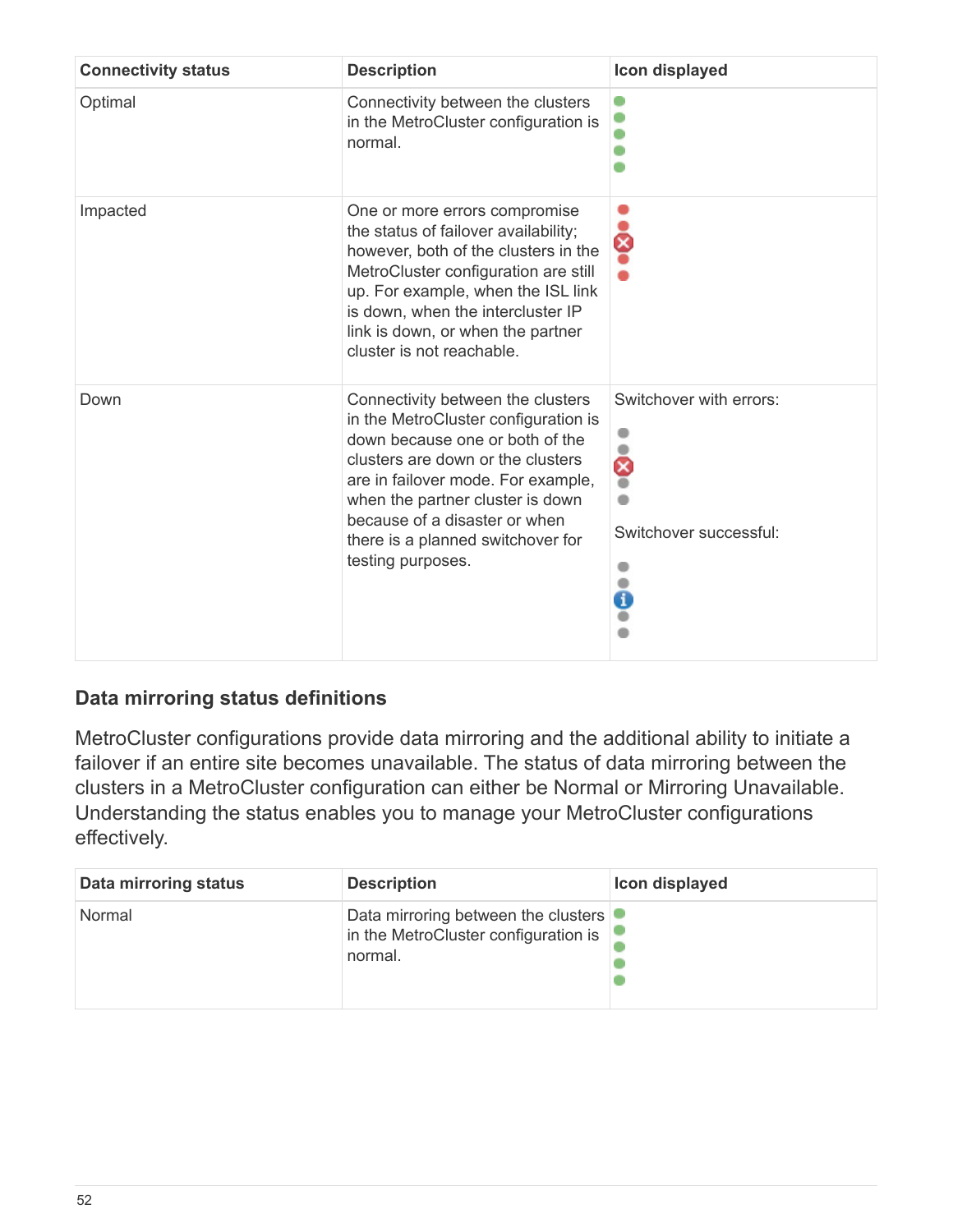| <b>Connectivity status</b> | <b>Description</b>                                                                                                                                                                                                                                                                                                     | Icon displayed                                         |
|----------------------------|------------------------------------------------------------------------------------------------------------------------------------------------------------------------------------------------------------------------------------------------------------------------------------------------------------------------|--------------------------------------------------------|
| Optimal                    | Connectivity between the clusters<br>in the MetroCluster configuration is<br>normal.                                                                                                                                                                                                                                   |                                                        |
| Impacted                   | One or more errors compromise<br>the status of failover availability;<br>however, both of the clusters in the<br>MetroCluster configuration are still<br>up. For example, when the ISL link<br>is down, when the intercluster IP<br>link is down, or when the partner<br>cluster is not reachable.                     | 8                                                      |
| Down                       | Connectivity between the clusters<br>in the MetroCluster configuration is<br>down because one or both of the<br>clusters are down or the clusters<br>are in failover mode. For example,<br>when the partner cluster is down<br>because of a disaster or when<br>there is a planned switchover for<br>testing purposes. | Switchover with errors:<br>ବ<br>Switchover successful: |

# **Data mirroring status definitions**

MetroCluster configurations provide data mirroring and the additional ability to initiate a failover if an entire site becomes unavailable. The status of data mirroring between the clusters in a MetroCluster configuration can either be Normal or Mirroring Unavailable. Understanding the status enables you to manage your MetroCluster configurations effectively.

| Data mirroring status | <b>Description</b>                                                                     | Icon displayed |
|-----------------------|----------------------------------------------------------------------------------------|----------------|
| Normal                | Data mirroring between the clusters<br>in the MetroCluster configuration is<br>normal. |                |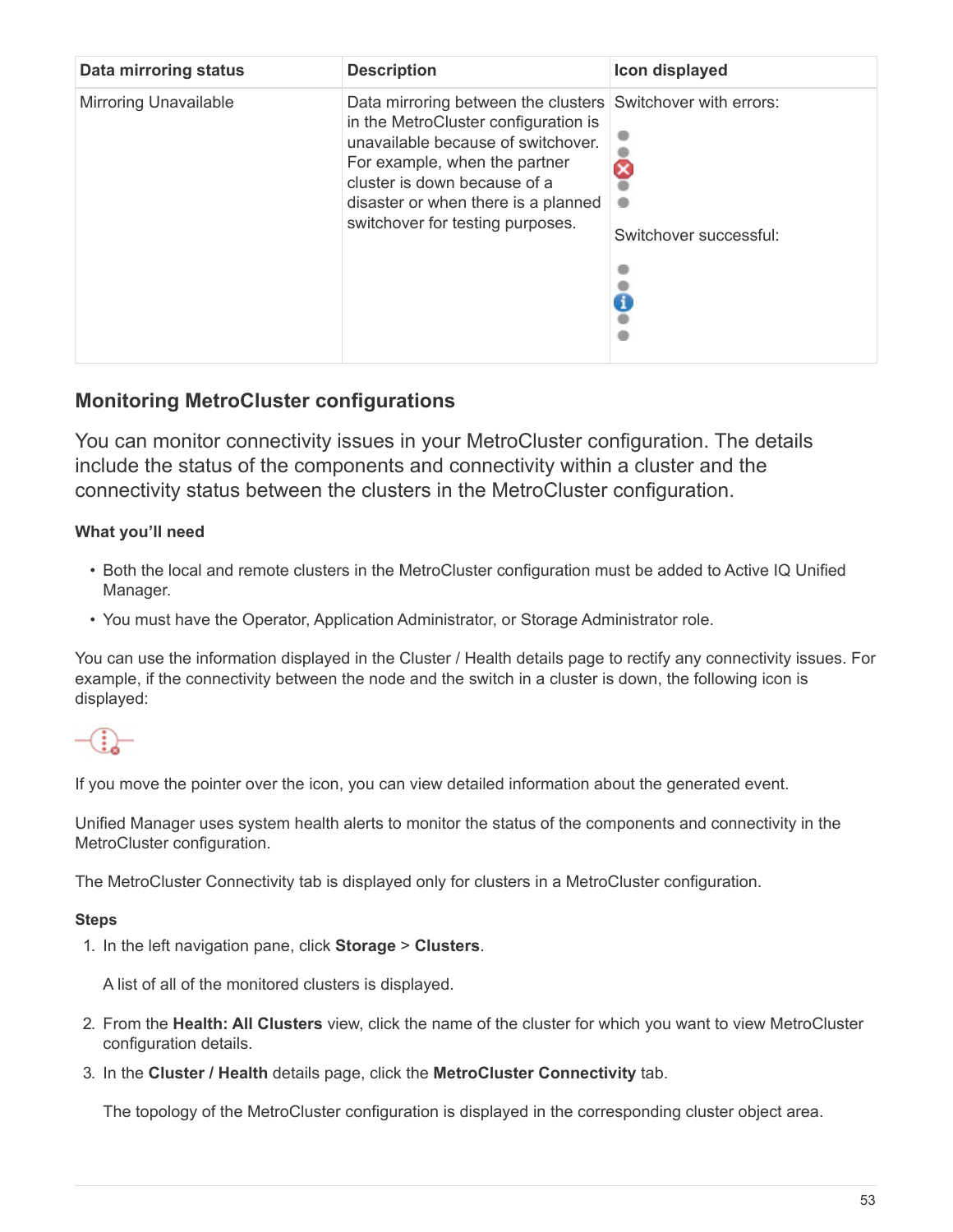| <b>Data mirroring status</b> | <b>Description</b>                                                                                                                                                                                                                                                                    | Icon displayed         |
|------------------------------|---------------------------------------------------------------------------------------------------------------------------------------------------------------------------------------------------------------------------------------------------------------------------------------|------------------------|
| <b>Mirroring Unavailable</b> | Data mirroring between the clusters Switchover with errors:<br>in the MetroCluster configuration is<br>unavailable because of switchover.<br>For example, when the partner<br>cluster is down because of a<br>disaster or when there is a planned<br>switchover for testing purposes. | Switchover successful: |

# **Monitoring MetroCluster configurations**

You can monitor connectivity issues in your MetroCluster configuration. The details include the status of the components and connectivity within a cluster and the connectivity status between the clusters in the MetroCluster configuration.

# **What you'll need**

- Both the local and remote clusters in the MetroCluster configuration must be added to Active IQ Unified Manager.
- You must have the Operator, Application Administrator, or Storage Administrator role.

You can use the information displayed in the Cluster / Health details page to rectify any connectivity issues. For example, if the connectivity between the node and the switch in a cluster is down, the following icon is displayed:



If you move the pointer over the icon, you can view detailed information about the generated event.

Unified Manager uses system health alerts to monitor the status of the components and connectivity in the MetroCluster configuration.

The MetroCluster Connectivity tab is displayed only for clusters in a MetroCluster configuration.

## **Steps**

1. In the left navigation pane, click **Storage** > **Clusters**.

A list of all of the monitored clusters is displayed.

- 2. From the **Health: All Clusters** view, click the name of the cluster for which you want to view MetroCluster configuration details.
- 3. In the **Cluster / Health** details page, click the **MetroCluster Connectivity** tab.

The topology of the MetroCluster configuration is displayed in the corresponding cluster object area.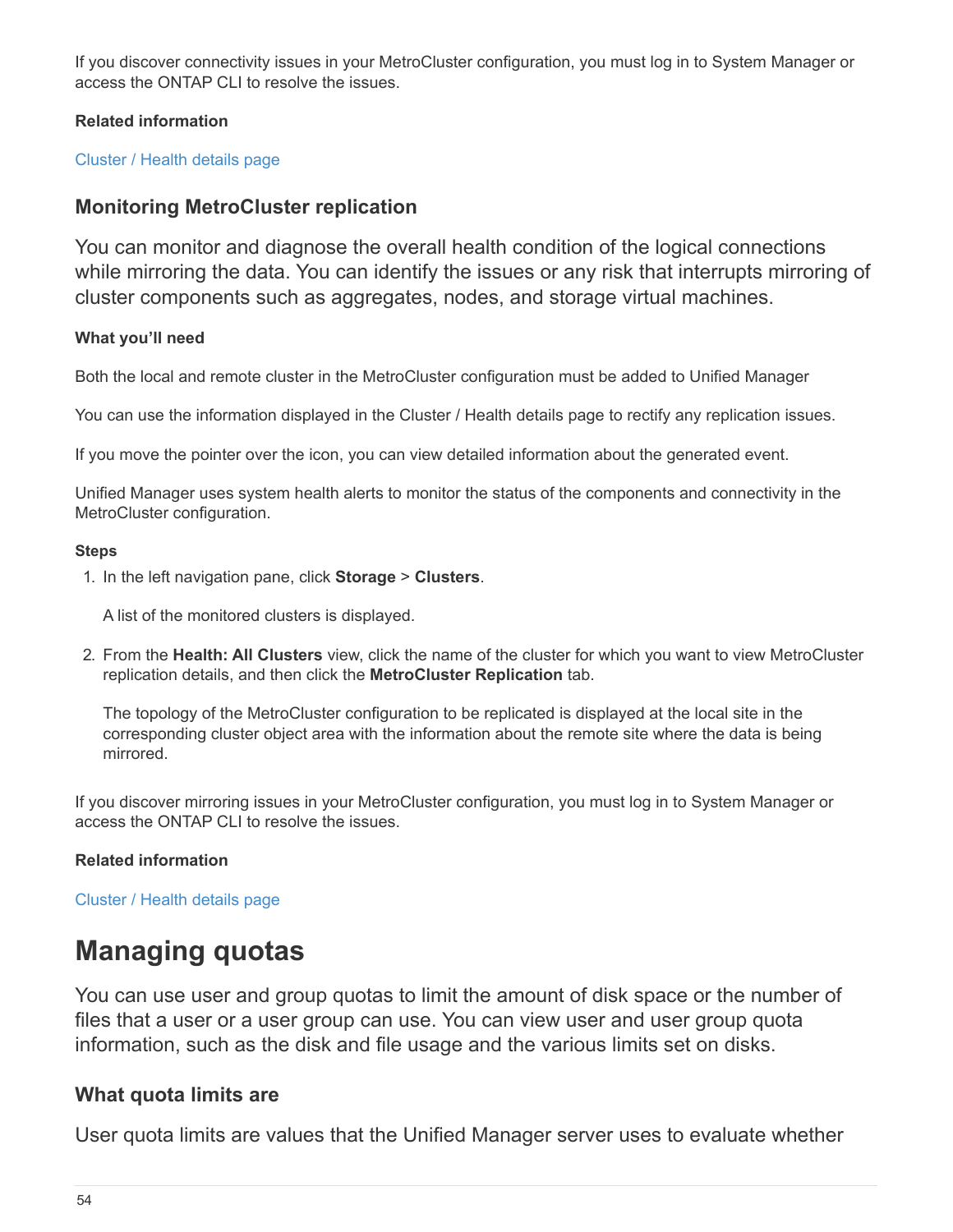If you discover connectivity issues in your MetroCluster configuration, you must log in to System Manager or access the ONTAP CLI to resolve the issues.

# **Related information**

[Cluster / Health details page](https://docs.netapp.com/us-en/active-iq-unified-manager-910/health-checker/reference_health_cluster_details_page.html)

# **Monitoring MetroCluster replication**

You can monitor and diagnose the overall health condition of the logical connections while mirroring the data. You can identify the issues or any risk that interrupts mirroring of cluster components such as aggregates, nodes, and storage virtual machines.

# **What you'll need**

Both the local and remote cluster in the MetroCluster configuration must be added to Unified Manager

You can use the information displayed in the Cluster / Health details page to rectify any replication issues.

If you move the pointer over the icon, you can view detailed information about the generated event.

Unified Manager uses system health alerts to monitor the status of the components and connectivity in the MetroCluster configuration.

## **Steps**

1. In the left navigation pane, click **Storage** > **Clusters**.

A list of the monitored clusters is displayed.

2. From the **Health: All Clusters** view, click the name of the cluster for which you want to view MetroCluster replication details, and then click the **MetroCluster Replication** tab.

The topology of the MetroCluster configuration to be replicated is displayed at the local site in the corresponding cluster object area with the information about the remote site where the data is being mirrored.

If you discover mirroring issues in your MetroCluster configuration, you must log in to System Manager or access the ONTAP CLI to resolve the issues.

# **Related information**

[Cluster / Health details page](https://docs.netapp.com/us-en/active-iq-unified-manager-910/health-checker/reference_health_cluster_details_page.html)

# <span id="page-55-0"></span>**Managing quotas**

You can use user and group quotas to limit the amount of disk space or the number of files that a user or a user group can use. You can view user and user group quota information, such as the disk and file usage and the various limits set on disks.

# **What quota limits are**

User quota limits are values that the Unified Manager server uses to evaluate whether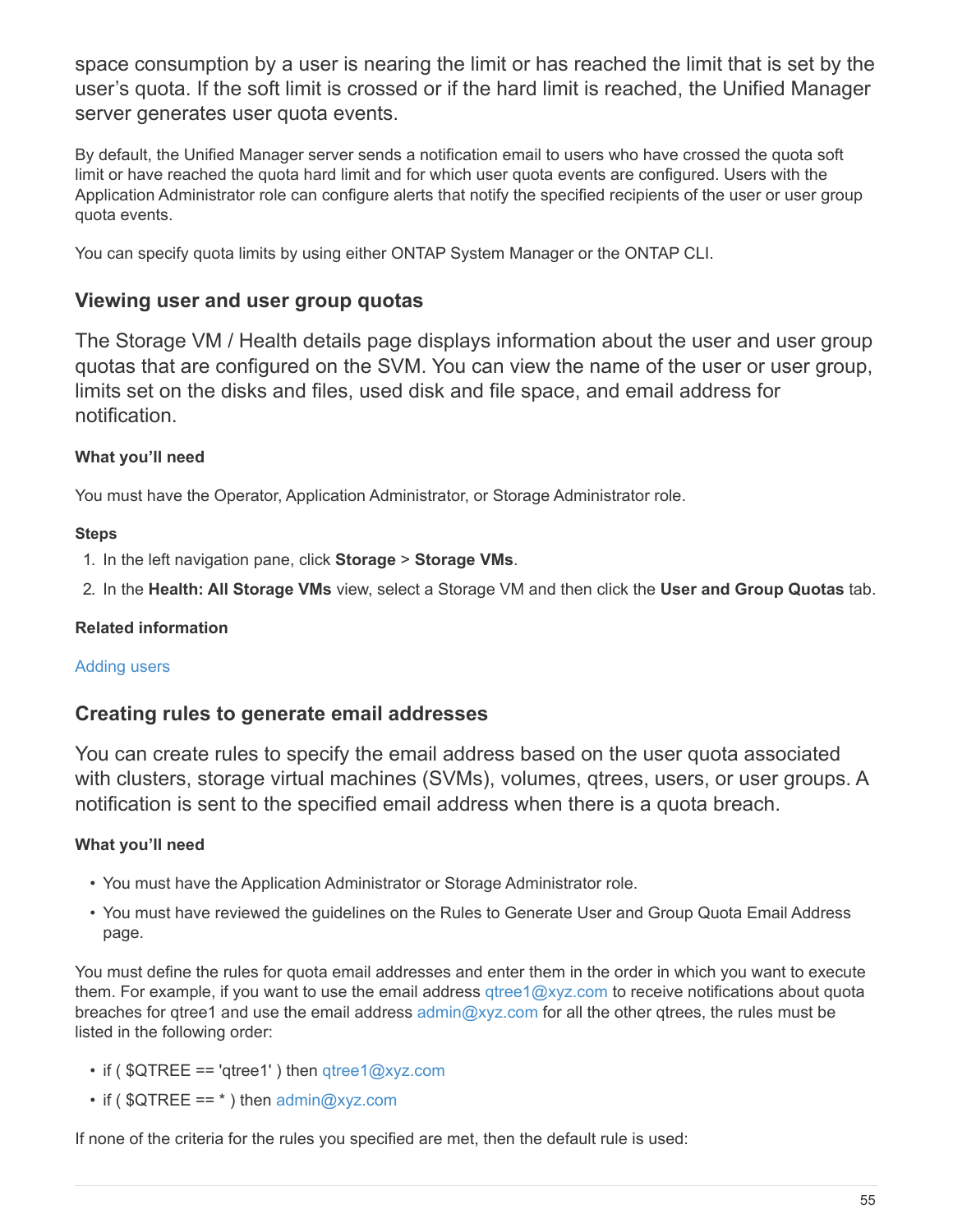space consumption by a user is nearing the limit or has reached the limit that is set by the user's quota. If the soft limit is crossed or if the hard limit is reached, the Unified Manager server generates user quota events.

By default, the Unified Manager server sends a notification email to users who have crossed the quota soft limit or have reached the quota hard limit and for which user quota events are configured. Users with the Application Administrator role can configure alerts that notify the specified recipients of the user or user group quota events.

You can specify quota limits by using either ONTAP System Manager or the ONTAP CLI.

# **Viewing user and user group quotas**

The Storage VM / Health details page displays information about the user and user group quotas that are configured on the SVM. You can view the name of the user or user group, limits set on the disks and files, used disk and file space, and email address for notification.

# **What you'll need**

You must have the Operator, Application Administrator, or Storage Administrator role.

# **Steps**

1. In the left navigation pane, click **Storage** > **Storage VMs**.

2. In the **Health: All Storage VMs** view, select a Storage VM and then click the **User and Group Quotas** tab.

# **Related information**

# [Adding users](https://docs.netapp.com/us-en/active-iq-unified-manager-910/config/task_add_users.html)

# **Creating rules to generate email addresses**

You can create rules to specify the email address based on the user quota associated with clusters, storage virtual machines (SVMs), volumes, gtrees, users, or user groups. A notification is sent to the specified email address when there is a quota breach.

# **What you'll need**

- You must have the Application Administrator or Storage Administrator role.
- You must have reviewed the guidelines on the Rules to Generate User and Group Quota Email Address page.

You must define the rules for quota email addresses and enter them in the order in which you want to execute them. For example, if you want to use the email address [qtree1@xyz.com](mailto:qtree1@xyz.com) to receive notifications about quota breaches for gtree1 and use the email address [admin@xyz.com](mailto:admin@xyz.com) for all the other gtrees, the rules must be listed in the following order:

- if (  $QTREE == 'qtree1'$  ) then  $qtree1@xyz.com$
- if (  $QTREE == *$  ) then [admin@xyz.com](mailto:admin@xyz.com)

If none of the criteria for the rules you specified are met, then the default rule is used: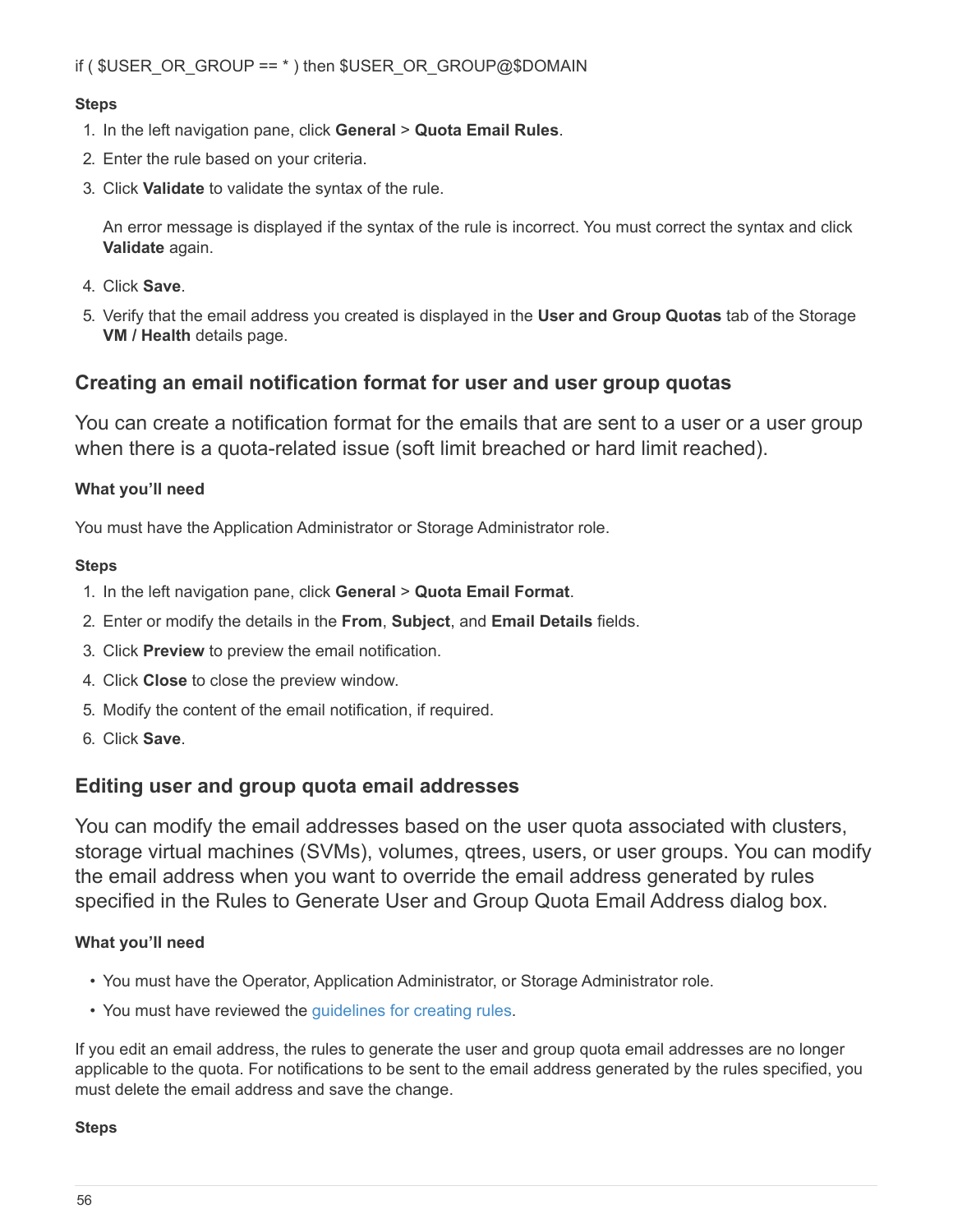## **Steps**

- 1. In the left navigation pane, click **General** > **Quota Email Rules**.
- 2. Enter the rule based on your criteria.
- 3. Click **Validate** to validate the syntax of the rule.

An error message is displayed if the syntax of the rule is incorrect. You must correct the syntax and click **Validate** again.

- 4. Click **Save**.
- 5. Verify that the email address you created is displayed in the **User and Group Quotas** tab of the Storage **VM / Health** details page.

# **Creating an email notification format for user and user group quotas**

You can create a notification format for the emails that are sent to a user or a user group when there is a quota-related issue (soft limit breached or hard limit reached).

# **What you'll need**

You must have the Application Administrator or Storage Administrator role.

# **Steps**

- 1. In the left navigation pane, click **General** > **Quota Email Format**.
- 2. Enter or modify the details in the **From**, **Subject**, and **Email Details** fields.
- 3. Click **Preview** to preview the email notification.
- 4. Click **Close** to close the preview window.
- 5. Modify the content of the email notification, if required.
- 6. Click **Save**.

# **Editing user and group quota email addresses**

You can modify the email addresses based on the user quota associated with clusters, storage virtual machines (SVMs), volumes, qtrees, users, or user groups. You can modify the email address when you want to override the email address generated by rules specified in the Rules to Generate User and Group Quota Email Address dialog box.

# **What you'll need**

- You must have the Operator, Application Administrator, or Storage Administrator role.
- You must have reviewed the [guidelines for creating rules.](#page-60-0)

If you edit an email address, the rules to generate the user and group quota email addresses are no longer applicable to the quota. For notifications to be sent to the email address generated by the rules specified, you must delete the email address and save the change.

## **Steps**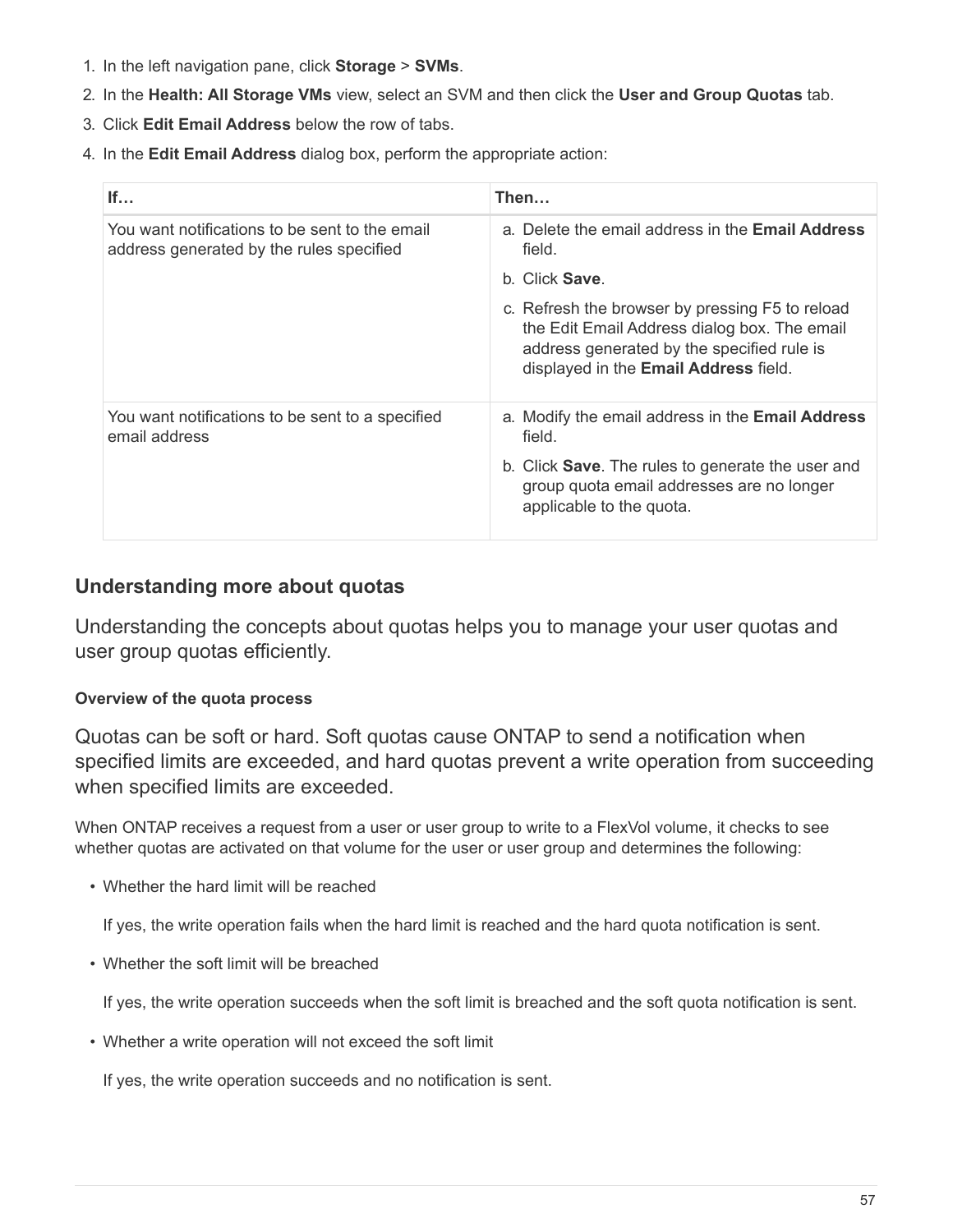- 1. In the left navigation pane, click **Storage** > **SVMs**.
- 2. In the **Health: All Storage VMs** view, select an SVM and then click the **User and Group Quotas** tab.
- 3. Click **Edit Email Address** below the row of tabs.
- 4. In the **Edit Email Address** dialog box, perform the appropriate action:

| If                                                                                         | Then                                                                                                                                                                                   |
|--------------------------------------------------------------------------------------------|----------------------------------------------------------------------------------------------------------------------------------------------------------------------------------------|
| You want notifications to be sent to the email<br>address generated by the rules specified | a. Delete the email address in the <b>Email Address</b><br>field.                                                                                                                      |
|                                                                                            | b. Click Save.                                                                                                                                                                         |
|                                                                                            | c. Refresh the browser by pressing F5 to reload<br>the Edit Email Address dialog box. The email<br>address generated by the specified rule is<br>displayed in the Email Address field. |
| You want notifications to be sent to a specified<br>email address                          | a. Modify the email address in the <b>Email Address</b><br>field.                                                                                                                      |
|                                                                                            | b. Click <b>Save</b> . The rules to generate the user and<br>group quota email addresses are no longer<br>applicable to the quota.                                                     |

# **Understanding more about quotas**

Understanding the concepts about quotas helps you to manage your user quotas and user group quotas efficiently.

# **Overview of the quota process**

Quotas can be soft or hard. Soft quotas cause ONTAP to send a notification when specified limits are exceeded, and hard quotas prevent a write operation from succeeding when specified limits are exceeded.

When ONTAP receives a request from a user or user group to write to a FlexVol volume, it checks to see whether quotas are activated on that volume for the user or user group and determines the following:

• Whether the hard limit will be reached

If yes, the write operation fails when the hard limit is reached and the hard quota notification is sent.

• Whether the soft limit will be breached

If yes, the write operation succeeds when the soft limit is breached and the soft quota notification is sent.

• Whether a write operation will not exceed the soft limit

If yes, the write operation succeeds and no notification is sent.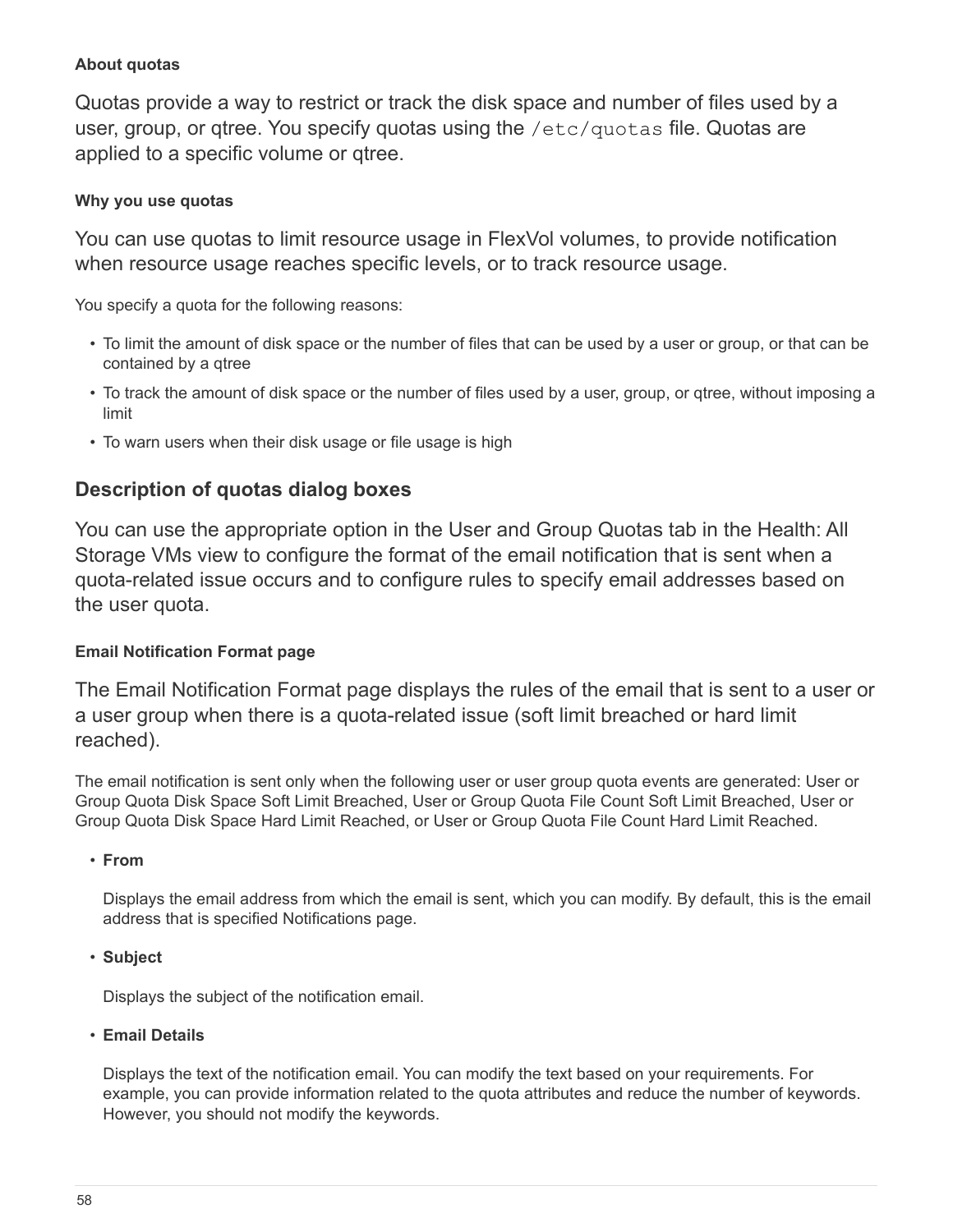# **About quotas**

Quotas provide a way to restrict or track the disk space and number of files used by a user, group, or gtree. You specify quotas using the /etc/quotas file. Quotas are applied to a specific volume or qtree.

# **Why you use quotas**

You can use quotas to limit resource usage in FlexVol volumes, to provide notification when resource usage reaches specific levels, or to track resource usage.

You specify a quota for the following reasons:

- To limit the amount of disk space or the number of files that can be used by a user or group, or that can be contained by a qtree
- To track the amount of disk space or the number of files used by a user, group, or qtree, without imposing a limit
- To warn users when their disk usage or file usage is high

# **Description of quotas dialog boxes**

You can use the appropriate option in the User and Group Quotas tab in the Health: All Storage VMs view to configure the format of the email notification that is sent when a quota-related issue occurs and to configure rules to specify email addresses based on the user quota.

# **Email Notification Format page**

The Email Notification Format page displays the rules of the email that is sent to a user or a user group when there is a quota-related issue (soft limit breached or hard limit reached).

The email notification is sent only when the following user or user group quota events are generated: User or Group Quota Disk Space Soft Limit Breached, User or Group Quota File Count Soft Limit Breached, User or Group Quota Disk Space Hard Limit Reached, or User or Group Quota File Count Hard Limit Reached.

• **From**

Displays the email address from which the email is sent, which you can modify. By default, this is the email address that is specified Notifications page.

• **Subject**

Displays the subject of the notification email.

• **Email Details**

Displays the text of the notification email. You can modify the text based on your requirements. For example, you can provide information related to the quota attributes and reduce the number of keywords. However, you should not modify the keywords.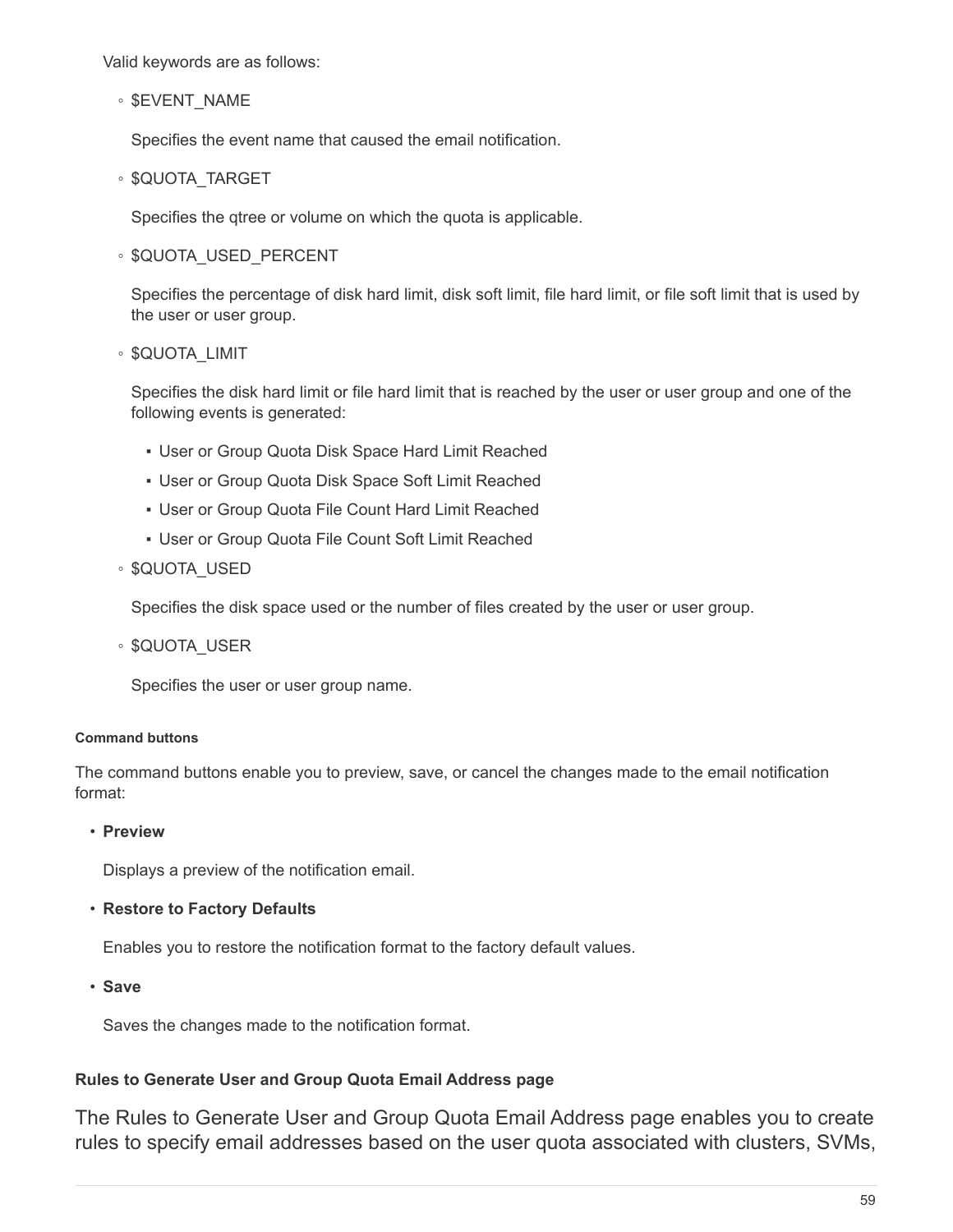Valid keywords are as follows:

◦ \$EVENT\_NAME

Specifies the event name that caused the email notification.

◦ \$QUOTA\_TARGET

Specifies the qtree or volume on which the quota is applicable.

◦ \$QUOTA\_USED\_PERCENT

Specifies the percentage of disk hard limit, disk soft limit, file hard limit, or file soft limit that is used by the user or user group.

◦ \$QUOTA\_LIMIT

Specifies the disk hard limit or file hard limit that is reached by the user or user group and one of the following events is generated:

- **.** User or Group Quota Disk Space Hard Limit Reached
- **.** User or Group Quota Disk Space Soft Limit Reached
- **.** User or Group Quota File Count Hard Limit Reached
- **.** User or Group Quota File Count Soft Limit Reached
- \$QUOTA\_USED

Specifies the disk space used or the number of files created by the user or user group.

◦ \$QUOTA\_USER

Specifies the user or user group name.

#### **Command buttons**

The command buttons enable you to preview, save, or cancel the changes made to the email notification format:

• **Preview**

Displays a preview of the notification email.

• **Restore to Factory Defaults**

Enables you to restore the notification format to the factory default values.

• **Save**

Saves the changes made to the notification format.

#### <span id="page-60-0"></span>**Rules to Generate User and Group Quota Email Address page**

The Rules to Generate User and Group Quota Email Address page enables you to create rules to specify email addresses based on the user quota associated with clusters, SVMs,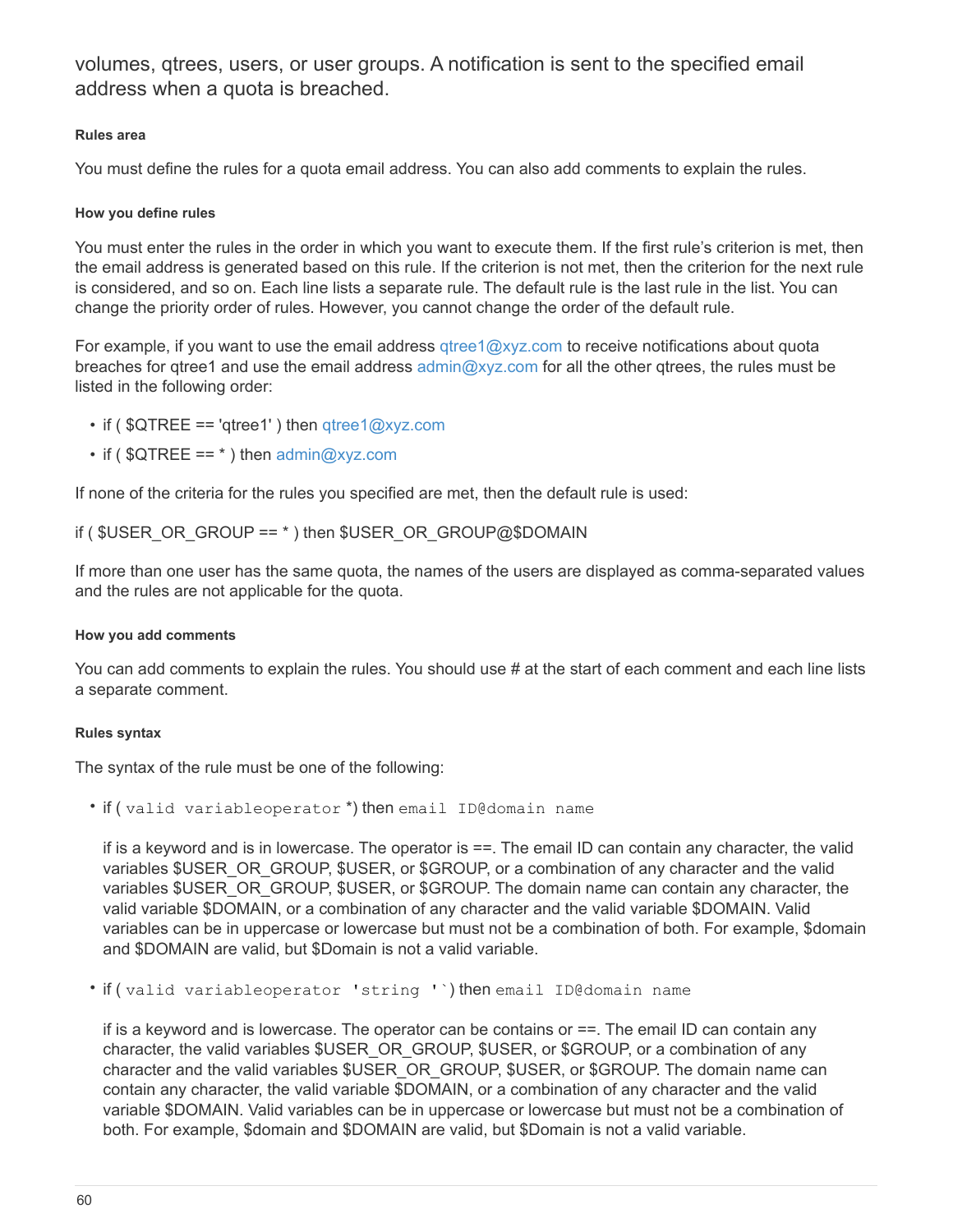volumes, qtrees, users, or user groups. A notification is sent to the specified email address when a quota is breached.

#### **Rules area**

You must define the rules for a quota email address. You can also add comments to explain the rules.

#### **How you define rules**

You must enter the rules in the order in which you want to execute them. If the first rule's criterion is met, then the email address is generated based on this rule. If the criterion is not met, then the criterion for the next rule is considered, and so on. Each line lists a separate rule. The default rule is the last rule in the list. You can change the priority order of rules. However, you cannot change the order of the default rule.

For example, if you want to use the email address  $qtree1@xyz.com$  to receive notifications about quota breaches for qtree1 and use the email address  $\text{admin@xyz.com}$  for all the other qtrees, the rules must be listed in the following order:

- if (  $QTREE == 'qtree1'$  ) then  $qtree1@xyz.com$
- if ( $QTREE == *$ ) then  $\frac{1}{2}$  admin $\frac{2}{2}$  xyz.com

If none of the criteria for the rules you specified are met, then the default rule is used:

#### if (  $$USER$  OR GROUP ==  $*$  ) then  $$USER$  OR GROUP@\$DOMAIN

If more than one user has the same quota, the names of the users are displayed as comma-separated values and the rules are not applicable for the quota.

#### **How you add comments**

You can add comments to explain the rules. You should use # at the start of each comment and each line lists a separate comment.

#### **Rules syntax**

The syntax of the rule must be one of the following:

• if ( valid variableoperator \*) then email ID@domain name

if is a keyword and is in lowercase. The operator is ==. The email ID can contain any character, the valid variables \$USER\_OR\_GROUP, \$USER, or \$GROUP, or a combination of any character and the valid variables \$USER\_OR\_GROUP, \$USER, or \$GROUP. The domain name can contain any character, the valid variable \$DOMAIN, or a combination of any character and the valid variable \$DOMAIN. Valid variables can be in uppercase or lowercase but must not be a combination of both. For example, \$domain and \$DOMAIN are valid, but \$Domain is not a valid variable.

• if ( valid variableoperator 'string '`) then email ID@domain name

if is a keyword and is lowercase. The operator can be contains or ==. The email ID can contain any character, the valid variables \$USER\_OR\_GROUP, \$USER, or \$GROUP, or a combination of any character and the valid variables \$USER\_OR\_GROUP, \$USER, or \$GROUP. The domain name can contain any character, the valid variable \$DOMAIN, or a combination of any character and the valid variable \$DOMAIN. Valid variables can be in uppercase or lowercase but must not be a combination of both. For example, \$domain and \$DOMAIN are valid, but \$Domain is not a valid variable.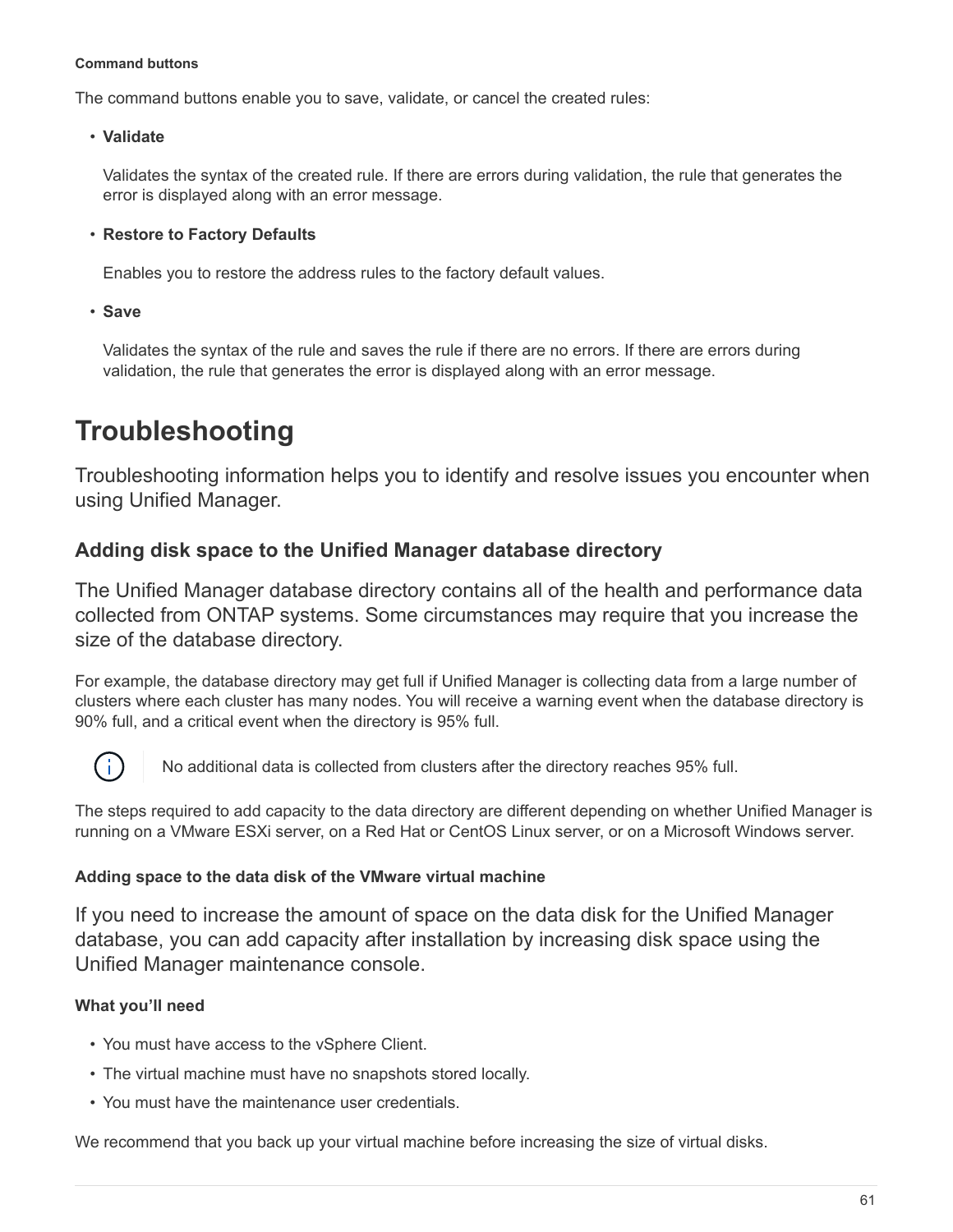#### **Command buttons**

The command buttons enable you to save, validate, or cancel the created rules:

• **Validate**

Validates the syntax of the created rule. If there are errors during validation, the rule that generates the error is displayed along with an error message.

## • **Restore to Factory Defaults**

Enables you to restore the address rules to the factory default values.

• **Save**

Validates the syntax of the rule and saves the rule if there are no errors. If there are errors during validation, the rule that generates the error is displayed along with an error message.

# <span id="page-62-0"></span>**Troubleshooting**

Troubleshooting information helps you to identify and resolve issues you encounter when using Unified Manager.

# **Adding disk space to the Unified Manager database directory**

The Unified Manager database directory contains all of the health and performance data collected from ONTAP systems. Some circumstances may require that you increase the size of the database directory.

For example, the database directory may get full if Unified Manager is collecting data from a large number of clusters where each cluster has many nodes. You will receive a warning event when the database directory is 90% full, and a critical event when the directory is 95% full.



No additional data is collected from clusters after the directory reaches 95% full.

The steps required to add capacity to the data directory are different depending on whether Unified Manager is running on a VMware ESXi server, on a Red Hat or CentOS Linux server, or on a Microsoft Windows server.

# **Adding space to the data disk of the VMware virtual machine**

If you need to increase the amount of space on the data disk for the Unified Manager database, you can add capacity after installation by increasing disk space using the Unified Manager maintenance console.

# **What you'll need**

- You must have access to the vSphere Client.
- The virtual machine must have no snapshots stored locally.
- You must have the maintenance user credentials.

We recommend that you back up your virtual machine before increasing the size of virtual disks.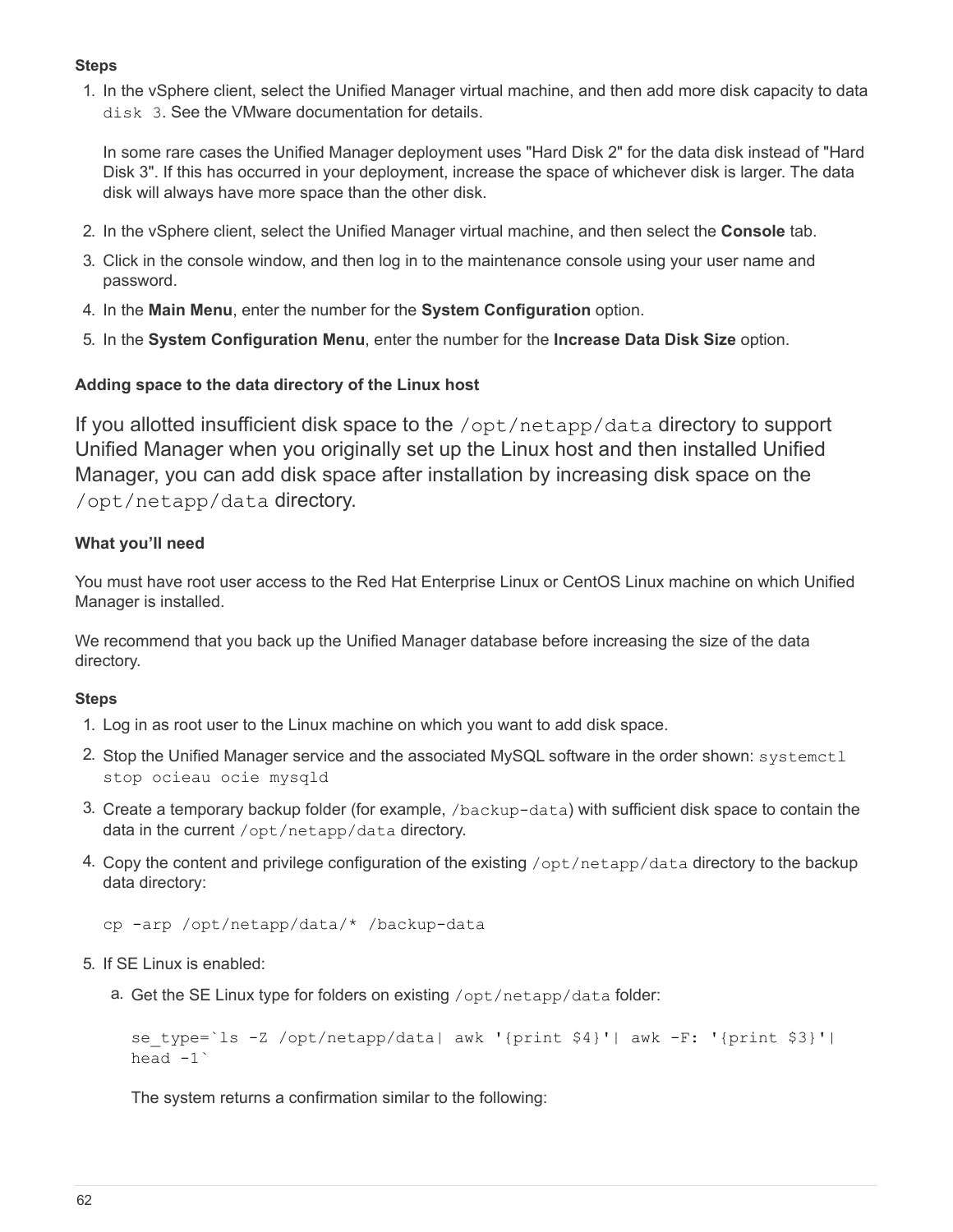## **Steps**

1. In the vSphere client, select the Unified Manager virtual machine, and then add more disk capacity to data disk 3. See the VMware documentation for details.

In some rare cases the Unified Manager deployment uses "Hard Disk 2" for the data disk instead of "Hard Disk 3". If this has occurred in your deployment, increase the space of whichever disk is larger. The data disk will always have more space than the other disk.

- 2. In the vSphere client, select the Unified Manager virtual machine, and then select the **Console** tab.
- 3. Click in the console window, and then log in to the maintenance console using your user name and password.
- 4. In the **Main Menu**, enter the number for the **System Configuration** option.
- 5. In the **System Configuration Menu**, enter the number for the **Increase Data Disk Size** option.

## **Adding space to the data directory of the Linux host**

If you allotted insufficient disk space to the /opt/netapp/data directory to support Unified Manager when you originally set up the Linux host and then installed Unified Manager, you can add disk space after installation by increasing disk space on the /opt/netapp/data directory.

## **What you'll need**

You must have root user access to the Red Hat Enterprise Linux or CentOS Linux machine on which Unified Manager is installed.

We recommend that you back up the Unified Manager database before increasing the size of the data directory.

#### **Steps**

- 1. Log in as root user to the Linux machine on which you want to add disk space.
- 2. Stop the Unified Manager service and the associated MySQL software in the order shown: systemet1 stop ocieau ocie mysqld
- 3. Create a temporary backup folder (for example, /backup-data) with sufficient disk space to contain the data in the current /opt/netapp/data directory.
- 4. Copy the content and privilege configuration of the existing /opt/netapp/data directory to the backup data directory:

```
cp -arp /opt/netapp/data/* /backup-data
```
- 5. If SE Linux is enabled:
	- a. Get the SE Linux type for folders on existing /opt/netapp/data folder:

```
se_type=`ls -Z /opt/netapp/data| awk '{print $4}'| awk -F: '{print $3}'|
head -1<sup>\degree</sup>
```
The system returns a confirmation similar to the following: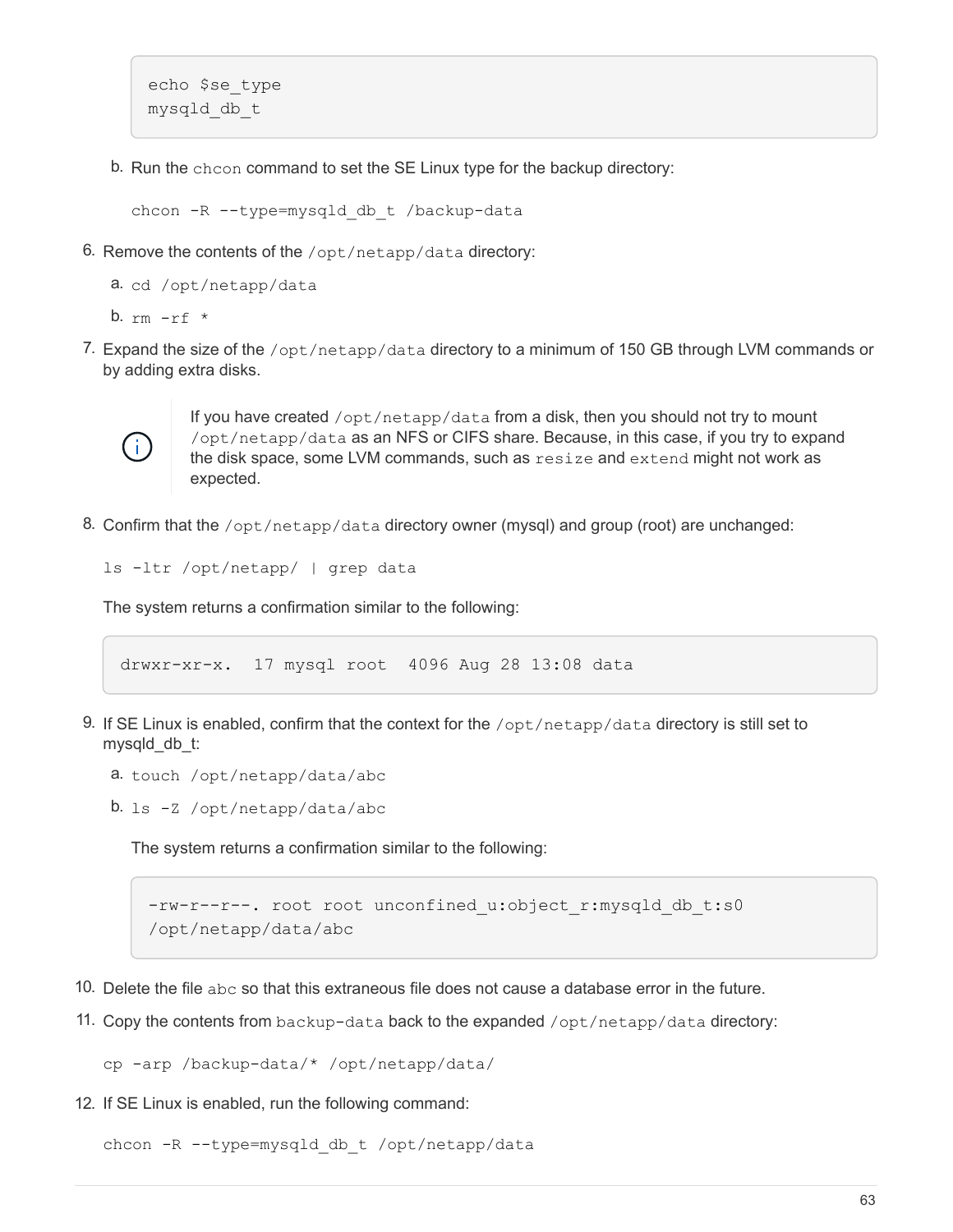```
echo $se_type
mysqld_db_t
```
b. Run the chcon command to set the SE Linux type for the backup directory:

chcon -R --type=mysqld db t /backup-data

6. Remove the contents of the /opt/netapp/data directory:

a. cd /opt/netapp/data

b.  $rm -rf$  \*

7. Expand the size of the /opt/netapp/data directory to a minimum of 150 GB through LVM commands or by adding extra disks.



If you have created /opt/netapp/data from a disk, then you should not try to mount /opt/netapp/data as an NFS or CIFS share. Because, in this case, if you try to expand the disk space, some LVM commands, such as resize and extend might not work as expected.

8. Confirm that the  $\sqrt{\text{opt/netapp/data}}$  directory owner (mysql) and group (root) are unchanged:

```
ls -ltr /opt/netapp/ | grep data
```
The system returns a confirmation similar to the following:

drwxr-xr-x. 17 mysql root 4096 Aug 28 13:08 data

9. If SE Linux is enabled, confirm that the context for the /opt/netapp/data directory is still set to mysqld\_db\_t:

```
a. touch /opt/netapp/data/abc
```
b. ls -Z /opt/netapp/data/abc

The system returns a confirmation similar to the following:

```
-rw-r--r--. root root unconfined u:object r:mysqld db t:s0
/opt/netapp/data/abc
```
- 10. Delete the file  $abc$  so that this extraneous file does not cause a database error in the future.
- 11. Copy the contents from backup-data back to the expanded /opt/netapp/data directory:

cp -arp /backup-data/\* /opt/netapp/data/

12. If SE Linux is enabled, run the following command:

chcon -R --type=mysqld db t /opt/netapp/data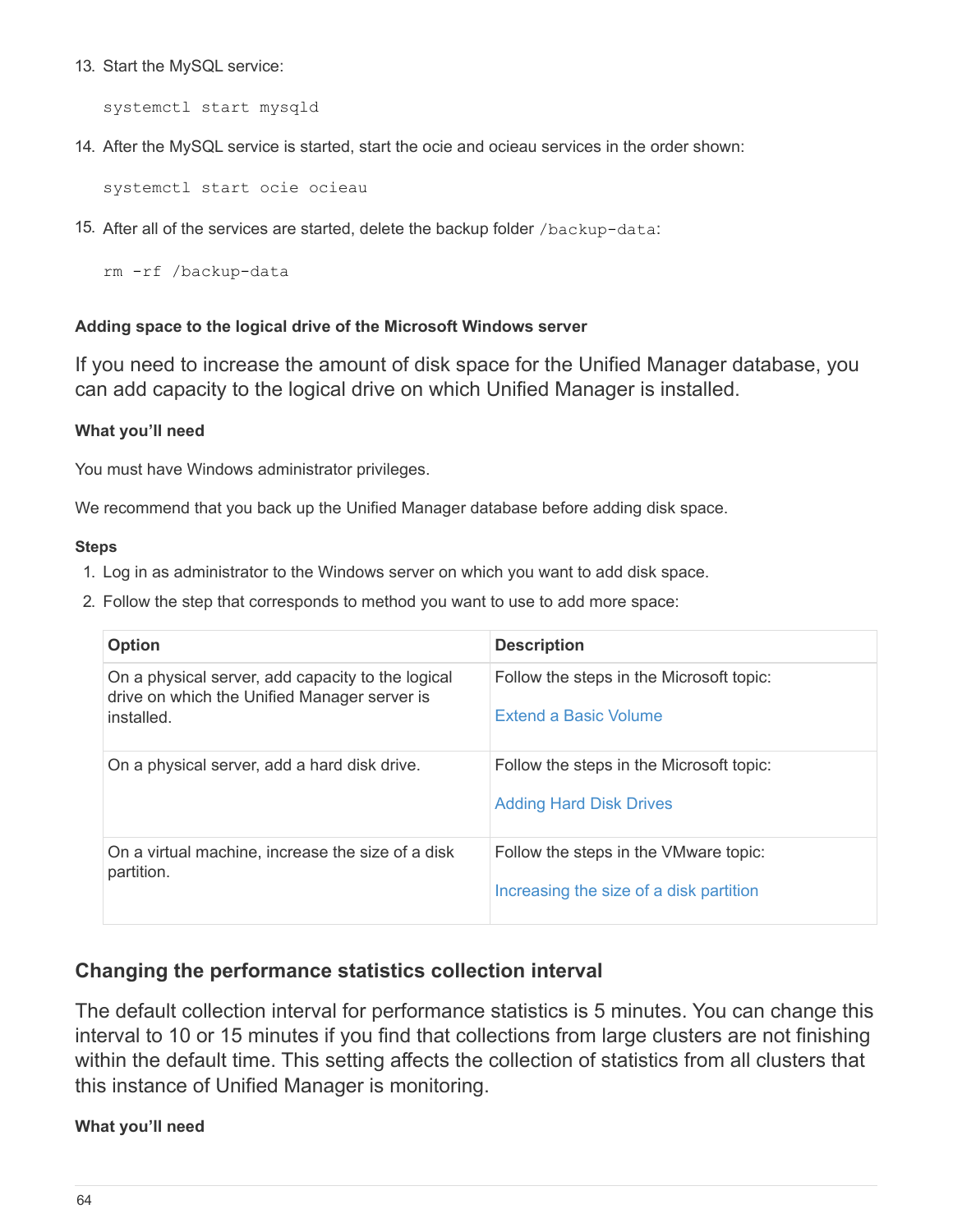13. Start the MySQL service:

systemctl start mysqld

14. After the MySQL service is started, start the ocie and ocieau services in the order shown:

systemctl start ocie ocieau

15. After all of the services are started, delete the backup folder /backup-data:

rm -rf /backup-data

## **Adding space to the logical drive of the Microsoft Windows server**

If you need to increase the amount of disk space for the Unified Manager database, you can add capacity to the logical drive on which Unified Manager is installed.

## **What you'll need**

You must have Windows administrator privileges.

We recommend that you back up the Unified Manager database before adding disk space.

#### **Steps**

- 1. Log in as administrator to the Windows server on which you want to add disk space.
- 2. Follow the step that corresponds to method you want to use to add more space:

| <b>Option</b>                                                                                                   | <b>Description</b>                                                               |
|-----------------------------------------------------------------------------------------------------------------|----------------------------------------------------------------------------------|
| On a physical server, add capacity to the logical<br>drive on which the Unified Manager server is<br>installed. | Follow the steps in the Microsoft topic:<br>Extend a Basic Volume                |
| On a physical server, add a hard disk drive.                                                                    | Follow the steps in the Microsoft topic:<br><b>Adding Hard Disk Drives</b>       |
| On a virtual machine, increase the size of a disk<br>partition.                                                 | Follow the steps in the VMware topic:<br>Increasing the size of a disk partition |

# **Changing the performance statistics collection interval**

The default collection interval for performance statistics is 5 minutes. You can change this interval to 10 or 15 minutes if you find that collections from large clusters are not finishing within the default time. This setting affects the collection of statistics from all clusters that this instance of Unified Manager is monitoring.

## **What you'll need**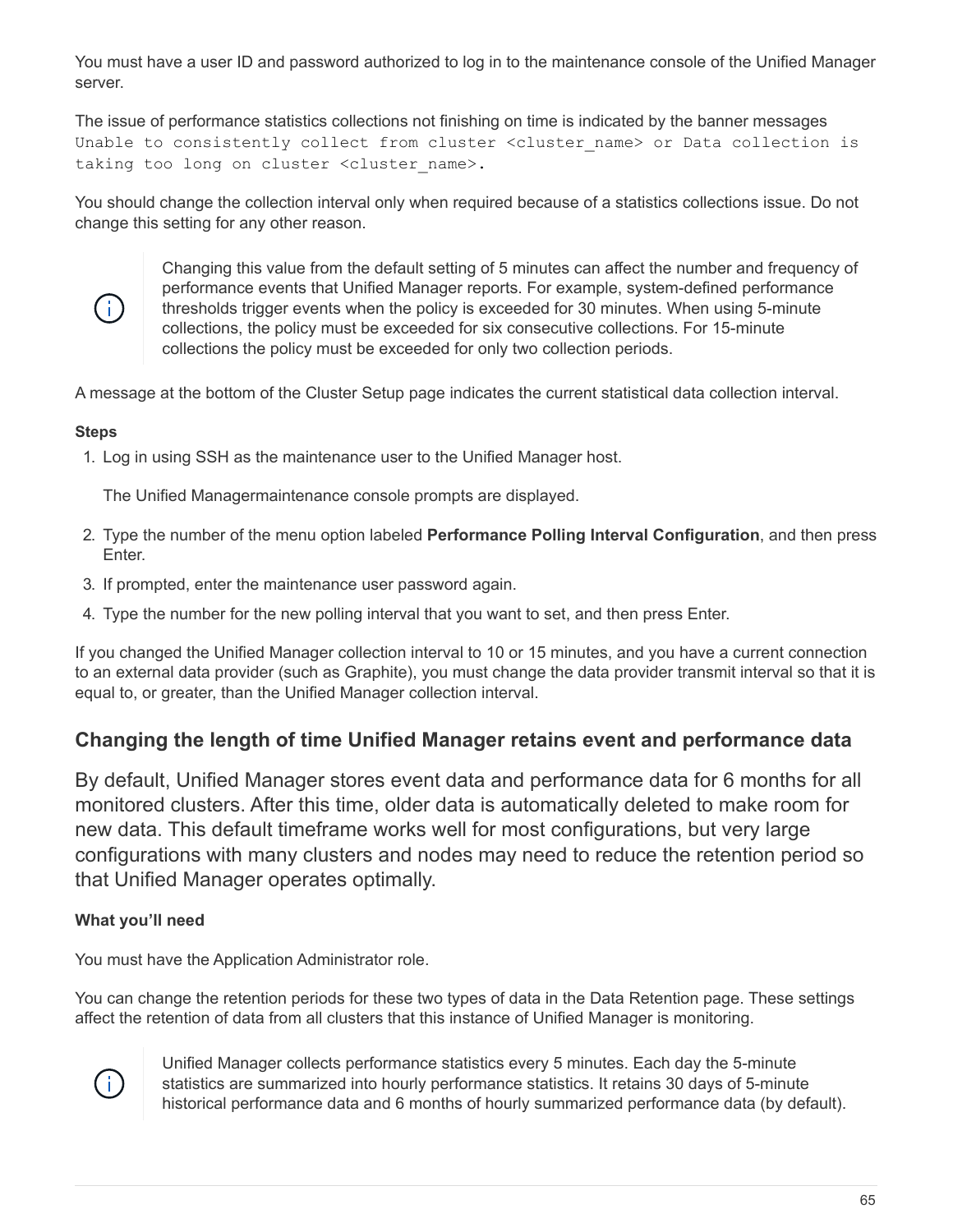You must have a user ID and password authorized to log in to the maintenance console of the Unified Manager server.

The issue of performance statistics collections not finishing on time is indicated by the banner messages Unable to consistently collect from cluster <cluster name> or Data collection is taking too long on cluster <cluster name>.

You should change the collection interval only when required because of a statistics collections issue. Do not change this setting for any other reason.



Changing this value from the default setting of 5 minutes can affect the number and frequency of performance events that Unified Manager reports. For example, system-defined performance thresholds trigger events when the policy is exceeded for 30 minutes. When using 5-minute collections, the policy must be exceeded for six consecutive collections. For 15-minute collections the policy must be exceeded for only two collection periods.

A message at the bottom of the Cluster Setup page indicates the current statistical data collection interval.

# **Steps**

1. Log in using SSH as the maintenance user to the Unified Manager host.

The Unified Managermaintenance console prompts are displayed.

- 2. Type the number of the menu option labeled **Performance Polling Interval Configuration**, and then press Enter.
- 3. If prompted, enter the maintenance user password again.
- 4. Type the number for the new polling interval that you want to set, and then press Enter.

If you changed the Unified Manager collection interval to 10 or 15 minutes, and you have a current connection to an external data provider (such as Graphite), you must change the data provider transmit interval so that it is equal to, or greater, than the Unified Manager collection interval.

# **Changing the length of time Unified Manager retains event and performance data**

By default, Unified Manager stores event data and performance data for 6 months for all monitored clusters. After this time, older data is automatically deleted to make room for new data. This default timeframe works well for most configurations, but very large configurations with many clusters and nodes may need to reduce the retention period so that Unified Manager operates optimally.

# **What you'll need**

You must have the Application Administrator role.

You can change the retention periods for these two types of data in the Data Retention page. These settings affect the retention of data from all clusters that this instance of Unified Manager is monitoring.



Unified Manager collects performance statistics every 5 minutes. Each day the 5-minute statistics are summarized into hourly performance statistics. It retains 30 days of 5-minute historical performance data and 6 months of hourly summarized performance data (by default).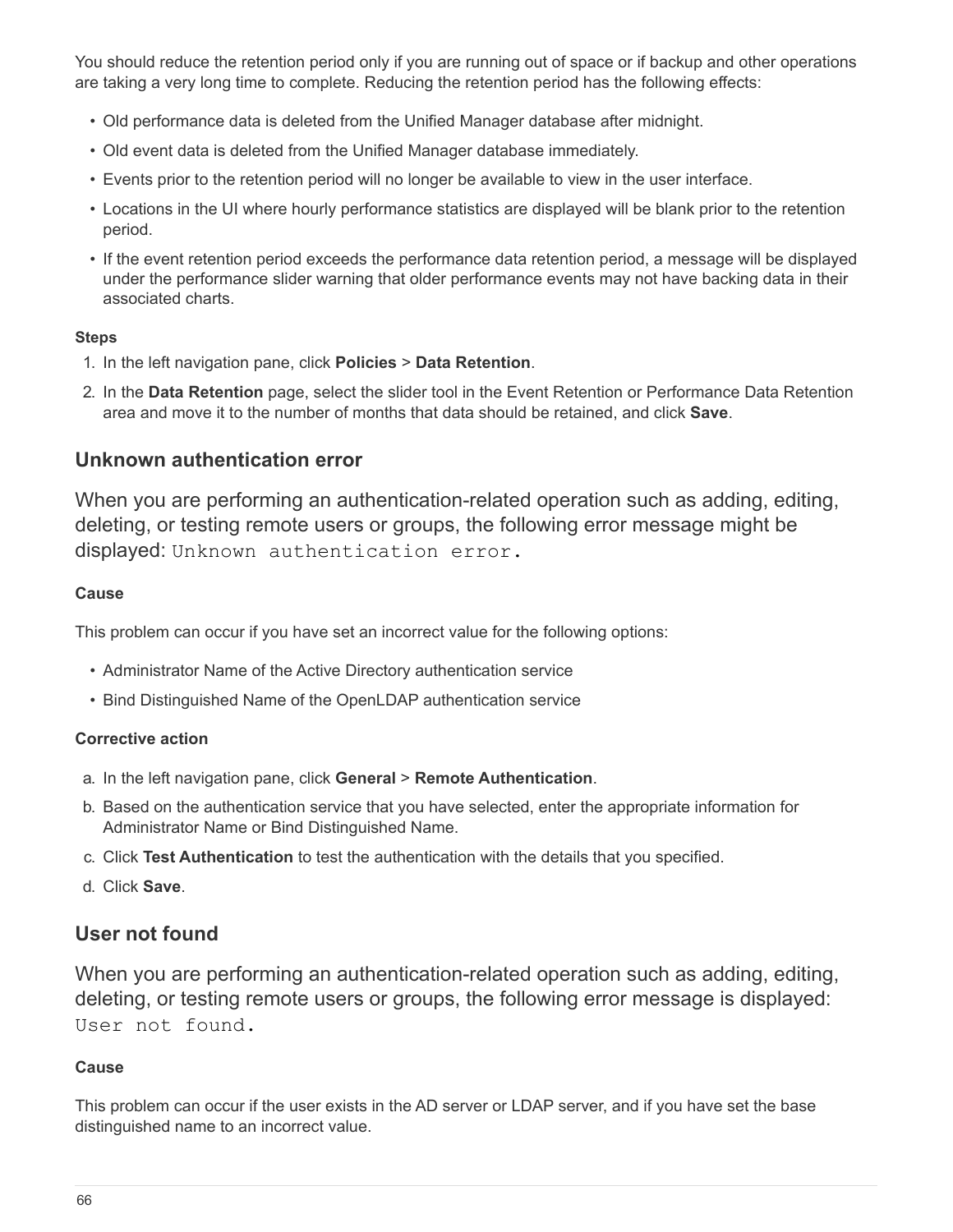You should reduce the retention period only if you are running out of space or if backup and other operations are taking a very long time to complete. Reducing the retention period has the following effects:

- Old performance data is deleted from the Unified Manager database after midnight.
- Old event data is deleted from the Unified Manager database immediately.
- Events prior to the retention period will no longer be available to view in the user interface.
- Locations in the UI where hourly performance statistics are displayed will be blank prior to the retention period.
- If the event retention period exceeds the performance data retention period, a message will be displayed under the performance slider warning that older performance events may not have backing data in their associated charts.

## **Steps**

- 1. In the left navigation pane, click **Policies** > **Data Retention**.
- 2. In the **Data Retention** page, select the slider tool in the Event Retention or Performance Data Retention area and move it to the number of months that data should be retained, and click **Save**.

# **Unknown authentication error**

When you are performing an authentication-related operation such as adding, editing, deleting, or testing remote users or groups, the following error message might be displayed: Unknown authentication error.

## **Cause**

This problem can occur if you have set an incorrect value for the following options:

- Administrator Name of the Active Directory authentication service
- Bind Distinguished Name of the OpenLDAP authentication service

## **Corrective action**

- a. In the left navigation pane, click **General** > **Remote Authentication**.
- b. Based on the authentication service that you have selected, enter the appropriate information for Administrator Name or Bind Distinguished Name.
- c. Click **Test Authentication** to test the authentication with the details that you specified.
- d. Click **Save**.

# **User not found**

When you are performing an authentication-related operation such as adding, editing, deleting, or testing remote users or groups, the following error message is displayed: User not found.

# **Cause**

This problem can occur if the user exists in the AD server or LDAP server, and if you have set the base distinguished name to an incorrect value.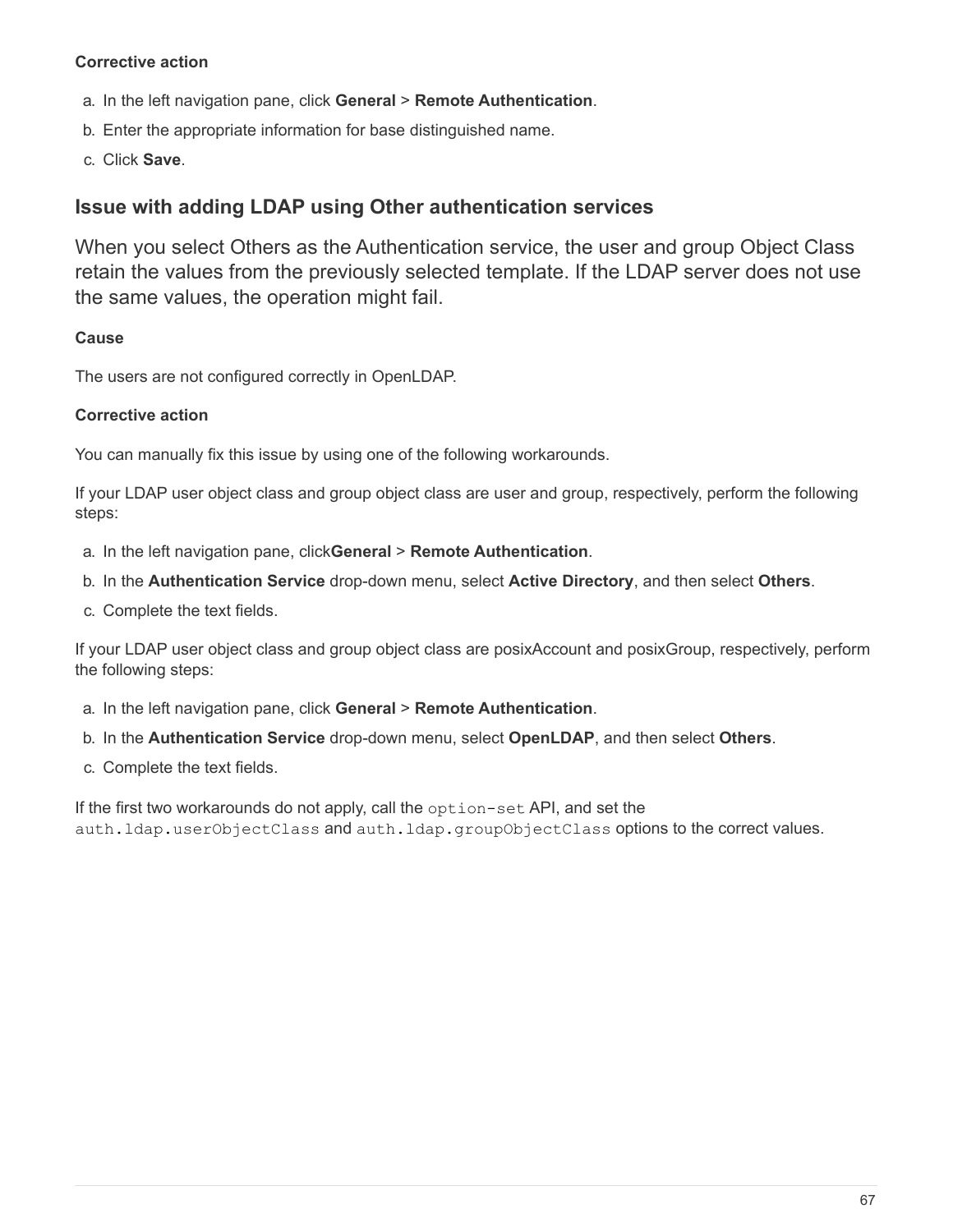## **Corrective action**

- a. In the left navigation pane, click **General** > **Remote Authentication**.
- b. Enter the appropriate information for base distinguished name.
- c. Click **Save**.

# **Issue with adding LDAP using Other authentication services**

When you select Others as the Authentication service, the user and group Object Class retain the values from the previously selected template. If the LDAP server does not use the same values, the operation might fail.

## **Cause**

The users are not configured correctly in OpenLDAP.

#### **Corrective action**

You can manually fix this issue by using one of the following workarounds.

If your LDAP user object class and group object class are user and group, respectively, perform the following steps:

- a. In the left navigation pane, click**General** > **Remote Authentication**.
- b. In the **Authentication Service** drop-down menu, select **Active Directory**, and then select **Others**.
- c. Complete the text fields.

If your LDAP user object class and group object class are posixAccount and posixGroup, respectively, perform the following steps:

- a. In the left navigation pane, click **General** > **Remote Authentication**.
- b. In the **Authentication Service** drop-down menu, select **OpenLDAP**, and then select **Others**.
- c. Complete the text fields.

If the first two workarounds do not apply, call the option-set API, and set the auth.ldap.userObjectClass and auth.ldap.groupObjectClass options to the correct values.